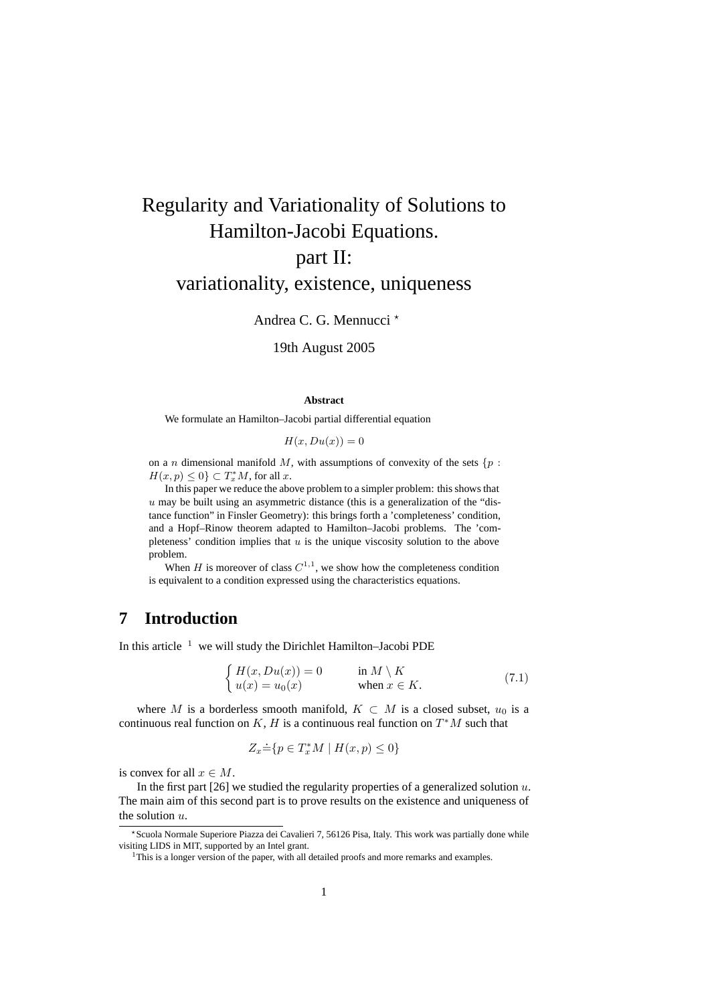# Regularity and Variationality of Solutions to Hamilton-Jacobi Equations. part II: variationality, existence, uniqueness

Andrea C. G. Mennucci<sup>\*</sup>

19th August 2005

#### **Abstract**

We formulate an Hamilton–Jacobi partial differential equation

$$
H(x, Du(x)) = 0
$$

on a n dimensional manifold  $M$ , with assumptions of convexity of the sets  $\{p :$  $H(x,p) \leq 0$   $\subset T_x^*M$ , for all x.

In this paper we reduce the above problem to a simpler problem: this shows that  $u$  may be built using an asymmetric distance (this is a generalization of the "distance function" in Finsler Geometry): this brings forth a 'completeness' condition, and a Hopf–Rinow theorem adapted to Hamilton–Jacobi problems. The 'completeness' condition implies that  $u$  is the unique viscosity solution to the above problem.

When H is moreover of class  $C^{1,1}$ , we show how the completeness condition is equivalent to a condition expressed using the characteristics equations.

## **7 Introduction**

In this article  $1$  we will study the Dirichlet Hamilton–Jacobi PDE

$$
\begin{cases}\nH(x, Du(x)) = 0 & \text{in } M \setminus K \\
u(x) = u_0(x) & \text{when } x \in K.\n\end{cases}
$$
\n(7.1)

where M is a borderless smooth manifold,  $K \subset M$  is a closed subset,  $u_0$  is a continuous real function on K, H is a continuous real function on  $T^*M$  such that

$$
Z_x \dot{=} \{ p \in T_x^*M \mid H(x, p) \le 0 \}
$$

is convex for all  $x \in M$ .

In the first part  $[26]$  we studied the regularity properties of a generalized solution  $u$ . The main aim of this second part is to prove results on the existence and uniqueness of the solution u.

<sup>?</sup>Scuola Normale Superiore Piazza dei Cavalieri 7, 56126 Pisa, Italy. This work was partially done while visiting LIDS in MIT, supported by an Intel grant.

<sup>&</sup>lt;sup>1</sup>This is a longer version of the paper, with all detailed proofs and more remarks and examples.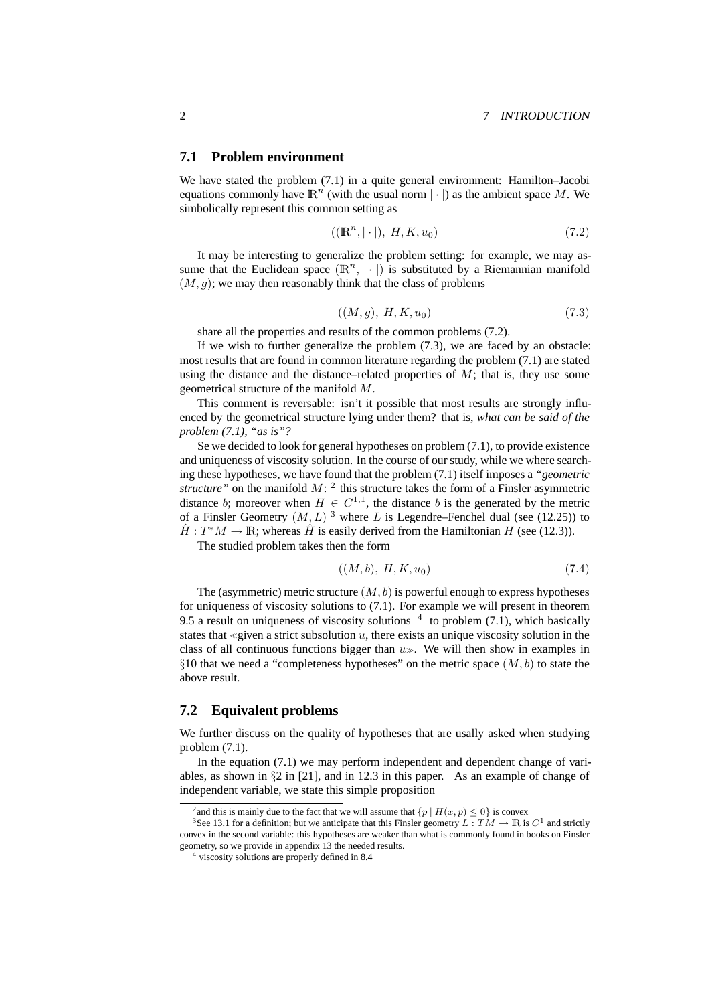#### **7.1 Problem environment**

We have stated the problem (7.1) in a quite general environment: Hamilton–Jacobi equations commonly have  $\mathbb{R}^n$  (with the usual norm  $|\cdot|$ ) as the ambient space M. We simbolically represent this common setting as

$$
((\mathbb{R}^n, |\cdot|), H, K, u_0) \tag{7.2}
$$

It may be interesting to generalize the problem setting: for example, we may assume that the Euclidean space  $(\mathbb{R}^n, |\cdot|)$  is substituted by a Riemannian manifold  $(M, q)$ ; we may then reasonably think that the class of problems

$$
((M,g), H, K, u_0) \tag{7.3}
$$

share all the properties and results of the common problems (7.2).

If we wish to further generalize the problem  $(7.3)$ , we are faced by an obstacle: most results that are found in common literature regarding the problem (7.1) are stated using the distance and the distance–related properties of  $M$ ; that is, they use some geometrical structure of the manifold M.

This comment is reversable: isn't it possible that most results are strongly influenced by the geometrical structure lying under them? that is, *what can be said of the problem (7.1), "as is"?*

Se we decided to look for general hypotheses on problem (7.1), to provide existence and uniqueness of viscosity solution. In the course of our study, while we where searching these hypotheses, we have found that the problem (7.1) itself imposes a *"geometric structure*" on the manifold  $M:$ <sup>2</sup> this structure takes the form of a Finsler asymmetric distance b; moreover when  $H \in C^{1,1}$ , the distance b is the generated by the metric of a Finsler Geometry  $(M, L)$ <sup>3</sup> where L is Legendre–Fenchel dual (see (12.25)) to  $\hat{H}: T^*M \to \mathbb{R}$ ; whereas  $\hat{H}$  is easily derived from the Hamiltonian H (see (12.3)).

The studied problem takes then the form

$$
((M,b), H, K, u_0) \tag{7.4}
$$

The (asymmetric) metric structure  $(M, b)$  is powerful enough to express hypotheses for uniqueness of viscosity solutions to (7.1). For example we will present in theorem 9.5 a result on uniqueness of viscosity solutions  $4\,$  to problem (7.1), which basically states that «given a strict subsolution  $u$ , there exists an unique viscosity solution in the class of all continuous functions bigger than  $u_{\infty}$ . We will then show in examples in §10 that we need a "completeness hypotheses" on the metric space  $(M, b)$  to state the above result.

### **7.2 Equivalent problems**

We further discuss on the quality of hypotheses that are usally asked when studying problem (7.1).

In the equation (7.1) we may perform independent and dependent change of variables, as shown in §2 in [21], and in 12.3 in this paper. As an example of change of independent variable, we state this simple proposition

<sup>&</sup>lt;sup>2</sup> and this is mainly due to the fact that we will assume that  $\{p \mid H(x, p) \leq 0\}$  is convex

<sup>&</sup>lt;sup>3</sup>See 13.1 for a definition; but we anticipate that this Finsler geometry  $L: TM \to \mathbb{R}$  is  $C^1$  and strictly convex in the second variable: this hypotheses are weaker than what is commonly found in books on Finsler geometry, so we provide in appendix 13 the needed results.

<sup>4</sup> viscosity solutions are properly defined in 8.4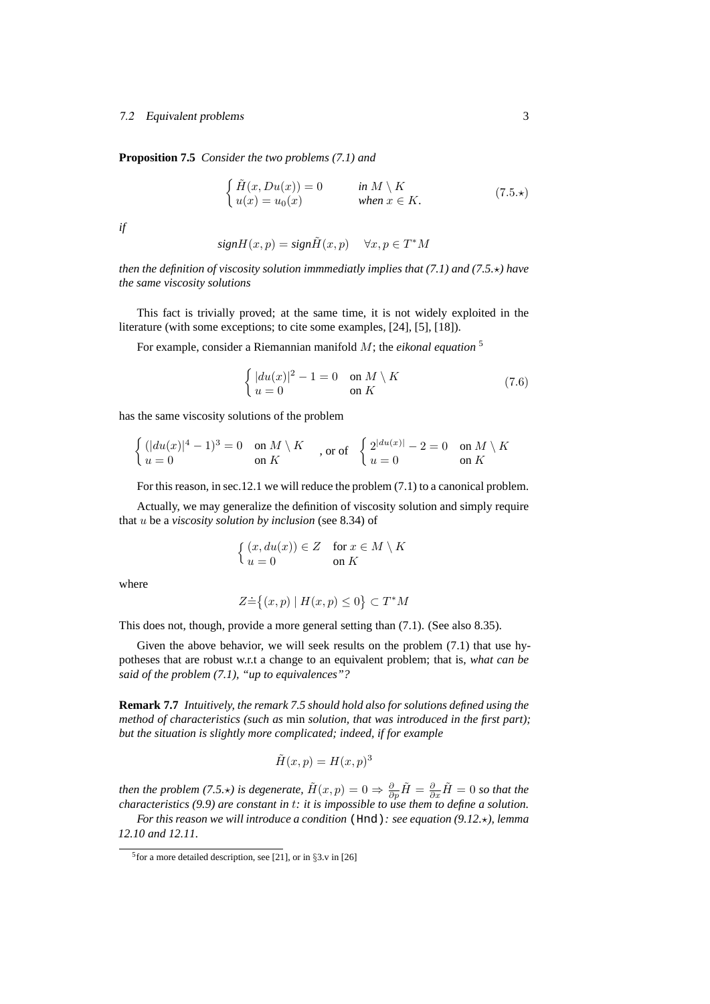#### 7.2 Equivalent problems 3

**Proposition 7.5** *Consider the two problems (7.1) and*

$$
\begin{cases}\n\tilde{H}(x, Du(x)) = 0 & \text{in } M \setminus K \\
u(x) = u_0(x) & \text{when } x \in K.\n\end{cases}
$$
\n(7.5.\*)

*if*

$$
signH(x, p) = sign\tilde{H}(x, p) \quad \forall x, p \in T^*M
$$

*then the definition of viscosity solution immmediatly implies that (7.1) and (7.5.*?*) have the same viscosity solutions*

This fact is trivially proved; at the same time, it is not widely exploited in the literature (with some exceptions; to cite some examples, [24], [5], [18]).

For example, consider a Riemannian manifold M; the *eikonal equation* <sup>5</sup>

$$
\begin{cases} |du(x)|^2 - 1 = 0 & \text{on } M \setminus K \\ u = 0 & \text{on } K \end{cases}
$$
 (7.6)

has the same viscosity solutions of the problem

$$
\label{eq:2.1} \left\{ \begin{aligned} (|du(x)|^4-1)^3=0 &\quad \text{on } M\setminus K \\ u=0 &\quad \text{on } K \end{aligned} \right. \quad , \text{or of} \quad \left\{ \begin{aligned} 2^{|du(x)|}-2=0 &\quad \text{on } M\setminus K \\ u=0 &\quad \text{on } K \end{aligned} \right.
$$

For this reason, in sec.12.1 we will reduce the problem (7.1) to a canonical problem.

Actually, we may generalize the definition of viscosity solution and simply require that u be a *viscosity solution by inclusion* (see 8.34) of

$$
\begin{cases} (x, du(x)) \in Z & \text{for } x \in M \setminus K \\ u = 0 & \text{on } K \end{cases}
$$

where

$$
Z \dot{=} \{(x, p) \mid H(x, p) \le 0\} \subset T^*M
$$

This does not, though, provide a more general setting than (7.1). (See also 8.35).

Given the above behavior, we will seek results on the problem (7.1) that use hypotheses that are robust w.r.t a change to an equivalent problem; that is, *what can be said of the problem (7.1), "up to equivalences"?*

**Remark 7.7** *Intuitively, the remark 7.5 should hold also for solutions defined using the method of characteristics (such as* min *solution, that was introduced in the first part); but the situation is slightly more complicated; indeed, if for example*

$$
\tilde{H}(x,p) = H(x,p)^3
$$

*then the problem (7.5.* $\star$ *) is degenerate,*  $\tilde{H}(x,p) = 0 \Rightarrow \frac{\partial}{\partial p}\tilde{H} = \frac{\partial}{\partial x}\tilde{H} = 0$  *so that the characteristics (9.9) are constant in* t*: it is impossible to use them to define a solution.*

*For this reason we will introduce a condition* (Hnd)*: see equation (9.12.*?*), lemma 12.10 and 12.11.*

<sup>&</sup>lt;sup>5</sup> for a more detailed description, see [21], or in  $\S$ 3.v in [26]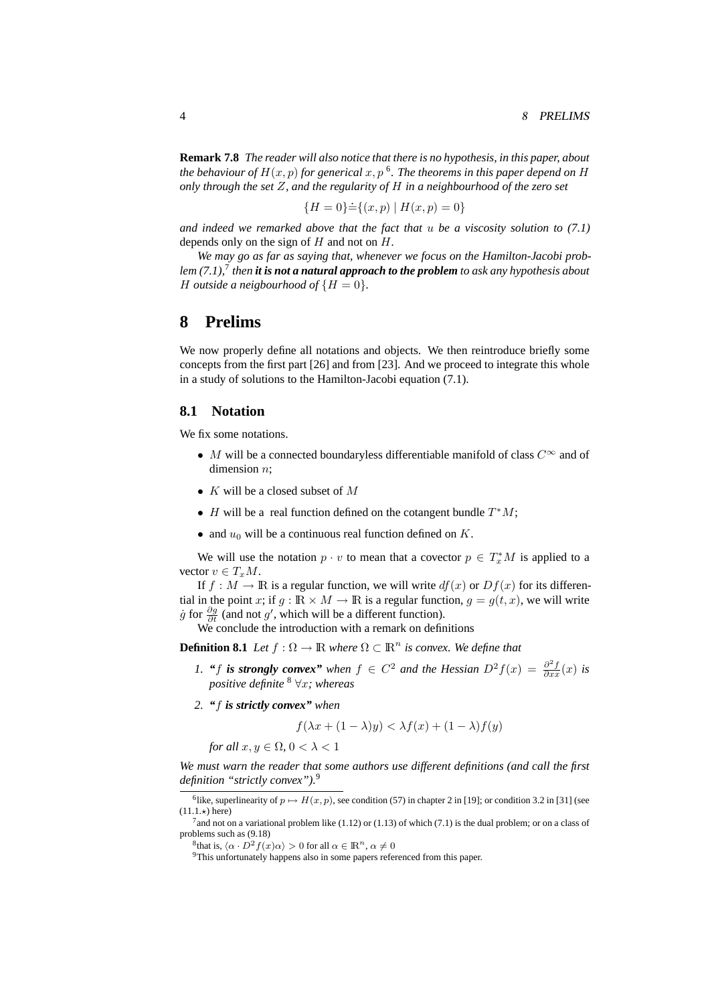**Remark 7.8** *The reader will also notice that there is no hypothesis, in this paper, about* the behaviour of  $H(x,p)$  for generical  $x, p$  <sup>6</sup>. The theorems in this paper depend on  $H$ *only through the set* Z*, and the regularity of* H *in a neighbourhood of the zero set*

$$
{H = 0} \doteq \{(x, p) | H(x, p) = 0\}
$$

*and indeed we remarked above that the fact that* u *be a viscosity solution to (7.1)* depends only on the sign of H and not on H*.*

*We may go as far as saying that, whenever we focus on the Hamilton-Jacobi problem (7.1),*<sup>7</sup> *then it is not a natural approach to the problem to ask any hypothesis about H outside a neigbourhood of*  ${H = 0}$ *.* 

## **8 Prelims**

We now properly define all notations and objects. We then reintroduce briefly some concepts from the first part [26] and from [23]. And we proceed to integrate this whole in a study of solutions to the Hamilton-Jacobi equation (7.1).

#### **8.1 Notation**

We fix some notations.

- M will be a connected boundaryless differentiable manifold of class  $C^{\infty}$  and of dimension n;
- $K$  will be a closed subset of  $M$
- *H* will be a real function defined on the cotangent bundle  $T^*M$ ;
- and  $u_0$  will be a continuous real function defined on K.

We will use the notation  $p \cdot v$  to mean that a covector  $p \in T_x^*M$  is applied to a vector  $v \in T_xM$ .

If  $f : M \to \mathbb{R}$  is a regular function, we will write  $df(x)$  or  $Df(x)$  for its differential in the point x; if  $g : \mathbb{R} \times M \to \mathbb{R}$  is a regular function,  $g = g(t, x)$ , we will write *g* for  $\frac{\partial g}{\partial t}$  (and not g', which will be a different function).

We conclude the introduction with a remark on definitions

**Definition 8.1** *Let*  $f : \Omega \to \mathbb{R}$  *where*  $\Omega \subset \mathbb{R}^n$  *is convex. We define that* 

- *1. "f is strongly convex"* when  $f \in C^2$  *and the Hessian*  $D^2 f(x) = \frac{\partial^2 f}{\partial x^2}(x)$  *is positive definite* <sup>8</sup> ∀x*; whereas*
- *2. "*f *is strictly convex" when*

$$
f(\lambda x + (1 - \lambda)y) < \lambda f(x) + (1 - \lambda)f(y)
$$

*for all*  $x, y \in \Omega$ ,  $0 < \lambda < 1$ 

*We must warn the reader that some authors use different definitions (and call the first definition "strictly convex").*<sup>9</sup>

<sup>&</sup>lt;sup>6</sup>like, superlinearity of  $p \mapsto H(x, p)$ , see condition (57) in chapter 2 in [19]; or condition 3.2 in [31] (see  $(11.1.*)$  here)

<sup>&</sup>lt;sup>7</sup> and not on a variational problem like (1.12) or (1.13) of which (7.1) is the dual problem; or on a class of problems such as (9.18)

<sup>&</sup>lt;sup>8</sup>that is,  $\langle \alpha \cdot D^2 f(x) \alpha \rangle > 0$  for all  $\alpha \in \mathbb{R}^n$ ,  $\alpha \neq 0$ 

<sup>&</sup>lt;sup>9</sup>This unfortunately happens also in some papers referenced from this paper.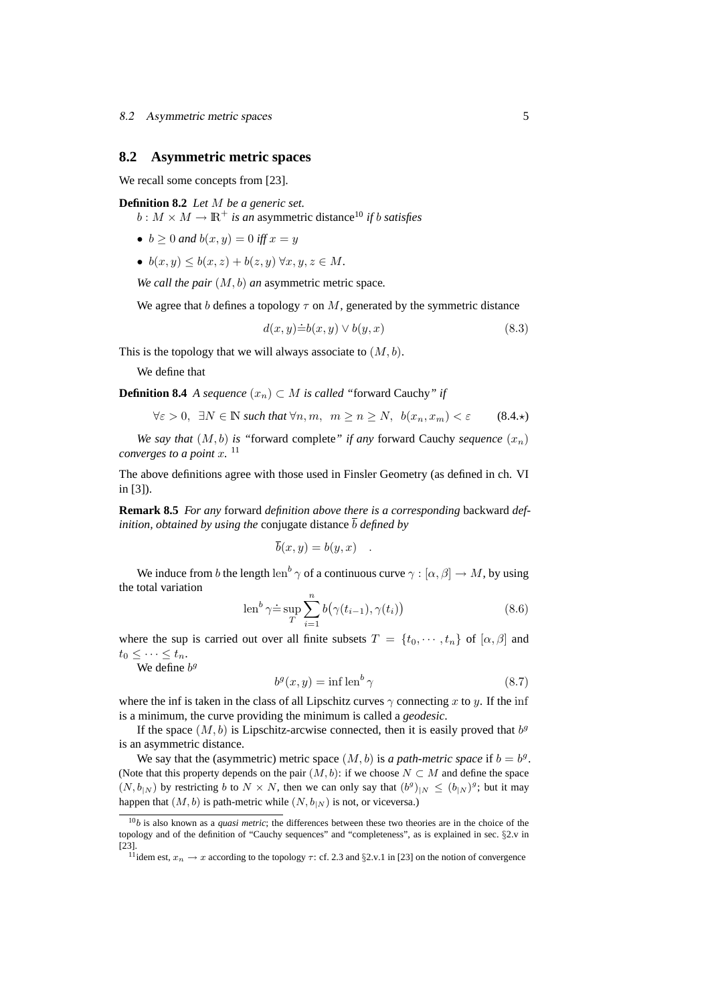#### **8.2 Asymmetric metric spaces**

We recall some concepts from [23].

**Definition 8.2** *Let* M *be a generic set.*

 $b: M \times M \to \mathbb{R}^+$  *is an* asymmetric distance<sup>10</sup> *if b satisfies* 

- $b \ge 0$  *and*  $b(x, y) = 0$  *iff*  $x = y$
- $b(x, y) \leq b(x, z) + b(z, y) \,\forall x, y, z \in M$ .

*We call the pair* (M, b) *an* asymmetric metric space*.*

We agree that b defines a topology  $\tau$  on M, generated by the symmetric distance

$$
d(x, y) \dot{=} b(x, y) \lor b(y, x) \tag{8.3}
$$

This is the topology that we will always associate to  $(M, b)$ .

We define that

**Definition 8.4** *A sequence*  $(x_n)$  ⊂ *M is called* "forward Cauchy" *if* 

$$
\forall \varepsilon > 0, \ \exists N \in \mathbb{N} \ \text{such that} \ \forall n, m, \ m \ge n \ge N, \ b(x_n, x_m) < \varepsilon \tag{8.4.}
$$

*We say that*  $(M, b)$  *is "forward complete" if any forward Cauchy sequence*  $(x_n)$ *converges to a point* x*.* 11

The above definitions agree with those used in Finsler Geometry (as defined in ch. VI in [3]).

**Remark 8.5** *For any* forward *definition above there is a corresponding* backward *definition, obtained by using the* conjugate distance  $\overline{b}$  *defined by* 

$$
b(x,y) = b(y,x) .
$$

We induce from b the length len<sup>b</sup>  $\gamma$  of a continuous curve  $\gamma : [\alpha, \beta] \to M$ , by using the total variation

$$
\operatorname{len}^b \gamma \doteq \sup_{T} \sum_{i=1}^n b(\gamma(t_{i-1}), \gamma(t_i))
$$
\n(8.6)

where the sup is carried out over all finite subsets  $T = \{t_0, \dots, t_n\}$  of  $[\alpha, \beta]$  and  $t_0 \leq \cdots \leq t_n$ .

We define  $b^g$ 

$$
b^g(x, y) = \inf \operatorname{len}^b \gamma \tag{8.7}
$$

where the inf is taken in the class of all Lipschitz curves  $\gamma$  connecting x to y. If the inf is a minimum, the curve providing the minimum is called a *geodesic*.

If the space  $(M, b)$  is Lipschitz-arcwise connected, then it is easily proved that  $b<sup>9</sup>$ is an asymmetric distance.

We say that the (asymmetric) metric space  $(M, b)$  is *a path-metric space* if  $b = b<sup>g</sup>$ . (Note that this property depends on the pair  $(M, b)$ : if we choose  $N \subset M$  and define the space  $(N, b_{|N})$  by restricting b to  $N \times N$ , then we can only say that  $(b^g)|_N \le (b_{|N})^g$ ; but it may happen that  $(M, b)$  is path-metric while  $(N, b_{|N})$  is not, or viceversa.)

 $10<sub>b</sub>$  is also known as a *quasi metric*; the differences between these two theories are in the choice of the topology and of the definition of "Cauchy sequences" and "completeness", as is explained in sec. §2.v in [23].

<sup>&</sup>lt;sup>11</sup>idem est,  $x_n \to x$  according to the topology  $\tau$ : cf. 2.3 and §2.v.1 in [23] on the notion of convergence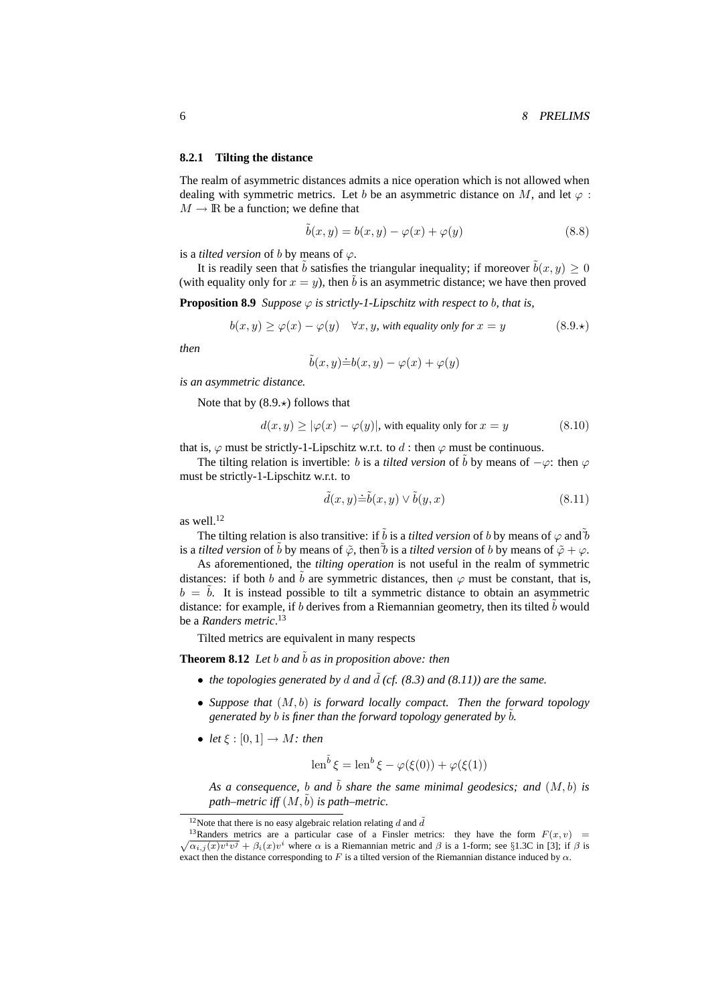#### **8.2.1 Tilting the distance**

The realm of asymmetric distances admits a nice operation which is not allowed when dealing with symmetric metrics. Let b be an asymmetric distance on M, and let  $\varphi$ :  $M \to \mathbb{R}$  be a function; we define that

$$
\tilde{b}(x, y) = b(x, y) - \varphi(x) + \varphi(y)
$$
\n(8.8)

is a *tilted version* of b by means of  $\varphi$ .

It is readily seen that  $\tilde{b}$  satisfies the triangular inequality; if moreover  $\tilde{b}(x, y) > 0$ (with equality only for  $x = y$ ), then  $\tilde{b}$  is an asymmetric distance; we have then proved

**Proposition 8.9** *Suppose*  $\varphi$  *is strictly-1-Lipschitz with respect to b, that is,* 

$$
b(x, y) \ge \varphi(x) - \varphi(y) \quad \forall x, y, \text{ with equality only for } x = y \tag{8.9.}
$$

*then*

$$
\tilde{b}(x, y) \dot{=} b(x, y) - \varphi(x) + \varphi(y)
$$

*is an asymmetric distance.*

Note that by  $(8.9 \star)$  follows that

$$
d(x, y) \ge |\varphi(x) - \varphi(y)|
$$
, with equality only for  $x = y$  (8.10)

that is,  $\varphi$  must be strictly-1-Lipschitz w.r.t. to d : then  $\varphi$  must be continuous.

The tilting relation is invertible: b is a *tilted version* of  $\tilde{b}$  by means of  $-\varphi$ : then  $\varphi$ must be strictly-1-Lipschitz w.r.t. to

$$
\tilde{d}(x, y) \dot{=} \tilde{b}(x, y) \lor \tilde{b}(y, x) \tag{8.11}
$$

as well.<sup>12</sup>

The tilting relation is also transitive: if  $\tilde{b}$  is a *tilted version* of b by means of  $\varphi$  and  $\tilde{b}$ is a *tilted version* of  $\tilde{b}$  by means of  $\tilde{\varphi}$ , then  $\tilde{b}$  is a *tilted version* of b by means of  $\tilde{\varphi} + \varphi$ .

As aforementioned, the *tilting operation* is not useful in the realm of symmetric distances: if both b and  $\tilde{b}$  are symmetric distances, then  $\varphi$  must be constant, that is,  $b = \tilde{b}$ . It is instead possible to tilt a symmetric distance to obtain an asymmetric distance: for example, if b derives from a Riemannian geometry, then its tilted  $\tilde{b}$  would be a *Randers metric*. 13

Tilted metrics are equivalent in many respects

**Theorem 8.12** *Let b and b as in proposition above: then* 

- *the topologies generated by* d and  $\tilde{d}$  (cf. (8.3) and (8.11)) are the same.
- *Suppose that* (M, b) *is forward locally compact. Then the forward topology generated by b is finer than the forward topology generated by b*.
- *let*  $\xi : [0, 1] \rightarrow M$ *: then*

$$
\operatorname{len}^{\tilde{b}} \xi = \operatorname{len}^b \xi - \varphi(\xi(0)) + \varphi(\xi(1))
$$

As a consequence, b and  $\tilde{b}$  *share the same minimal geodesics; and*  $(M, b)$  *is path–metric iff*  $(M, \tilde{b})$  *is path–metric.* 

<sup>&</sup>lt;sup>12</sup>Note that there is no easy algebraic relation relating d and  $\tilde{d}$ 

<sup>&</sup>lt;sup>13</sup> Randers metrics are a particular case of a Finsler metrics: they have the form  $F(x, v)$  =  $\sqrt{\alpha_{i,j}(x)v^iv^j} + \beta_i(x)v^i$  where  $\alpha$  is a Riemannian metric and  $\beta$  is a 1-form; see §1.3C in [3]; if  $\beta$  is exact then the distance corresponding to F is a tilted version of the Riemannian distance induced by  $\alpha$ .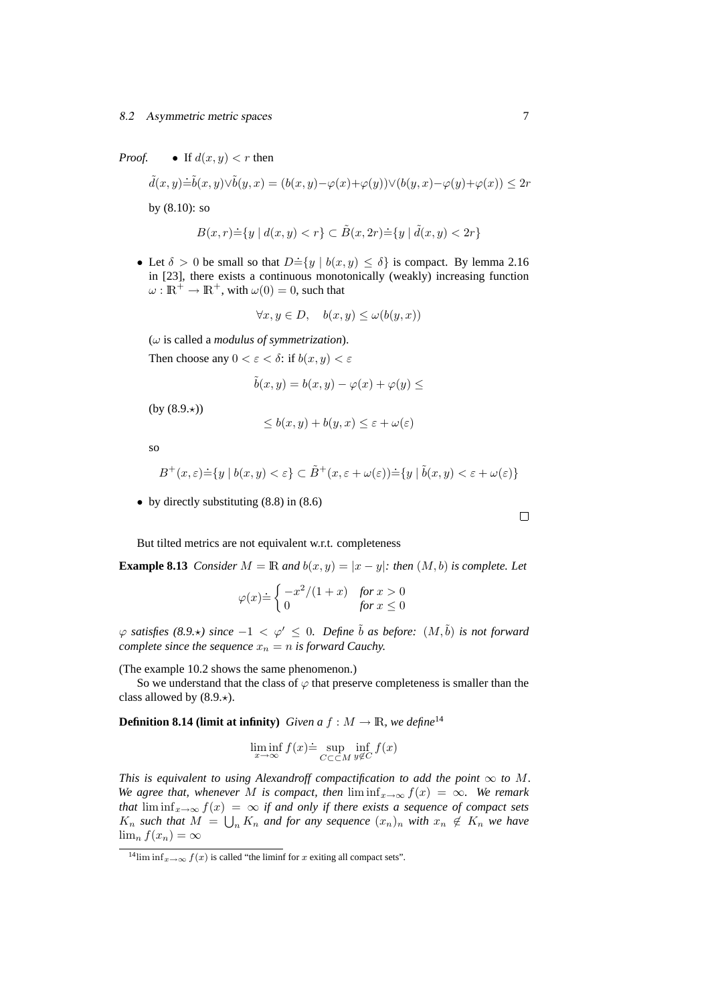#### 8.2 Asymmetric metric spaces 7

*Proof.* • If  $d(x, y) < r$  then

$$
\tilde{d}(x,y) \doteq \tilde{b}(x,y) \vee \tilde{b}(y,x) = (b(x,y) - \varphi(x) + \varphi(y)) \vee (b(y,x) - \varphi(y) + \varphi(x)) \le 2r
$$

by (8.10): so

$$
B(x,r) \dot{=} \{ y \mid d(x,y) < r \} \subset \tilde{B}(x, 2r) \dot{=} \{ y \mid \tilde{d}(x,y) < 2r \}
$$

• Let  $\delta > 0$  be small so that  $D = \{y \mid b(x, y) \leq \delta\}$  is compact. By lemma 2.16 in [23], there exists a continuous monotonically (weakly) increasing function  $\omega : \mathbb{R}^+ \to \mathbb{R}^+$ , with  $\omega(0) = 0$ , such that

$$
\forall x, y \in D, \quad b(x, y) \le \omega(b(y, x))
$$

(ω is called a *modulus of symmetrization*). Then choose any  $0 < \varepsilon < \delta$ : if  $b(x, y) < \varepsilon$ 

$$
\tilde{b}(x,y) = b(x,y) - \varphi(x) + \varphi(y) \le
$$

 $(by (8.9.*))$ 

$$
\leq b(x, y) + b(y, x) \leq \varepsilon + \omega(\varepsilon)
$$

so

$$
B^+(x,\varepsilon) \dot{=} \{ y \mid b(x,y) < \varepsilon \} \subset \tilde{B}^+(x,\varepsilon + \omega(\varepsilon)) \dot{=} \{ y \mid \tilde{b}(x,y) < \varepsilon + \omega(\varepsilon) \}
$$

• by directly substituting  $(8.8)$  in  $(8.6)$ 

But tilted metrics are not equivalent w.r.t. completeness

**Example 8.13** *Consider*  $M = \mathbb{R}$  *and*  $b(x, y) = |x - y|$ *: then*  $(M, b)$  *is complete. Let* 

$$
\varphi(x) \doteq \begin{cases}\n-x^2/(1+x) & \text{for } x > 0 \\
0 & \text{for } x \le 0\n\end{cases}
$$

 $\varphi$  *satisfies* (8.9. $\star$ ) since  $-1 < \varphi' \leq 0$ . Define  $\tilde{b}$  as before:  $(M, \tilde{b})$  *is not forward complete since the sequence*  $x_n = n$  *is forward Cauchy.* 

(The example 10.2 shows the same phenomenon.)

So we understand that the class of  $\varphi$  that preserve completeness is smaller than the class allowed by  $(8.9.*)$ .

**Definition 8.14 (limit at infinity)** *Given a*  $f : M \to \mathbb{R}$ *, we define*<sup>14</sup>

$$
\liminf_{x \to \infty} f(x) = \sup_{C \subset \subset M} \inf_{y \notin C} f(x)
$$

*This is equivalent to using Alexandroff compactification to add the point*  $\infty$  *to* M. *We agree that, whenever M is compact, then*  $\liminf_{x\to\infty} f(x) = \infty$ *. We remark that*  $\liminf_{x\to\infty} f(x) = \infty$  *if and only if there exists a sequence of compact sets*  $K_n$  such that  $M = \bigcup_n K_n$  and for any sequence  $(x_n)_n$  with  $x_n \notin K_n$  we have  $\lim_{n} f(x_n) = \infty$ 

 $\Box$ 

<sup>&</sup>lt;sup>14</sup>lim inf<sub>x→∞</sub>  $f(x)$  is called "the liminf for x exiting all compact sets".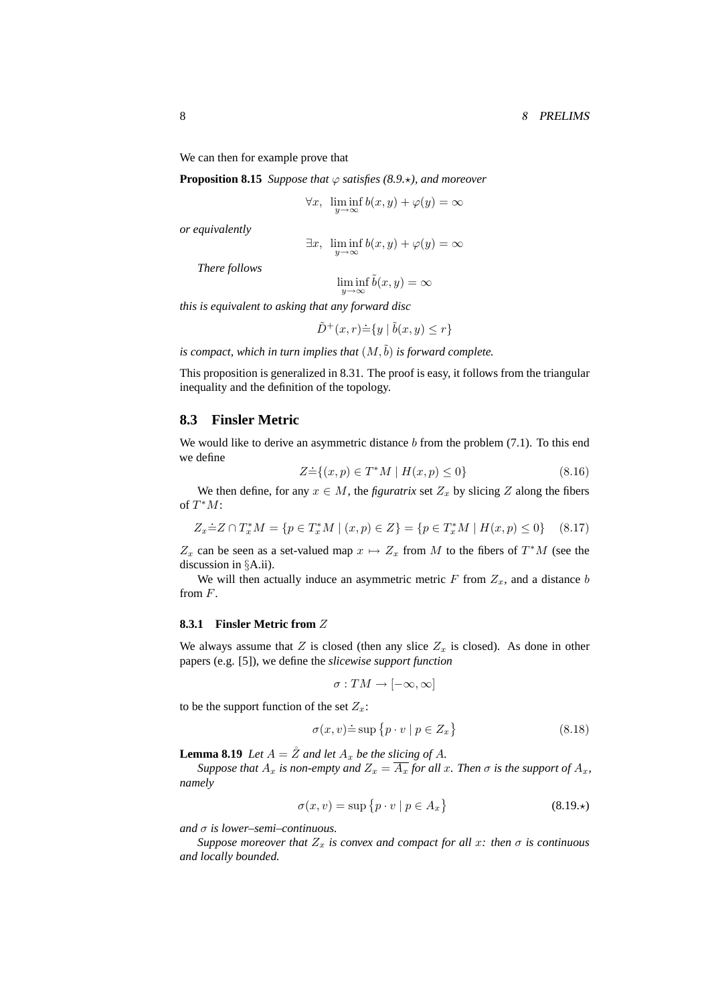We can then for example prove that

**Proposition 8.15** *Suppose that*  $\varphi$  *satisfies* (8.9. $\star$ )*, and moreover* 

$$
\forall x, \ \liminf_{y \to \infty} b(x, y) + \varphi(y) = \infty
$$

*or equivalently*

 $\exists x, \liminf_{y \to \infty} b(x, y) + \varphi(y) = \infty$ 

*There follows*

$$
\liminf_{y \to \infty} \tilde{b}(x, y) = \infty
$$

*this is equivalent to asking that any forward disc*

$$
\tilde{D}^+(x,r) \dot{=} \{ y \mid \tilde{b}(x,y) \le r \}
$$

*is compact, which in turn implies that*  $(M, \tilde{b})$  *is forward complete.* 

This proposition is generalized in 8.31. The proof is easy, it follows from the triangular inequality and the definition of the topology.

#### **8.3 Finsler Metric**

We would like to derive an asymmetric distance  $b$  from the problem  $(7.1)$ . To this end we define

$$
Z \dot{=} \{(x, p) \in T^*M \mid H(x, p) \le 0\}
$$
\n(8.16)

We then define, for any  $x \in M$ , the *figuratrix* set  $Z_x$  by slicing Z along the fibers of  $T^*M$ :

$$
Z_x \doteq Z \cap T_x^* M = \{ p \in T_x^* M \mid (x, p) \in Z \} = \{ p \in T_x^* M \mid H(x, p) \le 0 \} \quad (8.17)
$$

 $Z_x$  can be seen as a set-valued map  $x \mapsto Z_x$  from M to the fibers of  $T^*M$  (see the discussion in §A.ii).

We will then actually induce an asymmetric metric  $F$  from  $Z_x$ , and a distance  $b$ from F.

#### **8.3.1 Finsler Metric from** Z

We always assume that Z is closed (then any slice  $Z_x$  is closed). As done in other papers (e.g. [5]), we define the *slicewise support function*

$$
\sigma: TM \to [-\infty, \infty]
$$

to be the support function of the set  $Z_x$ :

$$
\sigma(x, v) \doteq \sup \{ p \cdot v \mid p \in Z_x \}
$$
\n(8.18)

**Lemma 8.19** *Let*  $A = \mathring{Z}$  *and let*  $A_x$  *be the slicing of* A.

*Suppose that*  $A_x$  *is non-empty and*  $Z_x = \overline{A_x}$  *for all x. Then*  $\sigma$  *is the support of*  $A_x$ *, namely*

$$
\sigma(x, v) = \sup \{ p \cdot v \mid p \in A_x \}
$$
\n(8.19.\*)

*and* σ *is lower–semi–continuous.*

*Suppose moreover that*  $Z_x$  *is convex and compact for all x: then*  $\sigma$  *is continuous and locally bounded.*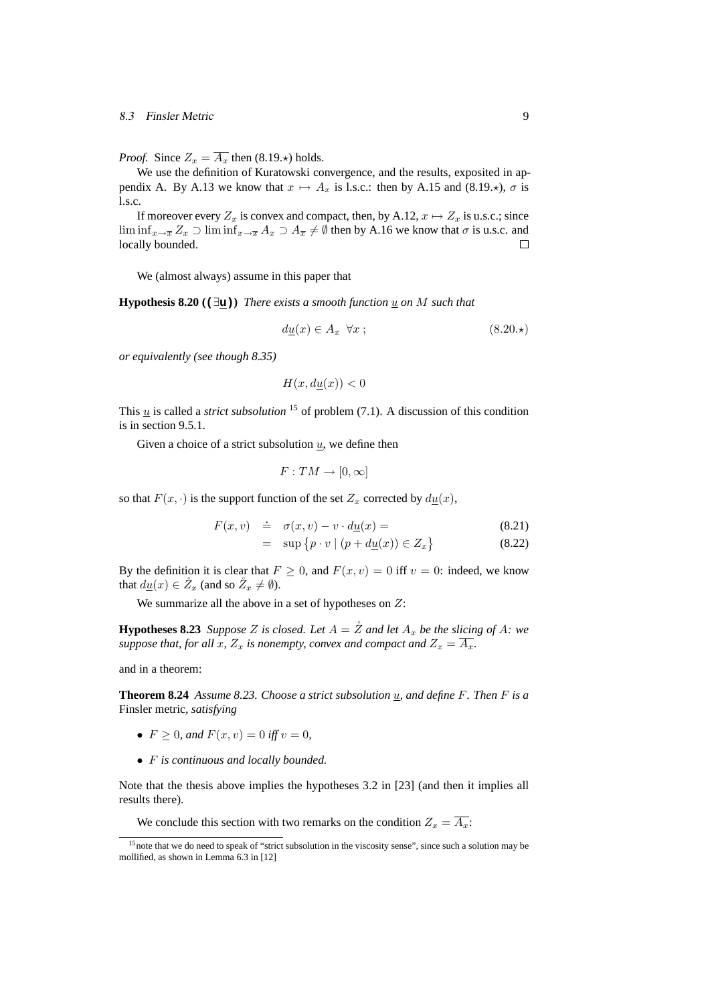#### 8.3 Finsler Metric 9

*Proof.* Since  $Z_x = \overline{A_x}$  then (8.19. $\star$ ) holds.

We use the definition of Kuratowski convergence, and the results, exposited in appendix A. By A.13 we know that  $x \mapsto A_x$  is l.s.c.: then by A.15 and (8.19. $\star$ ),  $\sigma$  is l.s.c.

If moreover every  $Z_x$  is convex and compact, then, by A.12,  $x \mapsto Z_x$  is u.s.c.; since  $\liminf_{x\to\overline{x}} Z_x \supset \liminf_{x\to\overline{x}} A_x \supset A_{\overline{x}} \neq \emptyset$  then by A.16 we know that  $\sigma$  is u.s.c. and locally bounded.  $\Box$ 

We (almost always) assume in this paper that

**Hypothesis 8.20 ((**∃**u))** *There exists a smooth function* u *on* M *such that*

$$
d\underline{u}(x) \in A_x \quad \forall x \; ; \tag{8.20.4}
$$

*or equivalently (see though 8.35)*

$$
H(x, d\underline{u}(x)) < 0
$$

This u is called a *strict subsolution*  $15$  of problem (7.1). A discussion of this condition is in section 9.5.1.

Given a choice of a strict subsolution  $u$ , we define then

$$
F:TM\to[0,\infty]
$$

so that  $F(x, \cdot)$  is the support function of the set  $Z_x$  corrected by  $d\underline{u}(x)$ ,

$$
F(x,v) \quad \doteq \quad \sigma(x,v) - v \cdot d\underline{u}(x) = \tag{8.21}
$$

$$
= \sup \{ p \cdot v \mid (p + d\underline{u}(x)) \in Z_x \} \tag{8.22}
$$

By the definition it is clear that  $F \ge 0$ , and  $F(x, v) = 0$  iff  $v = 0$ : indeed, we know that  $d\underline{u}(x) \in \overline{Z}_x$  (and so  $\overline{Z}_x \neq \emptyset$ ).

We summarize all the above in a set of hypotheses on  $Z$ :

**Hypotheses 8.23** *Suppose* Z *is closed. Let*  $A = \mathbb{Z}$  *and let*  $A_x$  *be the slicing of* A: we *suppose that, for all x,*  $Z_x$  *is nonempty, convex and compact and*  $Z_x = \overline{A_x}$ *.* 

and in a theorem:

**Theorem 8.24** *Assume 8.23. Choose a strict subsolution* u*, and define* F*. Then* F *is a* Finsler metric*, satisfying*

- $F \geq 0$ *, and*  $F(x, v) = 0$  *iff*  $v = 0$ *,*
- F *is continuous and locally bounded.*

Note that the thesis above implies the hypotheses 3.2 in [23] (and then it implies all results there).

We conclude this section with two remarks on the condition  $Z_x = \overline{A_x}$ :

 $15$  note that we do need to speak of "strict subsolution in the viscosity sense", since such a solution may be mollified, as shown in Lemma 6.3 in [12]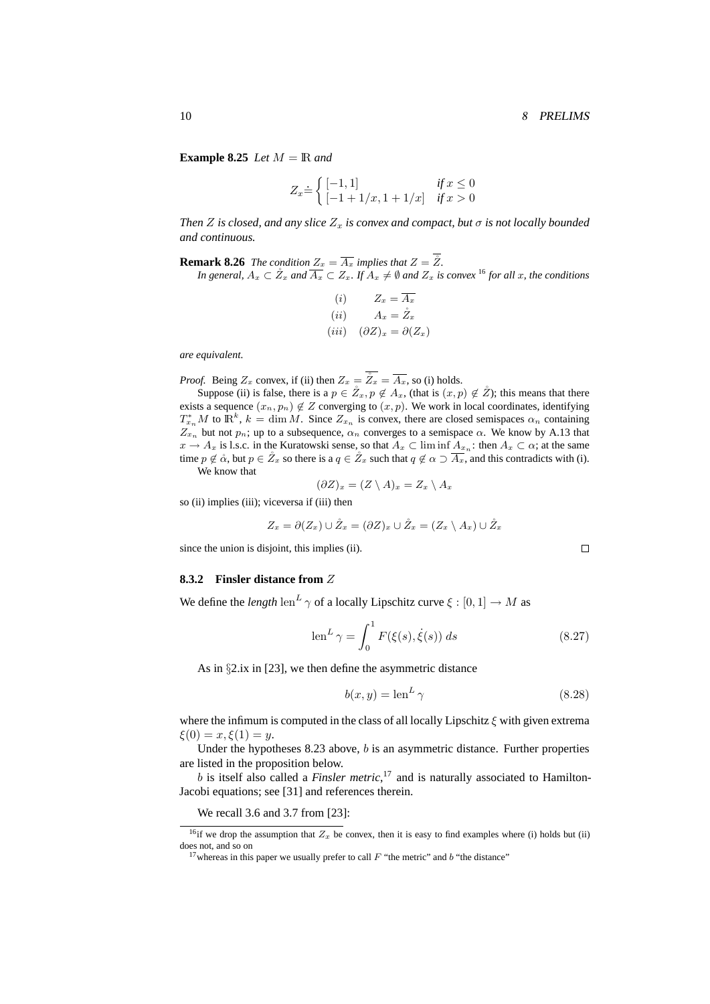**Example 8.25** *Let*  $M = \mathbb{R}$  *and* 

$$
Z_x = \begin{cases} [-1,1] & \text{if } x \le 0\\ [-1+1/x, 1+1/x] & \text{if } x > 0 \end{cases}
$$

*Then Z is closed, and any slice*  $Z_x$  *is convex and compact, but*  $\sigma$  *is not locally bounded and continuous.*

**Remark 8.26** *The condition*  $Z_x = \overline{A_x}$  *implies that*  $Z = \mathring{Z}$ *.* 

*In general,*  $A_x \subset \overset{\circ}{Z}_x$  and  $\overline{A_x} \subset Z_x$ . If  $A_x \neq \emptyset$  and  $Z_x$  is convex <sup>16</sup> for all x, the conditions

(i) 
$$
Z_x = \overline{A_x}
$$
  
\n(ii) 
$$
A_x = \mathring{Z}_x
$$
  
\n(iii) 
$$
(\partial Z)_x = \partial (Z_x)
$$

*are equivalent.*

*Proof.* Being  $Z_x$  convex, if (ii) then  $Z_x = \overline{Z_x} = \overline{A_x}$ , so (i) holds.

Suppose (ii) is false, there is a  $p \in \mathring{Z}_x, p \notin A_x$ , (that is  $(x, p) \notin \mathring{Z}$ ); this means that there exists a sequence  $(x_n, p_n) \notin Z$  converging to  $(x, p)$ . We work in local coordinates, identifying  $T_{x_n}^*M$  to  $\mathbb{R}^k$ ,  $k = \dim M$ . Since  $Z_{x_n}$  is convex, there are closed semispaces  $\alpha_n$  containing  $Z_{x_n}$  but not  $p_n$ ; up to a subsequence,  $\alpha_n$  converges to a semispace  $\alpha$ . We know by A.13 that  $x \to A_x$  is l.s.c. in the Kuratowski sense, so that  $A_x \subset \liminf A_{x_n}$ : then  $A_x \subset \alpha$ ; at the same time  $p \notin \mathring{\alpha}$ , but  $p \in \mathring{Z}_x$  so there is a  $q \in \mathring{Z}_x$  such that  $q \notin \alpha \supset \overline{A_x}$ , and this contradicts with (i). We know that

$$
(\partial Z)_x = (Z \setminus A)_x = Z_x \setminus A_x
$$

so (ii) implies (iii); viceversa if (iii) then

$$
Z_x = \partial(Z_x) \cup \mathring{Z}_x = (\partial Z)_x \cup \mathring{Z}_x = (Z_x \setminus A_x) \cup \mathring{Z}_x
$$

since the union is disjoint, this implies (ii).

#### **8.3.2 Finsler distance from** Z

We define the *length*  $\text{len}^L \gamma$  of a locally Lipschitz curve  $\xi : [0,1] \to M$  as

$$
\operatorname{len}^L \gamma = \int_0^1 F(\xi(s), \dot{\xi}(s)) ds \tag{8.27}
$$

As in §2.ix in [23], we then define the asymmetric distance

$$
b(x, y) = \operatorname{len}^L \gamma \tag{8.28}
$$

where the infimum is computed in the class of all locally Lipschitz  $\xi$  with given extrema  $\xi(0) = x, \xi(1) = y.$ 

Under the hypotheses 8.23 above,  $b$  is an asymmetric distance. Further properties are listed in the proposition below.

b is itself also called a *Finsler metric*, <sup>17</sup> and is naturally associated to Hamilton-Jacobi equations; see [31] and references therein.

We recall 3.6 and 3.7 from [23]:

 $\Box$ 

<sup>&</sup>lt;sup>16</sup>if we drop the assumption that  $Z_x$  be convex, then it is easy to find examples where (i) holds but (ii) does not, and so on

<sup>&</sup>lt;sup>17</sup> whereas in this paper we usually prefer to call  $F$  "the metric" and b "the distance"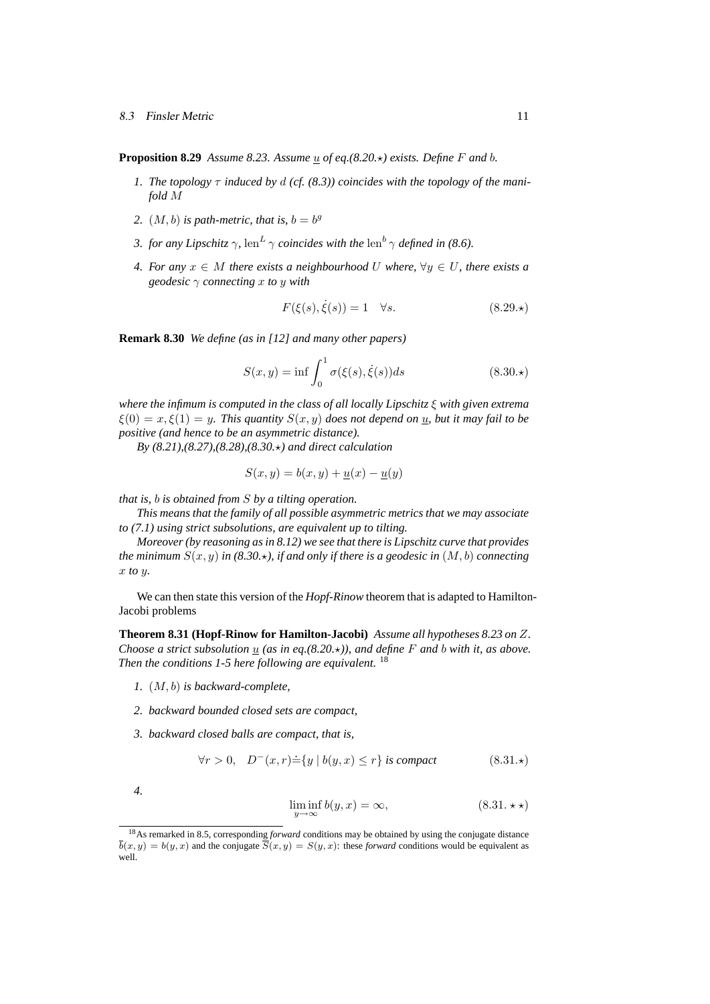**Proposition 8.29** *Assume 8.23. Assume u of eq.(8.20.* $\star$ *) exists. Define* F *and b.* 

- *1. The topology* τ *induced by* d *(cf. (8.3)) coincides with the topology of the manifold* M
- 2.  $(M, b)$  is path-metric, that is,  $b = b^g$
- 3. for any Lipschitz  $\gamma$ ,  $\text{len}^{L} \gamma$  coincides with the  $\text{len}^{b} \gamma$  defined in (8.6).
- *4. For any*  $x \in M$  *there exists a neighbourhood* U *where,* ∀ $y \in U$ *, there exists a geodesic* γ *connecting* x *to* y *with*

$$
F(\xi(s), \dot{\xi}(s)) = 1 \quad \forall s. \tag{8.29.}\star
$$

**Remark 8.30** *We define (as in [12] and many other papers)*

$$
S(x,y) = \inf \int_0^1 \sigma(\xi(s), \dot{\xi}(s)) ds
$$
 (8.30.\*)

*where the infimum is computed in the class of all locally Lipschitz* ξ *with given extrema*  $\xi(0) = x, \xi(1) = y$ . This quantity  $S(x, y)$  does not depend on <u>u</u>, but it may fail to be *positive (and hence to be an asymmetric distance).*

*By (8.21),(8.27),(8.28),(8.30.*?*) and direct calculation*

$$
S(x, y) = b(x, y) + \underline{u}(x) - \underline{u}(y)
$$

*that is,* b *is obtained from* S *by a tilting operation.*

*This means that the family of all possible asymmetric metrics that we may associate to (7.1) using strict subsolutions, are equivalent up to tilting.*

*Moreover (by reasoning as in 8.12) we see that there is Lipschitz curve that provides the minimum*  $S(x, y)$  *in* (8.30. $\star$ )*, if and only if there is a geodesic in*  $(M, b)$  *connecting* x *to* y*.*

We can then state this version of the *Hopf-Rinow* theorem that is adapted to Hamilton-Jacobi problems

**Theorem 8.31 (Hopf-Rinow for Hamilton-Jacobi)** *Assume all hypotheses 8.23 on* Z*. Choose a strict subsolution* u *(as in eq.*(8.20. $\star$ )), and define F and b with it, as above. *Then the conditions 1-5 here following are equivalent.* <sup>18</sup>

- *1.* (M, b) *is backward-complete,*
- *2. backward bounded closed sets are compact,*
- *3. backward closed balls are compact, that is,*

$$
\forall r > 0, \quad D^{-}(x, r) \doteq \{ y \mid b(y, x) \le r \} \text{ is compact}
$$
\n
$$
(8.31.*)
$$

*4.*

$$
\liminf_{y \to \infty} b(y, x) = \infty, \tag{8.31.}\star\star
$$

<sup>18</sup>As remarked in 8.5, corresponding *forward* conditions may be obtained by using the conjugate distance  $\overline{b}(x, y) = b(y, x)$  and the conjugate  $\overline{S}(x, y) = S(y, x)$ : these *forward* conditions would be equivalent as well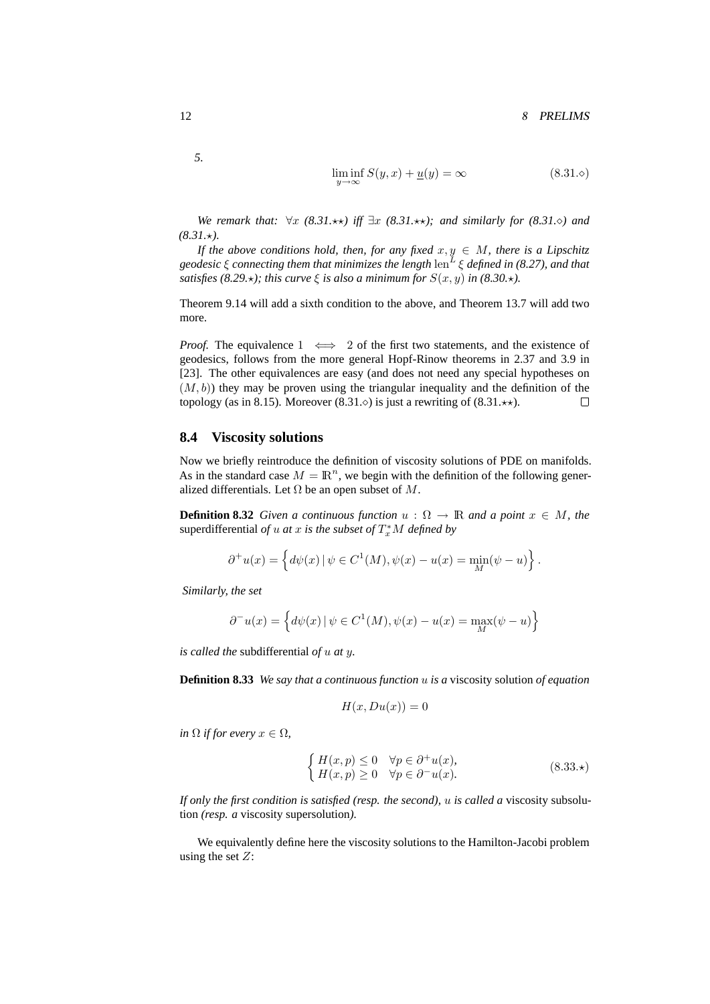$$
\liminf_{y \to \infty} S(y, x) + \underline{u}(y) = \infty
$$
\n(8.31.

*We remark that:*  $\forall x$  (8.31. $\star\star$ ) *iff*  $\exists x$  (8.31. $\star\star$ ); and similarly for (8.31. $\diamond$ ) and  $(8.31. \star)$ 

*If the above conditions hold, then, for any fixed*  $x, y \in M$ *, there is a Lipschitz* geodesic  $\xi$  connecting them that minimizes the length  $\mathrm{len}^L \xi$  defined in (8.27), and that *satisfies (8.29.*\*); this curve  $\xi$  *is also a minimum for*  $S(x, y)$  *in (8.30.*\*).

Theorem 9.14 will add a sixth condition to the above, and Theorem 13.7 will add two more.

*Proof.* The equivalence  $1 \iff 2$  of the first two statements, and the existence of geodesics, follows from the more general Hopf-Rinow theorems in 2.37 and 3.9 in [23]. The other equivalences are easy (and does not need any special hypotheses on  $(M, b)$ ) they may be proven using the triangular inequality and the definition of the topology (as in 8.15). Moreover (8.31. $\diamond$ ) is just a rewriting of (8.31. $\star\star$ ).  $\Box$ 

#### **8.4 Viscosity solutions**

Now we briefly reintroduce the definition of viscosity solutions of PDE on manifolds. As in the standard case  $M = \mathbb{R}^n$ , we begin with the definition of the following generalized differentials. Let  $\Omega$  be an open subset of M.

**Definition 8.32** *Given a continuous function*  $u : \Omega \to \mathbb{R}$  *and a point*  $x \in M$ *, the* superdifferential *of*  $u$  *at*  $x$  *is the subset of*  $T_x^*M$  *defined by* 

$$
\partial^+ u(x) = \left\{ d\psi(x) \, | \, \psi \in C^1(M), \psi(x) - u(x) = \min_M(\psi - u) \right\}.
$$

*Similarly, the set*

$$
\partial^{-}u(x) = \left\{ d\psi(x) \, | \, \psi \in C^{1}(M), \psi(x) - u(x) = \max_{M}(\psi - u) \right\}
$$

*is called the* subdifferential *of* u *at* y*.*

**Definition 8.33** *We say that a continuous function* u *is a* viscosity solution *of equation*

$$
H(x, Du(x)) = 0
$$

*in*  $\Omega$  *if for every*  $x \in \Omega$ *,* 

$$
\begin{cases}\nH(x,p) \le 0 & \forall p \in \partial^+ u(x), \\
H(x,p) \ge 0 & \forall p \in \partial^- u(x).\n\end{cases}
$$
\n(8.33.\*)

*If only the first condition is satisfied (resp. the second),* u *is called a* viscosity subsolution *(resp. a* viscosity supersolution*).*

We equivalently define here the viscosity solutions to the Hamilton-Jacobi problem using the set  $Z$ :

*5.*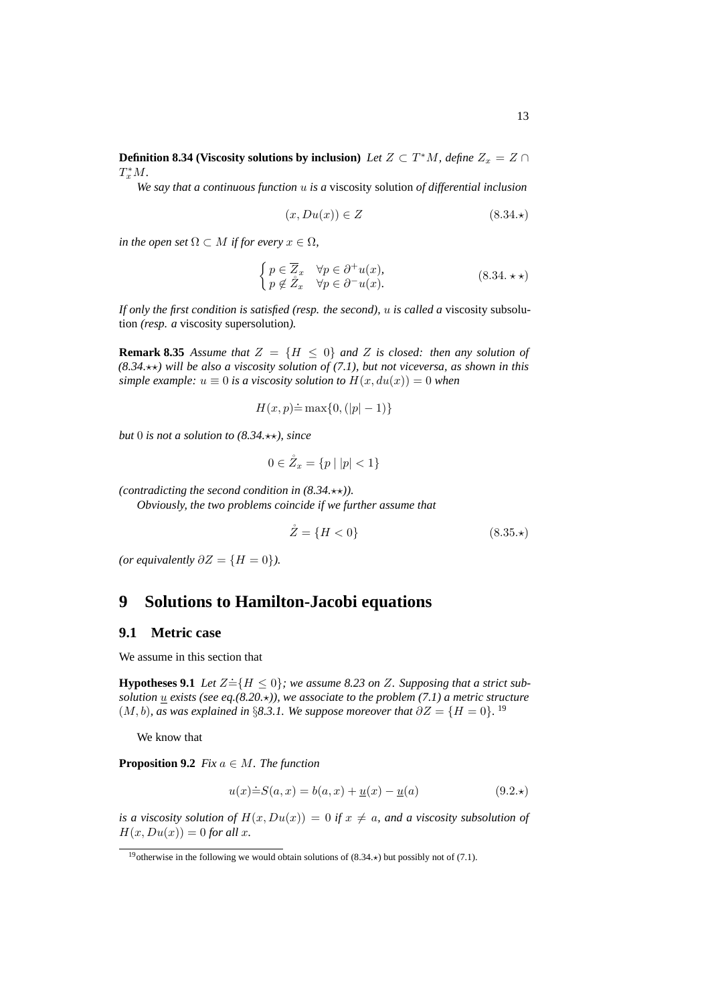**Definition 8.34 (Viscosity solutions by inclusion)** *Let*  $Z \subset T^*M$ , *define*  $Z_x = Z \cap T^*M$  $T_x^*M$ .

*We say that a continuous function* u *is a* viscosity solution *of differential inclusion*

$$
(x, Du(x)) \in Z \tag{8.34.}\star
$$

*in the open set*  $\Omega \subset M$  *if for every*  $x \in \Omega$ *,* 

$$
\begin{cases} p \in \overline{Z}_x & \forall p \in \partial^+ u(x), \\ p \notin \mathring{Z}_x & \forall p \in \partial^- u(x). \end{cases} \tag{8.34. \star \star}
$$

*If only the first condition is satisfied (resp. the second),* u *is called a* viscosity subsolution *(resp. a* viscosity supersolution*).*

**Remark 8.35** *Assume that*  $Z = \{H \leq 0\}$  *and*  $Z$  *is closed: then any solution of*  $(8.34 \star \star)$  will be also a viscosity solution of  $(7.1)$ , but not viceversa, as shown in this *simple example:*  $u \equiv 0$  *is a viscosity solution to*  $H(x, du(x)) = 0$  *when* 

$$
H(x,p) \doteq \max\{0, (|p|-1)\}
$$

*but* 0 *is not a solution to* (8.34. $\star\star$ ), since

$$
0 \in \mathring{Z}_x = \{ p \mid |p| < 1 \}
$$

*(contradicting the second condition in*  $(8.34.*).$ *)*.

*Obviously, the two problems coincide if we further assume that*

$$
\overset{\circ}{Z} = \{H < 0\} \tag{8.35.}\star
$$

*(or equivalently*  $\partial Z = \{H = 0\}$ *).* 

## **9 Solutions to Hamilton-Jacobi equations**

## **9.1 Metric case**

We assume in this section that

**Hypotheses 9.1** Let  $Z \stackrel{\sim}{=} \{H \leq 0\}$ ; we assume 8.23 on Z. Supposing that a strict sub*solution*  $\underline{u}$  *exists* (see eq.(8.20. $\star$ )), we associate to the problem (7.1) a metric structure  $(M, b)$ *, as was explained in* §8.3.1. We suppose moreover that  $\partial Z = \{H = 0\}$ . <sup>19</sup>

We know that

**Proposition 9.2** *Fix*  $a \in M$ *. The function* 

$$
u(x)\dot{=}S(a,x) = b(a,x) + \underline{u}(x) - \underline{u}(a)
$$
\n(9.2.\*)

*is a viscosity solution of*  $H(x, Du(x)) = 0$  *if*  $x \neq a$ *, and a viscosity subsolution of*  $H(x, Du(x)) = 0$  *for all x*.

<sup>&</sup>lt;sup>19</sup> otherwise in the following we would obtain solutions of (8.34. $\star$ ) but possibly not of (7.1).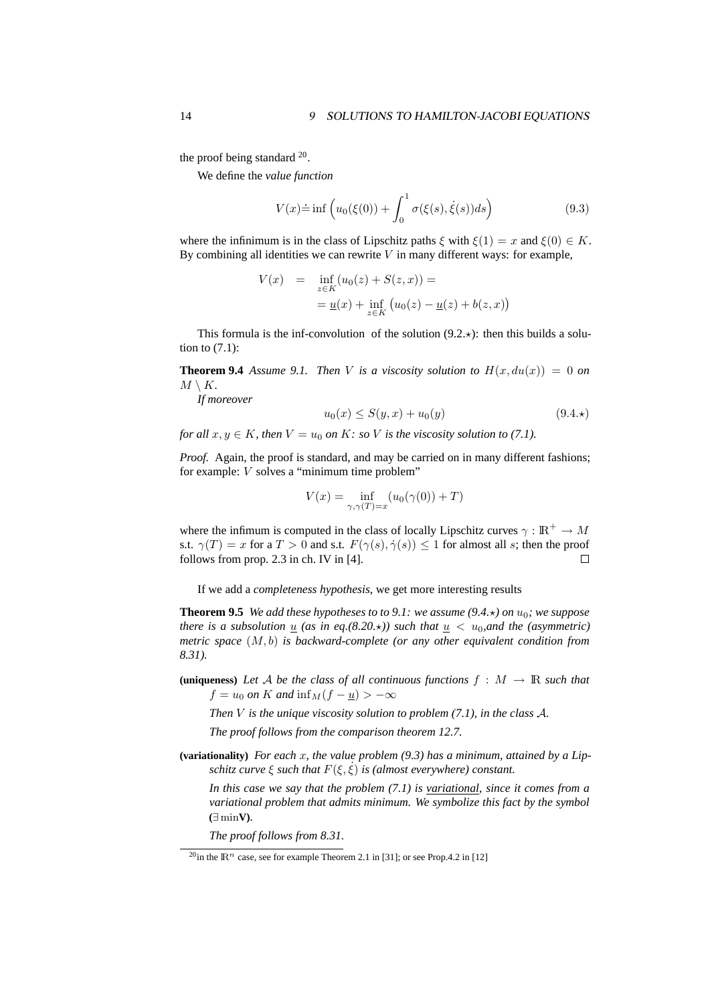the proof being standard  $20$ .

We define the *value function*

$$
V(x) \doteq \inf \left( u_0(\xi(0)) + \int_0^1 \sigma(\xi(s), \dot{\xi}(s)) ds \right) \tag{9.3}
$$

where the infinimum is in the class of Lipschitz paths  $\xi$  with  $\xi(1) = x$  and  $\xi(0) \in K$ . By combining all identities we can rewrite  $V$  in many different ways: for example,

$$
V(x) = \inf_{z \in K} (u_0(z) + S(z, x)) =
$$
  
=  $\underline{u}(x) + \inf_{z \in K} (u_0(z) - \underline{u}(z) + b(z, x))$ 

This formula is the inf-convolution of the solution  $(9.2.*)$ : then this builds a solution to  $(7.1)$ :

**Theorem 9.4** Assume 9.1. Then V is a viscosity solution to  $H(x, du(x)) = 0$  on  $M \setminus K$ .

*If moreover*

$$
u_0(x) \le S(y, x) + u_0(y) \tag{9.4.}
$$

*for all*  $x, y \in K$ *, then*  $V = u_0$  *on*  $K$ *: so*  $V$  *is the viscosity solution to (7.1).* 

*Proof.* Again, the proof is standard, and may be carried on in many different fashions; for example: V solves a "minimum time problem"

$$
V(x) = \inf_{\gamma,\gamma(T)=x} (u_0(\gamma(0)) + T)
$$

where the infimum is computed in the class of locally Lipschitz curves  $\gamma : \mathbb{R}^+ \to M$ s.t.  $\gamma(T) = x$  for a  $T > 0$  and s.t.  $F(\gamma(s), \dot{\gamma}(s)) \le 1$  for almost all s; then the proof follows from prop. 2.3 in ch. IV in [4].  $\Box$ 

If we add a *completeness hypothesis*, we get more interesting results

**Theorem 9.5** *We add these hypotheses to to 9.1; we assume (9.4.* $\star$ ) *on*  $u_0$ *; we suppose there is a subsolution*  $\underline{u}$  *(as in eq.*(8.20. $\star$ *)) such that*  $\underline{u} < u_0$ *, and the (asymmetric) metric space* (M, b) *is backward-complete (or any other equivalent condition from 8.31).*

(uniqueness) Let A be the class of all continuous functions  $f : M \to \mathbb{R}$  such that  $f = u_0$  *on* K *and*  $\inf_M(f - \underline{u}) > -\infty$ 

*Then* V *is the unique viscosity solution to problem (7.1), in the class* A*.*

*The proof follows from the comparison theorem 12.7.*

**(variationality)** *For each* x*, the value problem (9.3) has a minimum, attained by a Lipschitz curve*  $\xi$  *such that*  $F(\xi, \xi)$  *is (almost everywhere) constant.* 

*In this case we say that the problem (7.1) is variational, since it comes from a variational problem that admits minimum. We symbolize this fact by the symbol* **(**∃ min**V)***.*

*The proof follows from 8.31.*

<sup>&</sup>lt;sup>20</sup>in the  $\mathbb{R}^n$  case, see for example Theorem 2.1 in [31]; or see Prop.4.2 in [12]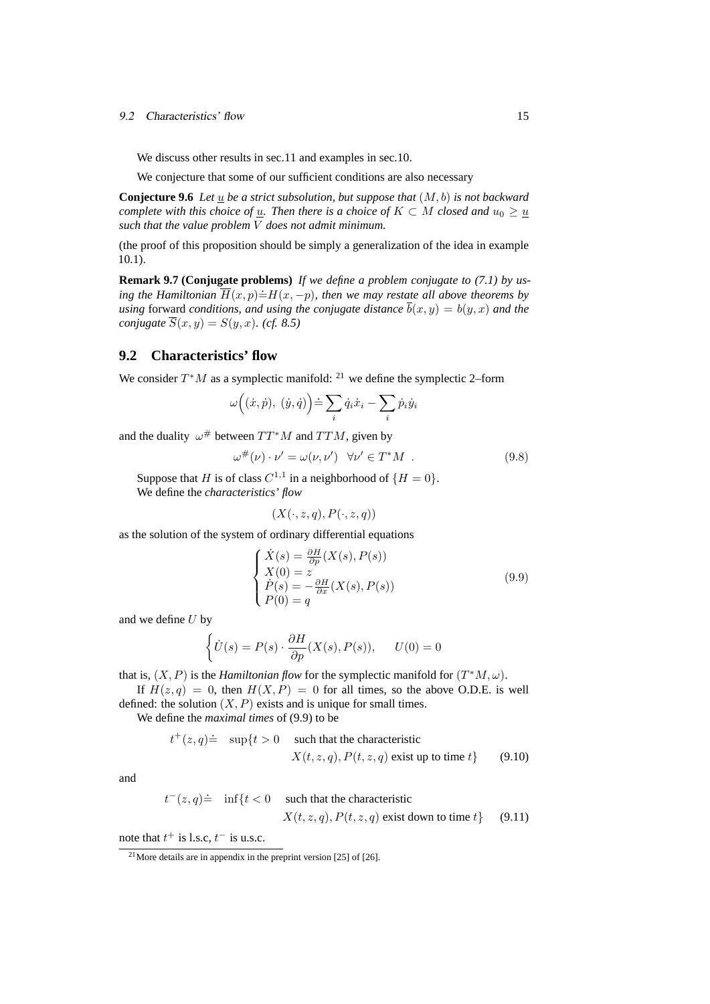#### 9.2 Characteristics' flow 15

We discuss other results in sec.11 and examples in sec.10.

We conjecture that some of our sufficient conditions are also necessary

**Conjecture 9.6** *Let*  $\underline{u}$  *be a strict subsolution, but suppose that*  $(M, b)$  *is not backward complete with this choice of*  $\underline{u}$ *. Then there is a choice of*  $K \subset M$  *closed and*  $u_0 \geq \underline{u}$ *such that the value problem* V *does not admit minimum.*

(the proof of this proposition should be simply a generalization of the idea in example 10.1).

**Remark 9.7 (Conjugate problems)** *If we define a problem conjugate to (7.1) by using the Hamiltonian*  $\overline{H}(x, p) \doteq H(x, -p)$ *, then we may restate all above theorems by using* forward *conditions, and using the conjugate distance*  $\bar{b}(x, y) = b(y, x)$  *and the conjugate*  $\overline{S}(x, y) = S(y, x)$ *. (cf. 8.5)* 

### **9.2 Characteristics' flow**

We consider  $T^*M$  as a symplectic manifold: <sup>21</sup> we define the symplectic 2–form

$$
\omega\Big((\dot x,\dot p),~(\dot y,\dot q)\Big)\dot =\sum_i\dot q_i\dot x_i-\sum_i\dot p_i\dot y_i
$$

and the duality  $\omega^{\#}$  between  $TT^{*}M$  and  $TTM$ , given by

$$
\omega^{\#}(\nu) \cdot \nu' = \omega(\nu, \nu') \quad \forall \nu' \in T^*M \quad . \tag{9.8}
$$

Suppose that H is of class  $C^{1,1}$  in a neighborhood of  $\{H = 0\}$ . We define the *characteristics' flow*

$$
(X(\cdot,z,q),P(\cdot,z,q))
$$

as the solution of the system of ordinary differential equations

$$
\begin{cases}\n\dot{X}(s) = \frac{\partial H}{\partial p}(X(s), P(s)) \\
X(0) = z \\
\dot{P}(s) = -\frac{\partial H}{\partial x}(X(s), P(s)) \\
P(0) = q\n\end{cases}
$$
\n(9.9)

and we define  $U$  by

$$
\left\{\dot{U}(s) = P(s) \cdot \frac{\partial H}{\partial p}(X(s), P(s)), \quad U(0) = 0\right\}
$$

that is,  $(X, P)$  is the *Hamiltonian flow* for the symplectic manifold for  $(T^*M, \omega)$ .

If  $H(z, q) = 0$ , then  $H(X, P) = 0$  for all times, so the above O.D.E. is well defined: the solution  $(X, P)$  exists and is unique for small times.

We define the *maximal times* of (9.9) to be

$$
t^+(z,q)
$$
 = sup{ $t > 0$  such that the characteristic  
 $X(t, z, q), P(t, z, q)$  exist up to time  $t$ } (9.10)

and

$$
t^-(z,q) \doteq \inf\{t < 0 \quad \text{such that the characteristic} \quad X(t,z,q), P(t,z,q) \text{ exist down to time } t\} \tag{9.11}
$$

note that  $t^+$  is l.s.c,  $t^-$  is u.s.c.

<sup>&</sup>lt;sup>21</sup>More details are in appendix in the preprint version [25] of [26].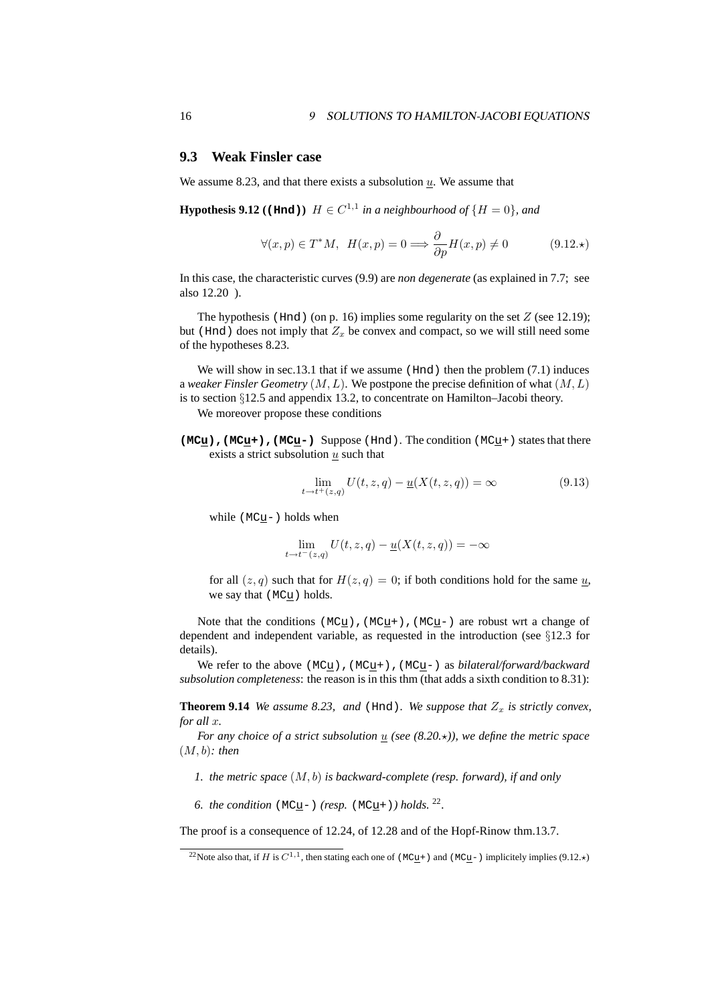#### **9.3 Weak Finsler case**

We assume 8.23, and that there exists a subsolution  $u$ . We assume that

**Hypothesis 9.12 ((Hnd))**  $H \in C^{1,1}$  in a neighbourhood of  $\{H = 0\}$ , and

$$
\forall (x, p) \in T^*M, \ H(x, p) = 0 \Longrightarrow \frac{\partial}{\partial p} H(x, p) \neq 0 \tag{9.12.}\star
$$

In this case, the characteristic curves (9.9) are *non degenerate* (as explained in 7.7; see also 12.20 ).

The hypothesis (Hnd) (on p. 16) implies some regularity on the set  $Z$  (see 12.19); but (Hnd) does not imply that  $Z_x$  be convex and compact, so we will still need some of the hypotheses 8.23.

We will show in sec.13.1 that if we assume (Hnd) then the problem  $(7.1)$  induces a *weaker Finsler Geometry*  $(M, L)$ . We postpone the precise definition of what  $(M, L)$ is to section §12.5 and appendix 13.2, to concentrate on Hamilton–Jacobi theory.

We moreover propose these conditions

**(MCu),(MCu+),(MCu-)** Suppose (Hnd). The condition (MCu+) states that there exists a strict subsolution  $u$  such that

$$
\lim_{t \to t^+(z,q)} U(t,z,q) - \underline{u}(X(t,z,q)) = \infty
$$
\n(9.13)

while (MCu-) holds when

$$
\lim_{t \to t^{-}(z,q)} U(t,z,q) - \underline{u}(X(t,z,q)) = -\infty
$$

for all  $(z, q)$  such that for  $H(z, q) = 0$ ; if both conditions hold for the same  $u$ , we say that (MCu) holds.

Note that the conditions (MCu), (MCu+), (MCu-) are robust wrt a change of dependent and independent variable, as requested in the introduction (see §12.3 for details).

We refer to the above (MCu),(MCu+),(MCu-) as *bilateral/forward/backward subsolution completeness*: the reason is in this thm (that adds a sixth condition to 8.31):

**Theorem 9.14** *We assume 8.23, and* (Hnd). We suppose that  $Z_x$  is strictly convex, *for all* x*.*

*For any choice of a strict subsolution*  $\underline{u}$  *(see (8.20.\*)), we define the metric space* (M, b)*: then*

*1. the metric space* (M, b) *is backward-complete (resp. forward), if and only*

6. the condition ( $MCu$ -) (resp. ( $MCu$ +)) holds. <sup>22</sup>.

The proof is a consequence of 12.24, of 12.28 and of the Hopf-Rinow thm.13.7.

<sup>&</sup>lt;sup>22</sup> Note also that, if H is  $C^{1,1}$ , then stating each one of (MC<u>u</u>+) and (MC<u>u</u>-) implicitely implies (9.12. $\star$ )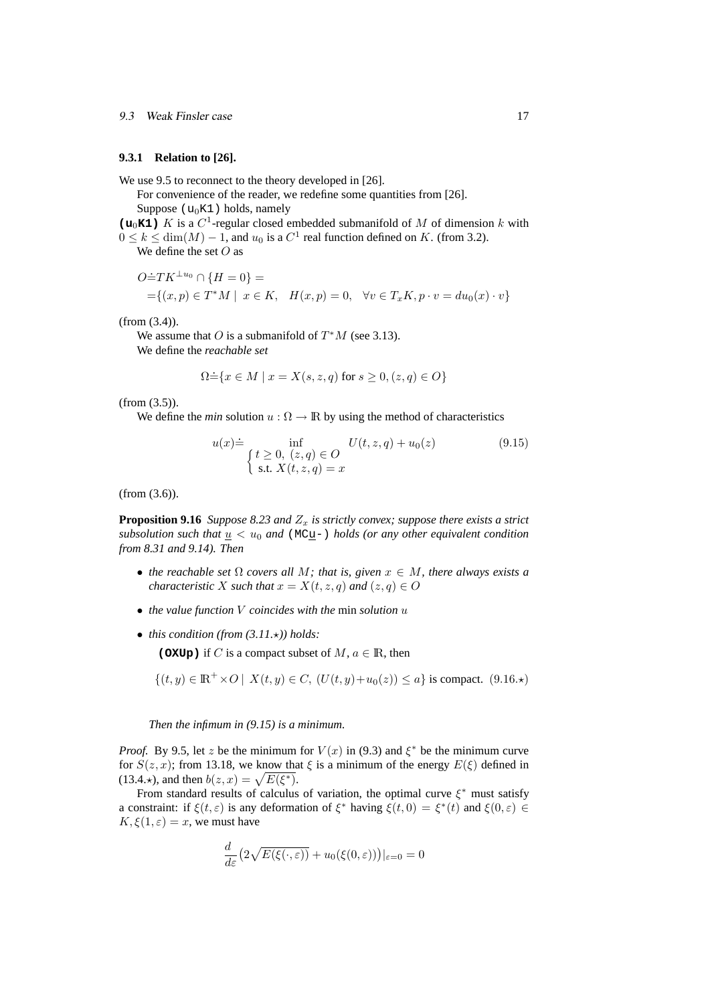#### **9.3.1 Relation to [26].**

We use 9.5 to reconnect to the theory developed in [26].

For convenience of the reader, we redefine some quantities from [26]. Suppose ( $u_0K1$ ) holds, namely

( $u_0$ **K1**) K is a  $C^1$ -regular closed embedded submanifold of M of dimension k with  $0 \le k \le \dim(M) - 1$ , and  $u_0$  is a  $C^1$  real function defined on K. (from 3.2).

We define the set  $O$  as

$$
O\dot{=}TK^{\perp u_0} \cap \{H = 0\} =
$$
  
={(x, p) \in T^\*M | x \in K, H(x, p) = 0, \forall v \in T\_xK, p \cdot v = du\_0(x) \cdot v}

(from (3.4)).

We assume that O is a submanifold of  $T^*M$  (see 3.13). We define the *reachable set*

$$
\Omega \dot{=} \{ x \in M \mid x = X(s, z, q) \text{ for } s \ge 0, (z, q) \in O \}
$$

(from (3.5)).

We define the *min* solution  $u : \Omega \to \mathbb{R}$  by using the method of characteristics

$$
u(x) \doteq \inf_{\begin{cases} t \ge 0, (z, q) \in O \\ \text{s.t. } X(t, z, q) = x \end{cases}} U(t, z, q) + u_0(z) \tag{9.15}
$$

(from (3.6)).

**Proposition 9.16** *Suppose 8.23 and*  $Z_x$  *is strictly convex; suppose there exists a strict subsolution such that*  $u < u_0$  *and* (MCu-) *holds (or any other equivalent condition from 8.31 and 9.14). Then*

- *the reachable set*  $\Omega$  *covers all M; that is, given*  $x \in M$ *, there always exists a characteristic* X *such that*  $x = X(t, z, q)$  *and*  $(z, q) \in O$
- *the value function* V *coincides with the* min *solution* u
- *this condition (from (3.11.*\*)) holds:

**(OXUp)** if C is a compact subset of  $M, a \in \mathbb{R}$ , then

$$
\{(t, y) \in \mathbb{R}^+ \times O \mid X(t, y) \in C, (U(t, y) + u_0(z)) \le a\} \text{ is compact. } (9.16 \star)
$$

*Then the infimum in (9.15) is a minimum.*

*Proof.* By 9.5, let z be the minimum for  $V(x)$  in (9.3) and  $\xi^*$  be the minimum curve for  $S(z, x)$ ; from 13.18, we know that  $\xi$  is a minimum of the energy  $E(\xi)$  defined in (13.4. $\star$ ), and then  $b(z, x) = \sqrt{E(\xi^*)}$ .

From standard results of calculus of variation, the optimal curve  $\xi^*$  must satisfy a constraint: if  $\xi(t,\varepsilon)$  is any deformation of  $\xi^*$  having  $\xi(t,0) = \xi^*(t)$  and  $\xi(0,\varepsilon) \in$  $K, \xi(1, \varepsilon) = x$ , we must have

$$
\frac{d}{d\varepsilon} \left( 2\sqrt{E(\xi(\cdot,\varepsilon))} + u_0(\xi(0,\varepsilon)) \right)|_{\varepsilon=0} = 0
$$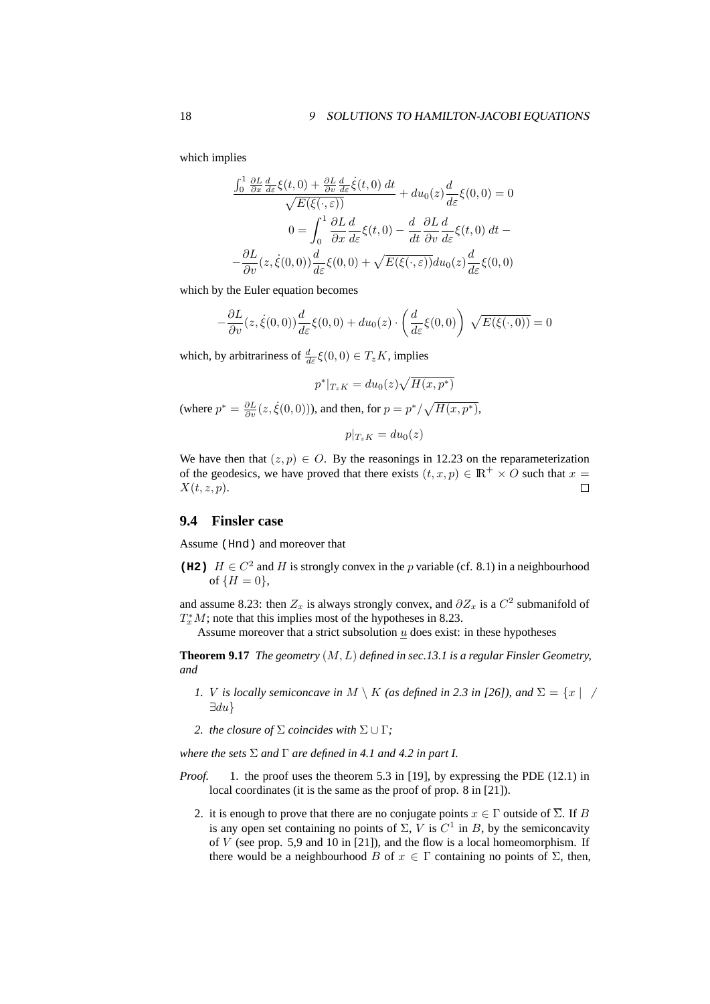which implies

$$
\frac{\int_0^1 \frac{\partial L}{\partial x} \frac{d}{d\varepsilon} \xi(t,0) + \frac{\partial L}{\partial v} \frac{d}{d\varepsilon} \dot{\xi}(t,0) dt}{\sqrt{E(\xi(\cdot,\varepsilon))}} + du_0(z) \frac{d}{d\varepsilon} \xi(0,0) = 0
$$
  

$$
0 = \int_0^1 \frac{\partial L}{\partial x} \frac{d}{d\varepsilon} \xi(t,0) - \frac{d}{dt} \frac{\partial L}{\partial v} \frac{d}{d\varepsilon} \xi(t,0) dt -
$$
  

$$
-\frac{\partial L}{\partial v}(z,\dot{\xi}(0,0)) \frac{d}{d\varepsilon} \xi(0,0) + \sqrt{E(\xi(\cdot,\varepsilon))} du_0(z) \frac{d}{d\varepsilon} \xi(0,0)
$$

which by the Euler equation becomes

$$
-\frac{\partial L}{\partial v}(z,\dot{\xi}(0,0))\frac{d}{d\varepsilon}\xi(0,0) + du_0(z)\cdot \left(\frac{d}{d\varepsilon}\xi(0,0)\right)\sqrt{E(\xi(\cdot,0))} = 0
$$

which, by arbitrariness of  $\frac{d}{d\varepsilon}\xi(0,0) \in T_zK$ , implies

$$
p^*|_{T_zK} = du_0(z)\sqrt{H(x, p^*)}
$$

(where  $p^* = \frac{\partial L}{\partial v}(z, \dot{\xi}(0, 0)))$ , and then, for  $p = p^* / \sqrt{H(x, p^*)}$ ,

$$
p|_{T_zK} = du_0(z)
$$

We have then that  $(z, p) \in O$ . By the reasonings in 12.23 on the reparameterization of the geodesics, we have proved that there exists  $(t, x, p) \in \mathbb{R}^+ \times O$  such that  $x =$  $X(t, z, p)$ .  $\Box$ 

#### **9.4 Finsler case**

Assume (Hnd) and moreover that

**(H2)**  $H \in C^2$  and H is strongly convex in the p variable (cf. 8.1) in a neighbourhood of  $\{H = 0\},\,$ 

and assume 8.23: then  $Z_x$  is always strongly convex, and  $\partial Z_x$  is a  $C^2$  submanifold of  $T_x^*M$ ; note that this implies most of the hypotheses in 8.23.

Assume moreover that a strict subsolution  $u$  does exist: in these hypotheses

**Theorem 9.17** *The geometry* (M, L) *defined in sec.13.1 is a regular Finsler Geometry, and*

- *1. V is locally semiconcave in*  $M \setminus K$  *(as defined in 2.3 in [26]), and*  $\Sigma = \{x \mid \emptyset\}$  $\exists du$ }
- *2. the closure of*  $\Sigma$  *coincides with*  $\Sigma \cup \Gamma$ *;*

*where the sets* Σ *and* Γ *are defined in 4.1 and 4.2 in part I.*

- *Proof.* 1. the proof uses the theorem 5.3 in [19], by expressing the PDE (12.1) in local coordinates (it is the same as the proof of prop. 8 in [21]).
	- 2. it is enough to prove that there are no conjugate points  $x \in \Gamma$  outside of  $\overline{\Sigma}$ . If B is any open set containing no points of  $\Sigma$ , V is  $C^1$  in B, by the semiconcavity of  $V$  (see prop. 5,9 and 10 in [21]), and the flow is a local homeomorphism. If there would be a neighbourhood B of  $x \in \Gamma$  containing no points of  $\Sigma$ , then,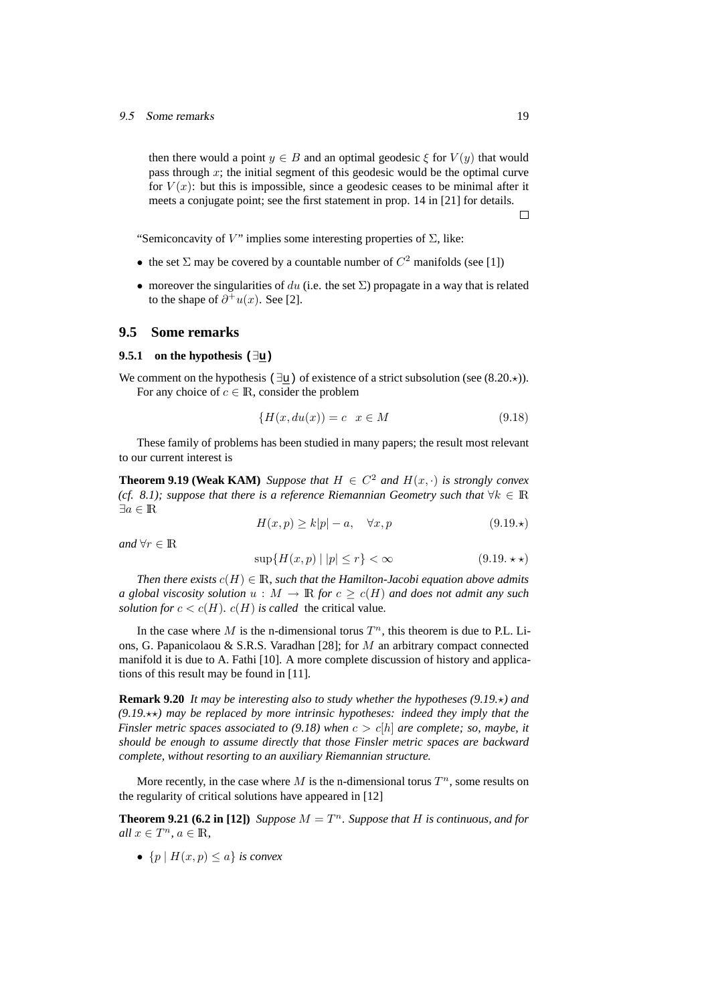#### 9.5 Some remarks 19

then there would a point  $y \in B$  and an optimal geodesic  $\xi$  for  $V(y)$  that would pass through  $x$ ; the initial segment of this geodesic would be the optimal curve for  $V(x)$ : but this is impossible, since a geodesic ceases to be minimal after it meets a conjugate point; see the first statement in prop. 14 in [21] for details.

 $\Box$ 

"Semiconcavity of V" implies some interesting properties of  $\Sigma$ , like:

- the set  $\Sigma$  may be covered by a countable number of  $C^2$  manifolds (see [1])
- moreover the singularities of du (i.e. the set  $\Sigma$ ) propagate in a way that is related to the shape of  $\partial^+u(x)$ . See [2].

#### **9.5 Some remarks**

#### **9.5.1 on the hypothesis (**∃**u)**

We comment on the hypothesis ( $\exists u$ ) of existence of a strict subsolution (see (8.20. $\star$ )). For any choice of  $c \in \mathbb{R}$ , consider the problem

$$
\{H(x, du(x)) = c \quad x \in M \tag{9.18}
$$

These family of problems has been studied in many papers; the result most relevant to our current interest is

**Theorem 9.19 (Weak KAM)** Suppose that  $H \in C^2$  and  $H(x, \cdot)$  is strongly convex *(cf. 8.1); suppose that there is a reference Riemannian Geometry such that*  $\forall k \in \mathbb{R}$  $\exists a \in \mathbb{R}$ 

$$
H(x,p) \ge k|p| - a, \quad \forall x, p \tag{9.19.}\star
$$

*and*  $\forall r \in \mathbb{R}$ 

$$
\sup\{H(x,p) \mid |p| \le r\} < \infty \tag{9.19.}\star\star
$$

*Then there exists*  $c(H) \in \mathbb{R}$ *, such that the Hamilton-Jacobi equation above admits a global viscosity solution*  $u : M \to \mathbb{R}$  *for*  $c \ge c(H)$  *and does not admit any such solution for*  $c < c(H)$ *.*  $c(H)$  *is called* the critical value.

In the case where M is the n-dimensional torus  $T<sup>n</sup>$ , this theorem is due to P.L. Lions, G. Papanicolaou & S.R.S. Varadhan [28]; for  $M$  an arbitrary compact connected manifold it is due to A. Fathi [10]. A more complete discussion of history and applications of this result may be found in [11].

**Remark 9.20** *It may be interesting also to study whether the hypotheses (9.19.*?*) and*  $(9.19. \star \star)$  may be replaced by more intrinsic hypotheses: indeed they imply that the *Finsler metric spaces associated to (9.18) when*  $c > c[h]$  *are complete; so, maybe, it should be enough to assume directly that those Finsler metric spaces are backward complete, without resorting to an auxiliary Riemannian structure.*

More recently, in the case where M is the n-dimensional torus  $T<sup>n</sup>$ , some results on the regularity of critical solutions have appeared in [12]

**Theorem 9.21 (6.2 in [12])** *Suppose*  $M = T^n$ *. Suppose that*  $H$  *is continuous, and for*  $all x \in T^n, a \in \mathbb{R},$ 

•  $\{p \mid H(x, p) \leq a\}$  *is convex*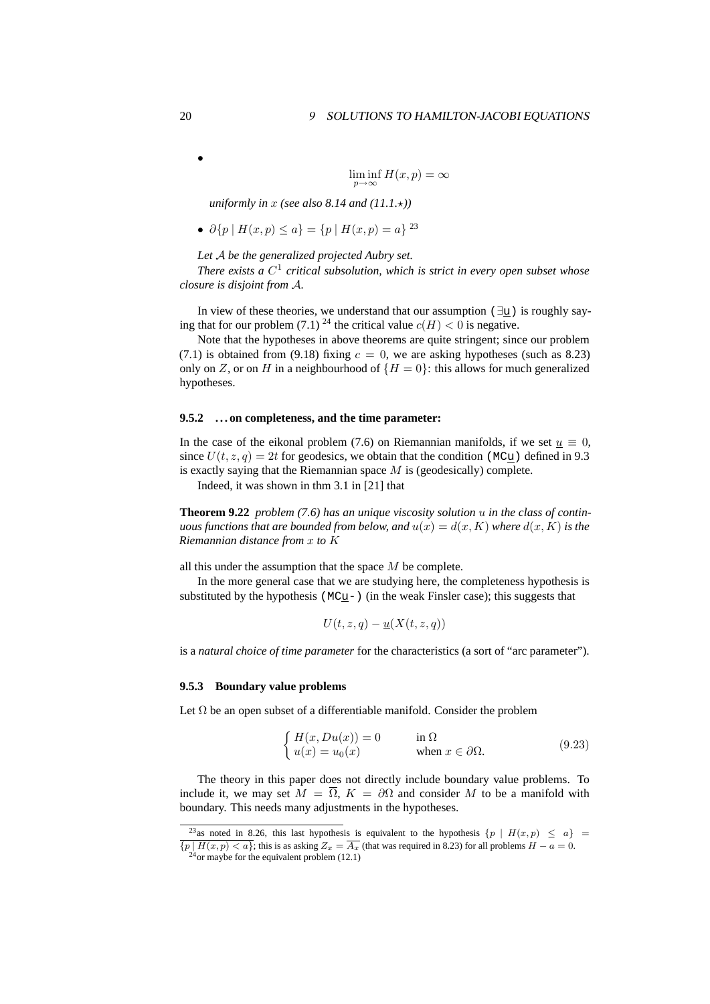$$
\liminf_{p \to \infty} H(x, p) = \infty
$$

*uniformly in* x *(see also 8.14 and*  $(11.1.*)$ *)* 

• 
$$
\partial \{p \mid H(x, p) \le a\} = \{p \mid H(x, p) = a\}^{23}
$$

*Let* A *be the generalized projected Aubry set.*

*There exists a* C 1 *critical subsolution, which is strict in every open subset whose closure is disjoint from* A*.*

In view of these theories, we understand that our assumption ( $\exists u$ ) is roughly saying that for our problem (7.1) <sup>24</sup> the critical value  $c(H) < 0$  is negative.

Note that the hypotheses in above theorems are quite stringent; since our problem (7.1) is obtained from (9.18) fixing  $c = 0$ , we are asking hypotheses (such as 8.23) only on Z, or on H in a neighbourhood of  $\{H = 0\}$ : this allows for much generalized hypotheses.

#### **9.5.2 . . . on completeness, and the time parameter:**

In the case of the eikonal problem (7.6) on Riemannian manifolds, if we set  $u \equiv 0$ , since  $U(t, z, q) = 2t$  for geodesics, we obtain that the condition (MCu) defined in 9.3 is exactly saying that the Riemannian space  $M$  is (geodesically) complete.

Indeed, it was shown in thm 3.1 in [21] that

**Theorem 9.22** *problem (7.6) has an unique viscosity solution* u *in the class of continuous functions that are bounded from below, and*  $u(x) = d(x, K)$  *where*  $d(x, K)$  *is the Riemannian distance from* x *to* K

all this under the assumption that the space  $M$  be complete.

In the more general case that we are studying here, the completeness hypothesis is substituted by the hypothesis (MCu-) (in the weak Finsler case); this suggests that

$$
U(t, z, q) - \underline{u}(X(t, z, q))
$$

is a *natural choice of time parameter* for the characteristics (a sort of "arc parameter").

#### **9.5.3 Boundary value problems**

Let  $\Omega$  be an open subset of a differentiable manifold. Consider the problem

$$
\begin{cases}\nH(x, Du(x)) = 0 & \text{in } \Omega \\
u(x) = u_0(x) & \text{when } x \in \partial\Omega.\n\end{cases}
$$
\n(9.23)

The theory in this paper does not directly include boundary value problems. To include it, we may set  $M = \overline{\Omega}$ ,  $K = \partial \Omega$  and consider M to be a manifold with boundary. This needs many adjustments in the hypotheses.

•

<sup>&</sup>lt;sup>23</sup>as noted in 8.26, this last hypothesis is equivalent to the hypothesis  $\{p \mid H(x,p) \leq a\}$  ${\overline{p | H(x, p) \lt a}}$ ; this is as asking  $Z_x = \overline{A_x}$  (that was required in 8.23) for all problems  $H - a = 0$ .

 $^{24}$ or maybe for the equivalent problem (12.1)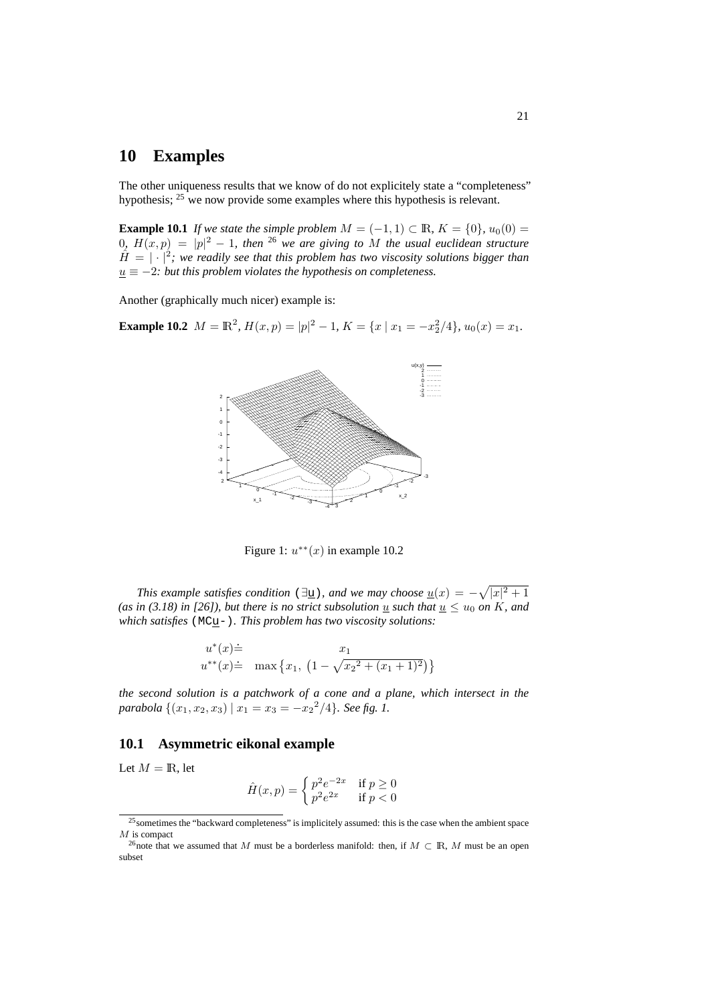## **10 Examples**

The other uniqueness results that we know of do not explicitely state a "completeness" hypothesis; <sup>25</sup> we now provide some examples where this hypothesis is relevant.

**Example 10.1** *If we state the simple problem*  $M = (-1, 1) \subset \mathbb{R}$ *,*  $K = \{0\}$ *,*  $u_0(0) =$ 0*,*  $H(x,p) = |p|^2 - 1$ , then <sup>26</sup> we are giving to M the usual euclidean structure  $\hat{H} = |\cdot|^2$ ; we readily see that this problem has two viscosity solutions bigger than  $u \equiv -2$ *: but this problem violates the hypothesis on completeness.* 

Another (graphically much nicer) example is:

**Example 10.2**  $M = \mathbb{R}^2$ ,  $H(x, p) = |p|^2 - 1$ ,  $K = \{x \mid x_1 = -x_2^2/4\}$ ,  $u_0(x) = x_1$ .



Figure 1:  $u^{**}(x)$  in example 10.2

*This example satisfies condition* ( $\exists$ <u>u</u>), and we may choose  $\underline{u}(x) = -\sqrt{|x|^2 + 1}$ (as in (3.18) in [26]), but there is no strict subsolution <u>u</u> such that  $\underline{u} \le u_0$  on K, and *which satisfies* (MCu-)*. This problem has two viscosity solutions:*

$$
u^*(x) \doteq \begin{cases} \n u^*(x) & \text{if } x_1 \\ \n u^{**}(x) & \text{if } x_1, \ (1 - \sqrt{x_2^2 + (x_1 + 1)^2}) \n \end{cases}
$$

*the second solution is a patchwork of a cone and a plane, which intersect in the parabola*  $\{(x_1, x_2, x_3) | x_1 = x_3 = -x_2^2/4\}$ *. See fig. 1.* 

## **10.1 Asymmetric eikonal example**

Let  $M = \mathbb{R}$ , let

$$
\hat{H}(x,p) = \begin{cases} p^2 e^{-2x} & \text{if } p \ge 0\\ p^2 e^{2x} & \text{if } p < 0 \end{cases}
$$

<sup>&</sup>lt;sup>25</sup> sometimes the "backward completeness" is implicitely assumed: this is the case when the ambient space  $M$  is compact

<sup>&</sup>lt;sup>26</sup>note that we assumed that M must be a borderless manifold: then, if  $M \subset \mathbb{R}$ , M must be an open subset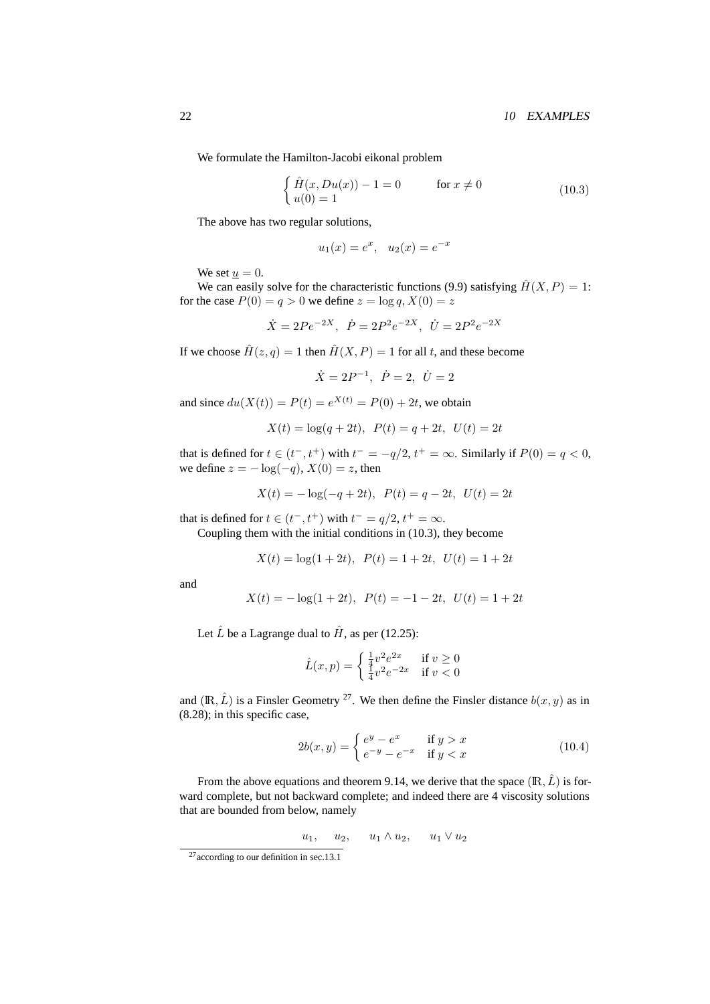We formulate the Hamilton-Jacobi eikonal problem

$$
\begin{cases}\n\hat{H}(x, Du(x)) - 1 = 0 & \text{for } x \neq 0 \\
u(0) = 1\n\end{cases}
$$
\n(10.3)

The above has two regular solutions,

$$
u_1(x) = e^x, \quad u_2(x) = e^{-x}
$$

We set  $\underline{u} = 0$ .

We can easily solve for the characteristic functions (9.9) satisfying  $\hat{H}(X, P) = 1$ : for the case  $P(0) = q > 0$  we define  $z = \log q$ ,  $X(0) = z$ 

$$
\dot{X} = 2Pe^{-2X}, \quad \dot{P} = 2P^2e^{-2X}, \quad \dot{U} = 2P^2e^{-2X}
$$

If we choose  $\hat{H}(z, q) = 1$  then  $\hat{H}(X, P) = 1$  for all t, and these become

$$
\dot{X} = 2P^{-1}, \quad \dot{P} = 2, \quad \dot{U} = 2
$$

and since  $du(X(t)) = P(t) = e^{X(t)} = P(0) + 2t$ , we obtain

$$
X(t) = \log(q + 2t), \ P(t) = q + 2t, \ U(t) = 2t
$$

that is defined for  $t \in (t^-, t^+)$  with  $t^- = -q/2$ ,  $t^+ = \infty$ . Similarly if  $P(0) = q < 0$ , we define  $z = -\log(-q)$ ,  $X(0) = z$ , then

$$
X(t) = -\log(-q + 2t), \ P(t) = q - 2t, \ U(t) = 2t
$$

that is defined for  $t \in (t^-, t^+)$  with  $t^- = q/2$ ,  $t^+ = \infty$ .

Coupling them with the initial conditions in (10.3), they become

$$
X(t) = \log(1+2t), \ P(t) = 1+2t, \ U(t) = 1+2t
$$

and

$$
X(t) = -\log(1+2t), \ P(t) = -1-2t, \ U(t) = 1+2t
$$

Let  $\hat{L}$  be a Lagrange dual to  $\hat{H}$ , as per (12.25):

$$
\hat{L}(x,p) = \begin{cases} \frac{1}{4}v^2e^{2x} & \text{if } v \ge 0\\ \frac{1}{4}v^2e^{-2x} & \text{if } v < 0 \end{cases}
$$

and  $(\mathbb{R}, \hat{L})$  is a Finsler Geometry <sup>27</sup>. We then define the Finsler distance  $b(x, y)$  as in (8.28); in this specific case,

$$
2b(x,y) = \begin{cases} e^y - e^x & \text{if } y > x \\ e^{-y} - e^{-x} & \text{if } y < x \end{cases}
$$
 (10.4)

From the above equations and theorem 9.14, we derive that the space  $(\mathbb{R}, \hat{L})$  is forward complete, but not backward complete; and indeed there are 4 viscosity solutions that are bounded from below, namely

 $u_1, \quad u_2, \quad u_1 \wedge u_2, \quad u_1 \vee u_2$ 

 $^{27}$  according to our definition in sec.13.1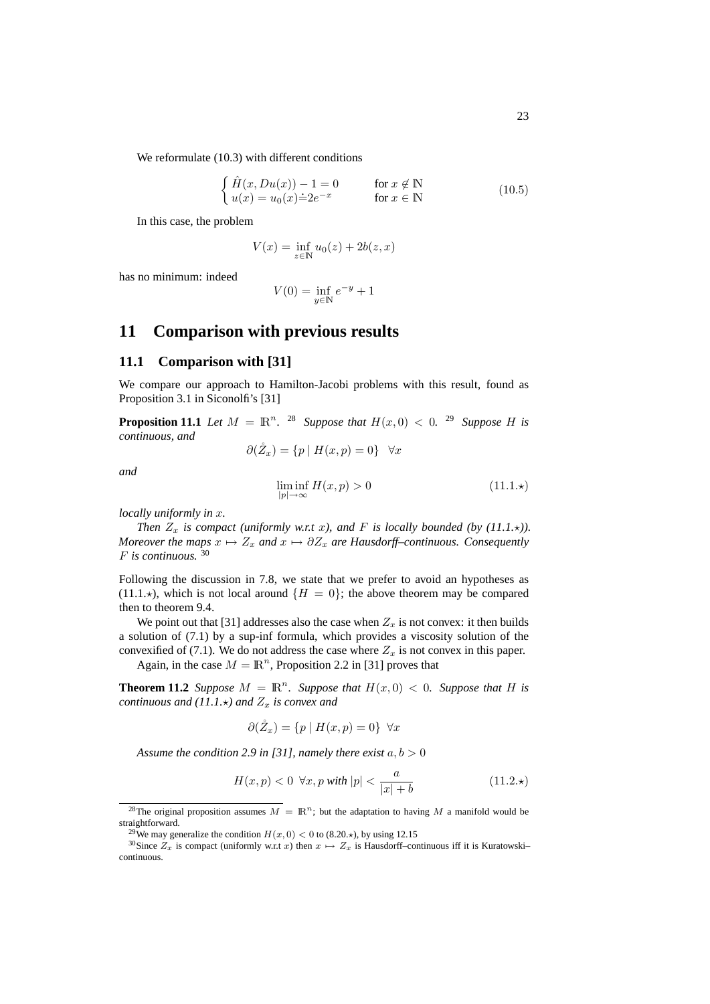We reformulate (10.3) with different conditions

$$
\begin{cases}\n\hat{H}(x, Du(x)) - 1 = 0 & \text{for } x \notin \mathbb{N} \\
u(x) = u_0(x) \dot{=} 2e^{-x} & \text{for } x \in \mathbb{N}\n\end{cases}
$$
\n(10.5)

In this case, the problem

$$
V(x) = \inf_{z \in \mathbb{N}} u_0(z) + 2b(z, x)
$$

has no minimum: indeed

$$
V(0) = \inf_{y \in \mathbb{N}} e^{-y} + 1
$$

## **11 Comparison with previous results**

### **11.1 Comparison with [31]**

We compare our approach to Hamilton-Jacobi problems with this result, found as Proposition 3.1 in Siconolfi's [31]

**Proposition 11.1** *Let*  $M = \mathbb{R}^n$ . <sup>28</sup> *Suppose that*  $H(x, 0) < 0$ . <sup>29</sup> *Suppose H is continuous, and*

$$
\partial(\mathring{Z}_x) = \{ p \mid H(x, p) = 0 \} \quad \forall x
$$

*and*

$$
\liminf_{|p| \to \infty} H(x, p) > 0 \tag{11.1.}\star
$$

*locally uniformly in* x*.*

*Then*  $Z_x$  *is compact (uniformly w.r.t x), and F is locally bounded (by (11.1.*\*)). *Moreover the maps*  $x \mapsto Z_x$  *and*  $x \mapsto \partial Z_x$  *are Hausdorff–continuous. Consequently* F *is continuous.* <sup>30</sup>

Following the discussion in 7.8, we state that we prefer to avoid an hypotheses as  $(11.1.*)$ , which is not local around  $\{H = 0\}$ ; the above theorem may be compared then to theorem 9.4.

We point out that [31] addresses also the case when  $Z_x$  is not convex: it then builds a solution of (7.1) by a sup-inf formula, which provides a viscosity solution of the convexified of (7.1). We do not address the case where  $Z_x$  is not convex in this paper.

Again, in the case  $M = \mathbb{R}^n$ , Proposition 2.2 in [31] proves that

**Theorem 11.2** *Suppose*  $M = \mathbb{R}^n$ *. Suppose that*  $H(x, 0) < 0$ *. Suppose that* H *is continuous and (11.1.* $\star$ *) and*  $Z_x$  *is convex and* 

$$
\partial(\mathring{Z}_x) = \{ p \mid H(x, p) = 0 \} \ \forall x
$$

*Assume the condition 2.9 in [31], namely there exist*  $a, b > 0$ 

$$
H(x,p) < 0 \ \forall x, p \ with \ |p| < \frac{a}{|x| + b} \tag{11.2.}\star
$$

<sup>&</sup>lt;sup>28</sup>The original proposition assumes  $\overline{M} = \mathbb{R}^n$ ; but the adaptation to having M a manifold would be straightforward.

<sup>&</sup>lt;sup>29</sup>We may generalize the condition  $H(x, 0) < 0$  to (8.20. $\star$ ), by using 12.15

<sup>&</sup>lt;sup>30</sup>Since  $Z_x$  is compact (uniformly w.r.t x) then  $x \mapsto Z_x$  is Hausdorff–continuous iff it is Kuratowski– continuous.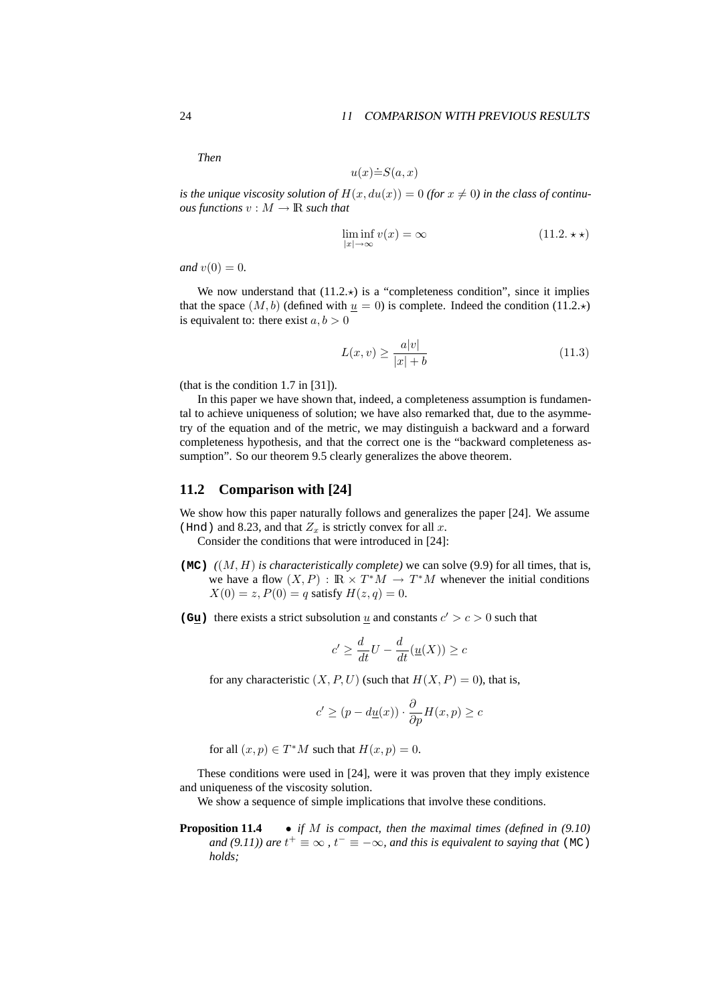*Then*

$$
u(x) \dot{=} S(a, x)
$$

is the unique viscosity solution of  $H(x, du(x)) = 0$  (for  $x \neq 0$ ) in the class of continu*ous functions*  $v : M \to \mathbb{R}$  *such that* 

$$
\liminf_{|x| \to \infty} v(x) = \infty \tag{11.2.} \star \star
$$

*and*  $v(0) = 0$ *.* 

We now understand that  $(11.2.)$  is a "completeness condition", since it implies that the space  $(M, b)$  (defined with  $u = 0$ ) is complete. Indeed the condition (11.2. $\star$ ) is equivalent to: there exist  $a, b > 0$ 

$$
L(x,v) \ge \frac{a|v|}{|x|+b} \tag{11.3}
$$

(that is the condition 1.7 in [31]).

In this paper we have shown that, indeed, a completeness assumption is fundamental to achieve uniqueness of solution; we have also remarked that, due to the asymmetry of the equation and of the metric, we may distinguish a backward and a forward completeness hypothesis, and that the correct one is the "backward completeness assumption". So our theorem 9.5 clearly generalizes the above theorem.

### **11.2 Comparison with [24]**

We show how this paper naturally follows and generalizes the paper [24]. We assume (Hnd) and 8.23, and that  $Z_x$  is strictly convex for all x.

Consider the conditions that were introduced in [24]:

- **(MC)**  $((M, H)$  *is characteristically complete*) we can solve (9.9) for all times, that is, we have a flow  $(X, P) : \mathbb{R} \times T^*M \to T^*M$  whenever the initial conditions  $X(0) = z, P(0) = q$  satisfy  $H(z, q) = 0$ .
- (G<u>u</u>) there exists a strict subsolution <u>u</u> and constants  $c' > c > 0$  such that

$$
c' \ge \frac{d}{dt}U - \frac{d}{dt}(\underline{u}(X)) \ge c
$$

for any characteristic  $(X, P, U)$  (such that  $H(X, P) = 0$ ), that is,

$$
c' \ge (p - d\underline{u}(x)) \cdot \frac{\partial}{\partial p} H(x, p) \ge c
$$

for all  $(x, p) \in T^*M$  such that  $H(x, p) = 0$ .

These conditions were used in [24], were it was proven that they imply existence and uniqueness of the viscosity solution.

We show a sequence of simple implications that involve these conditions.

**Proposition 11.4** • *if* M *is compact, then the maximal times (defined in (9.10) and* (9.11)) are  $t^+ \equiv \infty$ ,  $t^- \equiv -\infty$ , and this is equivalent to saying that (MC) *holds;*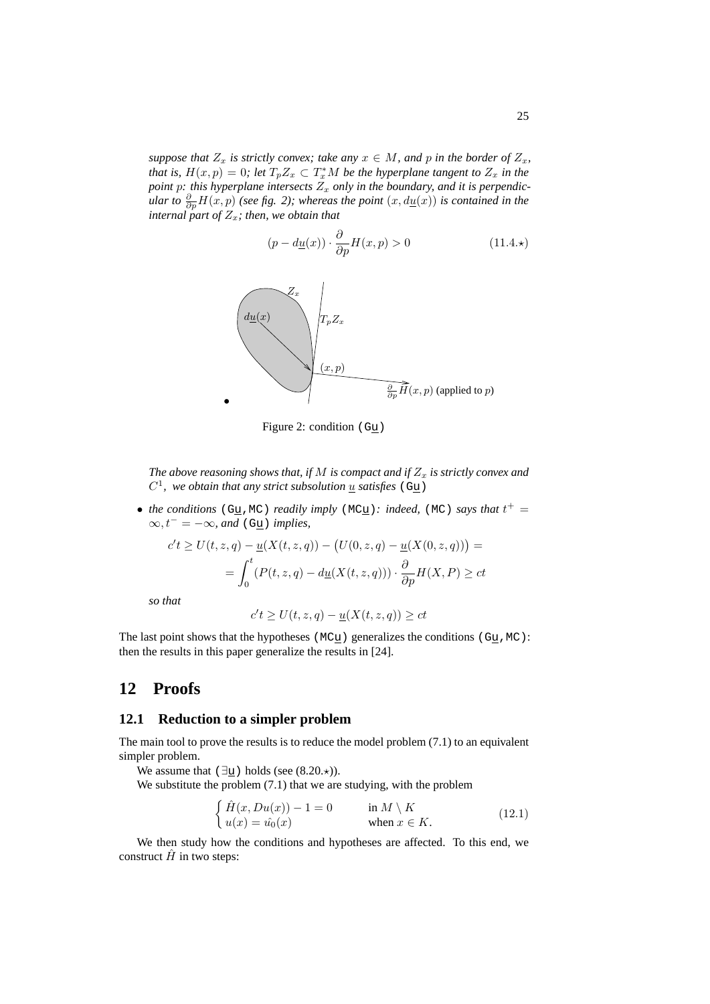*suppose that*  $Z_x$  *is strictly convex; take any*  $x \in M$ *, and p in the border of*  $Z_x$ *, that is,*  $H(x,p) = 0$ ; let  $T_p Z_x \subset T_x^* M$  be the hyperplane tangent to  $Z_x$  in the *point*  $p$ : this hyperplane intersects  $Z_x$  only in the boundary, and it is perpendic*ular to*  $\frac{\partial}{\partial p}H(x,p)$  *(see fig. 2); whereas the point*  $(x, d\underline{u}(x))$  *is contained in the internal part of*  $Z_x$ *; then, we obtain that* 

$$
(p - d\underline{u}(x)) \cdot \frac{\partial}{\partial p} H(x, p) > 0 \tag{11.4.}
$$



Figure 2: condition (Gu)

*The above reasoning shows that, if*  $M$  *is compact and if*  $Z_x$  *is strictly convex and*  $C^1$ , we obtain that any strict subsolution  $\underline{u}$  satisfies (G $\underline{u}$ )

• the conditions (G<u>u</u>, MC) readily imply (MC<u>u</u>): indeed, (MC) says that  $t^+$  =  $\infty, t^- = -\infty$ *, and* (G<u>u</u>) *implies*,

$$
c't \ge U(t, z, q) - \underline{u}(X(t, z, q)) - (U(0, z, q) - \underline{u}(X(0, z, q))) =
$$
  
= 
$$
\int_0^t (P(t, z, q) - d\underline{u}(X(t, z, q))) \cdot \frac{\partial}{\partial p} H(X, P) \ge ct
$$

*so that*

$$
c't \ge U(t, z, q) - \underline{u}(X(t, z, q)) \ge ct
$$

The last point shows that the hypotheses ( $MCu$ ) generalizes the conditions ( $Gu$ ,  $MC$ ): then the results in this paper generalize the results in [24].

## **12 Proofs**

#### **12.1 Reduction to a simpler problem**

The main tool to prove the results is to reduce the model problem (7.1) to an equivalent simpler problem.

We assume that  $(\exists u)$  holds (see  $(8.20.)$ ).

We substitute the problem  $(7.1)$  that we are studying, with the problem

$$
\begin{cases}\n\hat{H}(x, Du(x)) - 1 = 0 & \text{in } M \setminus K \\
u(x) = \hat{u_0}(x) & \text{when } x \in K.\n\end{cases}
$$
\n(12.1)

We then study how the conditions and hypotheses are affected. To this end, we construct  $\hat{H}$  in two steps: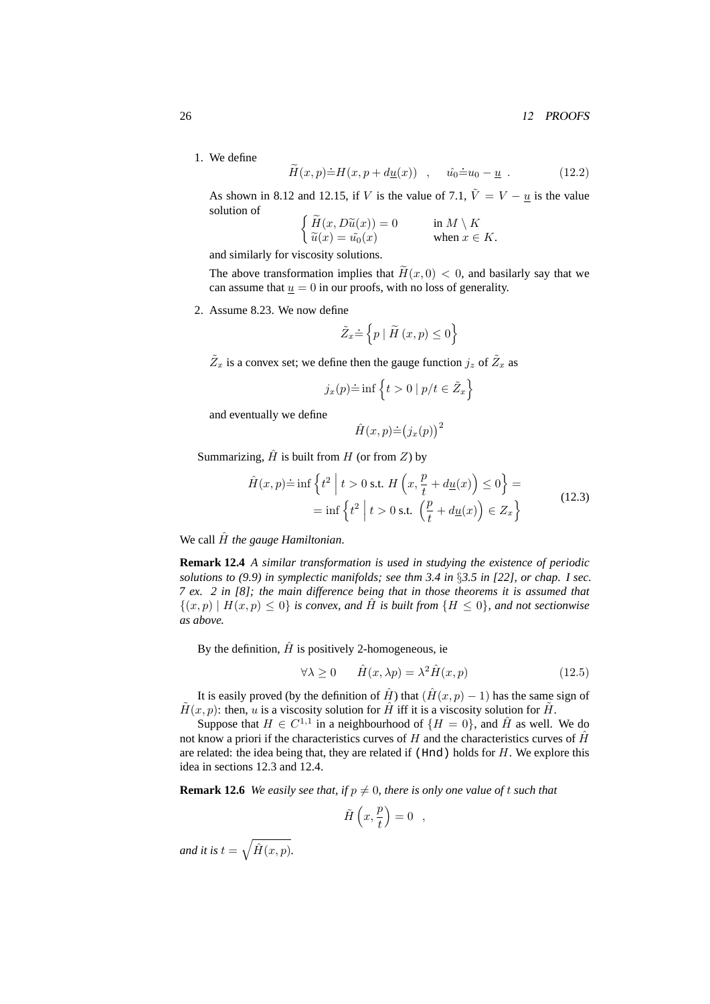1. We define

$$
\widetilde{H}(x,p) \doteq H(x,p + d\underline{u}(x)) \quad , \quad \hat{u_0} \doteq u_0 - \underline{u} \quad . \tag{12.2}
$$

As shown in 8.12 and 12.15, if V is the value of 7.1,  $\tilde{V} = V - u$  is the value solution of

$$
\begin{cases} \widetilde{H}(x, D\widetilde{u}(x)) = 0 & \text{in } M \setminus K \\ \widetilde{u}(x) = \widetilde{u_0}(x) & \text{when } x \in K. \end{cases}
$$

and similarly for viscosity solutions.

The above transformation implies that  $\widetilde{H}(x, 0) < 0$ , and basilarly say that we can assume that  $u = 0$  in our proofs, with no loss of generality.

2. Assume 8.23. We now define

$$
\tilde{Z}_{x} \dot = \left\{ p \mid \tilde{H}\left(x,p\right) \leq 0 \right\}
$$

 $\tilde{Z}_x$  is a convex set; we define then the gauge function  $j_z$  of  $\tilde{Z}_x$  as

$$
j_x(p) \doteq \inf \left\{ t > 0 \mid p/t \in \tilde{Z}_x \right\}
$$

and eventually we define

$$
\hat{H}(x,p)\dot{=}(j_x(p))^{2}
$$

Summarizing,  $\hat{H}$  is built from H (or from Z) by

$$
\hat{H}(x, p) \doteq \inf \left\{ t^2 \mid t > 0 \text{ s.t. } H\left(x, \frac{p}{t} + d\underline{u}(x)\right) \le 0 \right\} =
$$
\n
$$
= \inf \left\{ t^2 \mid t > 0 \text{ s.t. } \left(\frac{p}{t} + d\underline{u}(x)\right) \in Z_x \right\} \tag{12.3}
$$

We call  $\hat{H}$  the gauge Hamiltonian.

**Remark 12.4** *A similar transformation is used in studying the existence of periodic solutions to (9.9) in symplectic manifolds; see thm 3.4 in* §*3.5 in [22], or chap. I sec. 7 ex. 2 in [8]; the main difference being that in those theorems it is assumed that*  $\{(x, p) \mid H(x, p) \leq 0\}$  *is convex, and*  $\hat{H}$  *is built from*  $\{H \leq 0\}$ *, and not sectionwise as above.*

By the definition,  $\hat{H}$  is positively 2-homogeneous, ie

$$
\forall \lambda \ge 0 \qquad \hat{H}(x,\lambda p) = \lambda^2 \hat{H}(x,p) \tag{12.5}
$$

It is easily proved (by the definition of  $\hat{H}$ ) that  $(\hat{H}(x, p) - 1)$  has the same sign of  $\tilde{H}(x, p)$ : then, u is a viscosity solution for  $\hat{H}$  iff it is a viscosity solution for  $\tilde{H}$ .

Suppose that  $H \in C^{1,1}$  in a neighbourhood of  $\{H = 0\}$ , and  $\hat{H}$  as well. We do not know a priori if the characteristics curves of H and the characteristics curves of  $\hat{H}$ are related: the idea being that, they are related if  $(Hnd)$  holds for  $H$ . We explore this idea in sections 12.3 and 12.4.

**Remark 12.6** *We easily see that, if*  $p \neq 0$ *, there is only one value of t such that* 

$$
\tilde{H}\left(x,\frac{p}{t}\right) = 0 \quad ,
$$

*and it is*  $t = \sqrt{\hat{H}(x, p)}$ .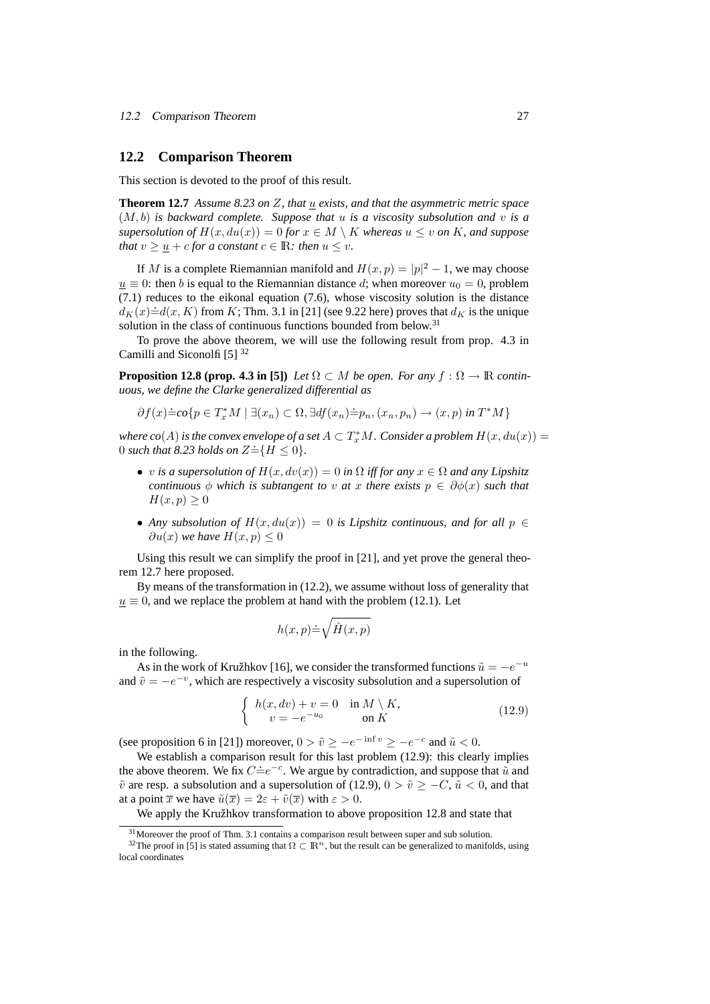#### **12.2 Comparison Theorem**

This section is devoted to the proof of this result.

**Theorem 12.7** *Assume 8.23 on* Z*, that* u *exists, and that the asymmetric metric space* (M, b) *is backward complete. Suppose that* u *is a viscosity subsolution and* v *is a supersolution of*  $H(x, du(x)) = 0$  *for*  $x \in M \setminus K$  *whereas*  $u \le v$  *on* K, and suppose *that*  $v \geq u + c$  *for a constant*  $c \in \mathbb{R}$ *: then*  $u \leq v$ *.* 

If M is a complete Riemannian manifold and  $H(x, p) = |p|^2 - 1$ , we may choose  $u \equiv 0$ : then b is equal to the Riemannian distance d; when moreover  $u_0 = 0$ , problem (7.1) reduces to the eikonal equation (7.6), whose viscosity solution is the distance  $d_K(x) \doteq d(x, K)$  from K; Thm. 3.1 in [21] (see 9.22 here) proves that  $d_K$  is the unique solution in the class of continuous functions bounded from below.<sup>31</sup>

To prove the above theorem, we will use the following result from prop. 4.3 in Camilli and Siconolfi  $[5]$ <sup>32</sup>

**Proposition 12.8 (prop. 4.3 in [5])** *Let*  $\Omega \subset M$  *be open. For any*  $f : \Omega \to \mathbb{R}$  *continuous, we define the Clarke generalized differential as*

$$
\partial f(x) \doteq c \circ \{ p \in T_x^*M \mid \exists (x_n) \subset \Omega, \exists df(x_n) \doteq p_n, (x_n, p_n) \to (x, p) \text{ in } T^*M \}
$$

where  $co(A)$  is the convex envelope of a set  $A\subset T^*_xM$ . Consider a problem  $H(x,du(x))=0$  $0$  such that 8.23 holds on  $Z = \{H \leq 0\}$ .

- v *is a supersolution of*  $H(x, dv(x)) = 0$  *in*  $\Omega$  *iff for any*  $x \in \Omega$  *and any Lipshitz continuous*  $\phi$  *which is subtangent to* v *at* x *there exists*  $p \in \partial \phi(x)$  *such that*  $H(x,p) \geq 0$
- Any subsolution of  $H(x, du(x)) = 0$  is Lipshitz continuous, and for all  $p \in$  $\partial u(x)$  *we have*  $H(x, p) \leq 0$

Using this result we can simplify the proof in [21], and yet prove the general theorem 12.7 here proposed.

By means of the transformation in (12.2), we assume without loss of generality that  $u \equiv 0$ , and we replace the problem at hand with the problem (12.1). Let

$$
h(x,p)\dot{=}\sqrt{\hat{H}(x,p)}
$$

in the following.

As in the work of Kružhkov [16], we consider the transformed functions  $\tilde{u} = -e^{-u}$ and  $\tilde{v} = -e^{-v}$ , which are respectively a viscosity subsolution and a supersolution of

$$
\begin{cases}\nh(x, dv) + v = 0 & \text{in } M \setminus K, \\
v = -e^{-u_0} & \text{on } K\n\end{cases}
$$
\n(12.9)

(see proposition 6 in [21]) moreover,  $0 > \tilde{v} \ge -e^{-\inf v} \ge -e^{-c}$  and  $\tilde{u} < 0$ .

We establish a comparison result for this last problem  $(12.9)$ : this clearly implies the above theorem. We fix  $C = e^{-c}$ . We argue by contradiction, and suppose that  $\tilde{u}$  and  $\tilde{v}$  are resp. a subsolution and a supersolution of (12.9),  $0 > \tilde{v} \geq -C$ ,  $\tilde{u} < 0$ , and that at a point  $\bar{x}$  we have  $\tilde{u}(\bar{x}) = 2\varepsilon + \tilde{v}(\bar{x})$  with  $\varepsilon > 0$ .

We apply the Kružhkov transformation to above proposition 12.8 and state that

 $31$ Moreover the proof of Thm. 3.1 contains a comparison result between super and sub solution.

<sup>&</sup>lt;sup>32</sup>The proof in [5] is stated assuming that  $\Omega \subset \mathbb{R}^n$ , but the result can be generalized to manifolds, using local coordinates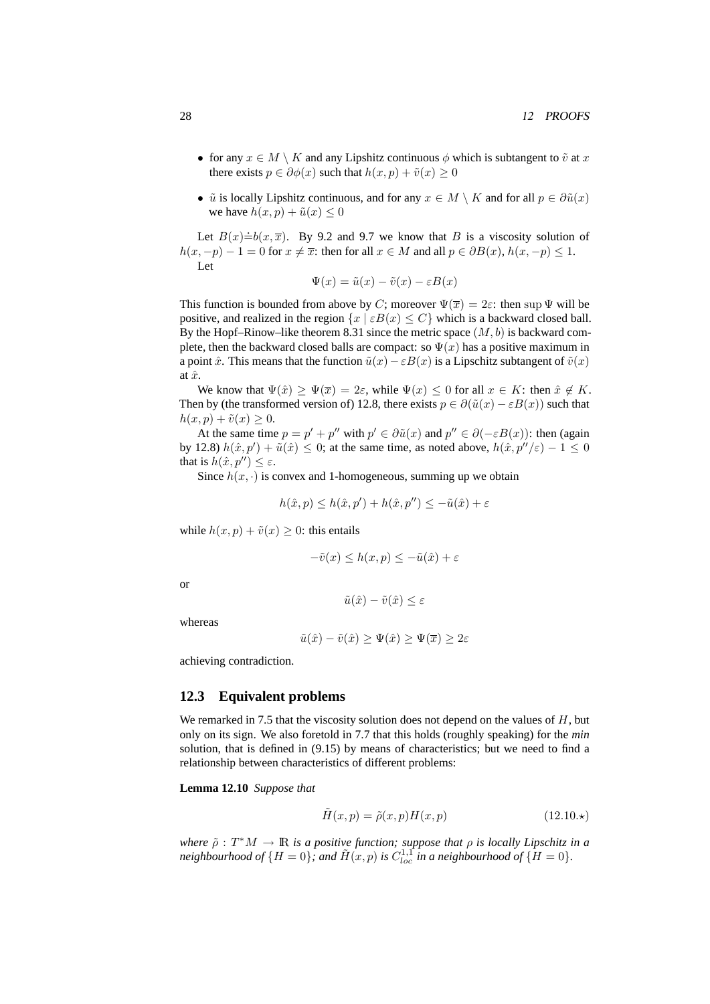- for any  $x \in M \setminus K$  and any Lipshitz continuous  $\phi$  which is subtangent to  $\tilde{v}$  at x there exists  $p \in \partial \phi(x)$  such that  $h(x, p) + \tilde{v}(x) \ge 0$
- $\tilde{u}$  is locally Lipshitz continuous, and for any  $x \in M \setminus K$  and for all  $p \in \partial \tilde{u}(x)$ we have  $h(x, p) + \tilde{u}(x) \leq 0$

Let  $B(x)=b(x,\overline{x})$ . By 9.2 and 9.7 we know that B is a viscosity solution of  $h(x, -p) - 1 = 0$  for  $x \neq \overline{x}$ : then for all  $x \in M$  and all  $p \in \partial B(x)$ ,  $h(x, -p) \leq 1$ . Let

$$
\Psi(x) = \tilde{u}(x) - \tilde{v}(x) - \varepsilon B(x)
$$

This function is bounded from above by C; moreover  $\Psi(\overline{x}) = 2\varepsilon$ : then sup  $\Psi$  will be positive, and realized in the region  $\{x \mid \varepsilon B(x) \leq C\}$  which is a backward closed ball. By the Hopf–Rinow–like theorem 8.31 since the metric space  $(M, b)$  is backward complete, then the backward closed balls are compact: so  $\Psi(x)$  has a positive maximum in a point  $\hat{x}$ . This means that the function  $\tilde{u}(x) - \varepsilon B(x)$  is a Lipschitz subtangent of  $\tilde{v}(x)$ at  $\hat{x}$ .

We know that  $\Psi(\hat{x}) \ge \Psi(\overline{x}) = 2\varepsilon$ , while  $\Psi(x) \le 0$  for all  $x \in K$ : then  $\hat{x} \notin K$ . Then by (the transformed version of) 12.8, there exists  $p \in \partial(\tilde{u}(x) - \varepsilon B(x))$  such that  $h(x, p) + \tilde{v}(x) \geq 0.$ 

At the same time  $p = p' + p''$  with  $p' \in \partial \tilde{u}(x)$  and  $p'' \in \partial (-\varepsilon B(x))$ : then (again by 12.8)  $h(\hat{x}, p') + \tilde{u}(\hat{x}) \leq 0$ ; at the same time, as noted above,  $h(\hat{x}, p''/\varepsilon) - 1 \leq 0$ that is  $h(\hat{x}, p'') \leq \varepsilon$ .

Since  $h(x, \cdot)$  is convex and 1-homogeneous, summing up we obtain

$$
h(\hat{x}, p) \le h(\hat{x}, p') + h(\hat{x}, p'') \le -\tilde{u}(\hat{x}) + \varepsilon
$$

while  $h(x, p) + \tilde{v}(x) \geq 0$ : this entails

$$
-\tilde{v}(x) \le h(x, p) \le -\tilde{u}(\hat{x}) + \varepsilon
$$

or

$$
\tilde{u}(\hat{x}) - \tilde{v}(\hat{x}) \le \varepsilon
$$

whereas

$$
\tilde{u}(\hat{x}) - \tilde{v}(\hat{x}) \ge \Psi(\hat{x}) \ge \Psi(\overline{x}) \ge 2\varepsilon
$$

achieving contradiction.

## **12.3 Equivalent problems**

We remarked in 7.5 that the viscosity solution does not depend on the values of  $H$ , but only on its sign. We also foretold in 7.7 that this holds (roughly speaking) for the *min* solution, that is defined in (9.15) by means of characteristics; but we need to find a relationship between characteristics of different problems:

**Lemma 12.10** *Suppose that*

$$
\tilde{H}(x,p) = \tilde{\rho}(x,p)H(x,p) \tag{12.10.}\star
$$

where  $\tilde{\rho}: T^*M \to \mathbb{R}$  *is a positive function; suppose that*  $\rho$  *is locally Lipschitz in a* neighbourhood of  $\{H=0\}$ , and  $\tilde{H}(x,p)$  is  $C^{1,1}_{loc}$  in a neighbourhood of  $\{H=0\}$ .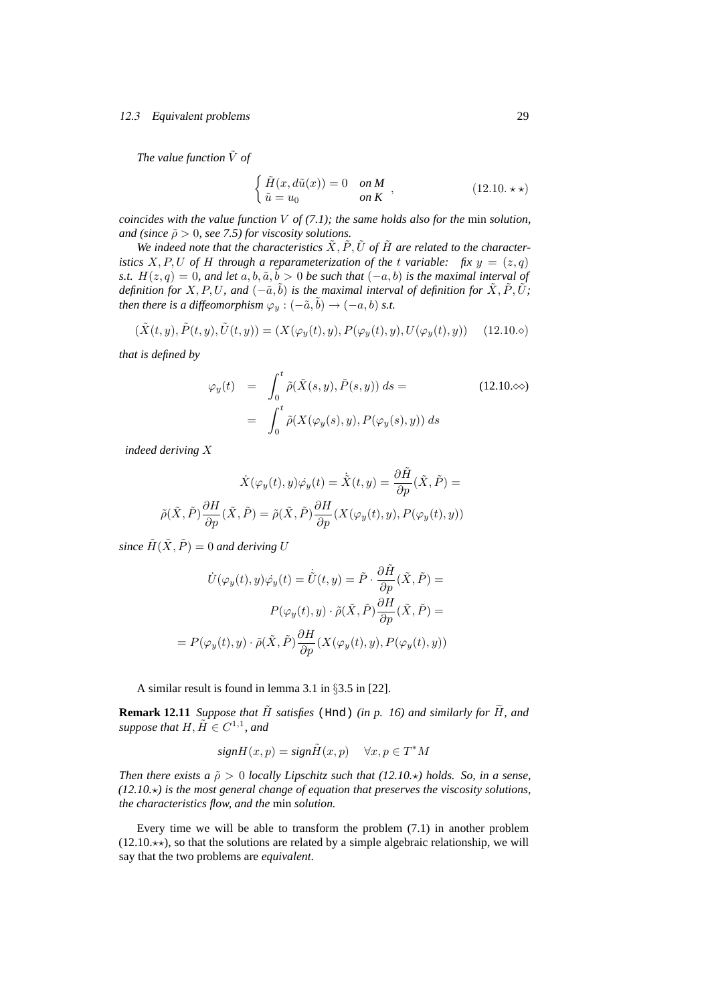#### 12.3 Equivalent problems 29

*The value function*  $\tilde{V}$  *of* 

$$
\begin{cases}\n\tilde{H}(x, d\tilde{u}(x)) = 0 & \text{on } M \\
\tilde{u} = u_0 & \text{on } K\n\end{cases}
$$
\n(12.10.  $\star \star$ )

*coincides with the value function* V *of (7.1); the same holds also for the* min *solution, and (since*  $\tilde{\rho} > 0$ *, see 7.5) for viscosity solutions.* 

We indeed note that the characteristics  $\tilde{X}, \tilde{P}, \tilde{U}$  of  $\tilde{H}$  are related to the character*istics*  $X, P, U$  *of*  $H$  *through a reparameterization of the t variable: fix*  $y = (z, q)$ *s.t.*  $H(z, q) = 0$ , and let  $\overline{a}, \overline{b}, \overline{b} > 0$  be such that  $(-a, b)$  is the maximal interval of *definition for*  $X, P, U$ , and  $(-\tilde{a}, \tilde{b})$  is the maximal interval of definition for  $\tilde{X}, \tilde{P}, \tilde{U}$ ; then there is a diffeomorphism  $\varphi_y$  :  $(-\tilde a, \tilde b) \to (-a, b)$  s.t.

$$
(\tilde{X}(t,y), \tilde{P}(t,y), \tilde{U}(t,y)) = (X(\varphi_y(t), y), P(\varphi_y(t), y), U(\varphi_y(t), y)) \quad (12.10. \diamond)
$$

*that is defined by*

$$
\varphi_y(t) = \int_0^t \tilde{\rho}(\tilde{X}(s, y), \tilde{P}(s, y)) ds =
$$
\n
$$
= \int_0^t \tilde{\rho}(X(\varphi_y(s), y), P(\varphi_y(s), y)) ds
$$
\n(12.10.00)

*indeed deriving* X

$$
\label{eq:chit} \dot{X}(\varphi_y(t),y)\dot{\varphi_y}(t) = \dot{\tilde{X}}(t,y) = \frac{\partial \tilde{H}}{\partial p}(\tilde{X},\tilde{P}) =
$$
  

$$
\tilde{\rho}(\tilde{X},\tilde{P})\frac{\partial H}{\partial p}(\tilde{X},\tilde{P}) = \tilde{\rho}(\tilde{X},\tilde{P})\frac{\partial H}{\partial p}(X(\varphi_y(t),y),P(\varphi_y(t),y))
$$

*since*  $\tilde{H}(\tilde{X}, \tilde{P}) = 0$  *and deriving* U

$$
\dot{U}(\varphi_y(t), y)\dot{\varphi_y}(t) = \dot{\tilde{U}}(t, y) = \tilde{P} \cdot \frac{\partial \tilde{H}}{\partial p}(\tilde{X}, \tilde{P}) =
$$

$$
P(\varphi_y(t), y) \cdot \tilde{\rho}(\tilde{X}, \tilde{P}) \frac{\partial H}{\partial p}(\tilde{X}, \tilde{P}) =
$$

$$
= P(\varphi_y(t), y) \cdot \tilde{\rho}(\tilde{X}, \tilde{P}) \frac{\partial H}{\partial p}(X(\varphi_y(t), y), P(\varphi_y(t), y))
$$

A similar result is found in lemma 3.1 in §3.5 in [22].

**Remark 12.11** *Suppose that*  $\tilde{H}$  *satisfies* (Hnd) *(in p. 16) and similarly for*  $\tilde{H}$ *, and suppose that*  $H, \tilde{H} \in C^{1,1}$ *, and* 

$$
sign H(x,p) = sign \tilde{H}(x,p) \quad \forall x,p \in T^*M
$$

*Then there exists a*  $\tilde{\rho} > 0$  *locally Lipschitz such that (12.10.\*) holds. So, in a sense,*  $(12.10.*)$  is the most general change of equation that preserves the viscosity solutions, *the characteristics flow, and the* min *solution.*

Every time we will be able to transform the problem (7.1) in another problem  $(12.10.**)$ , so that the solutions are related by a simple algebraic relationship, we will say that the two problems are *equivalent*.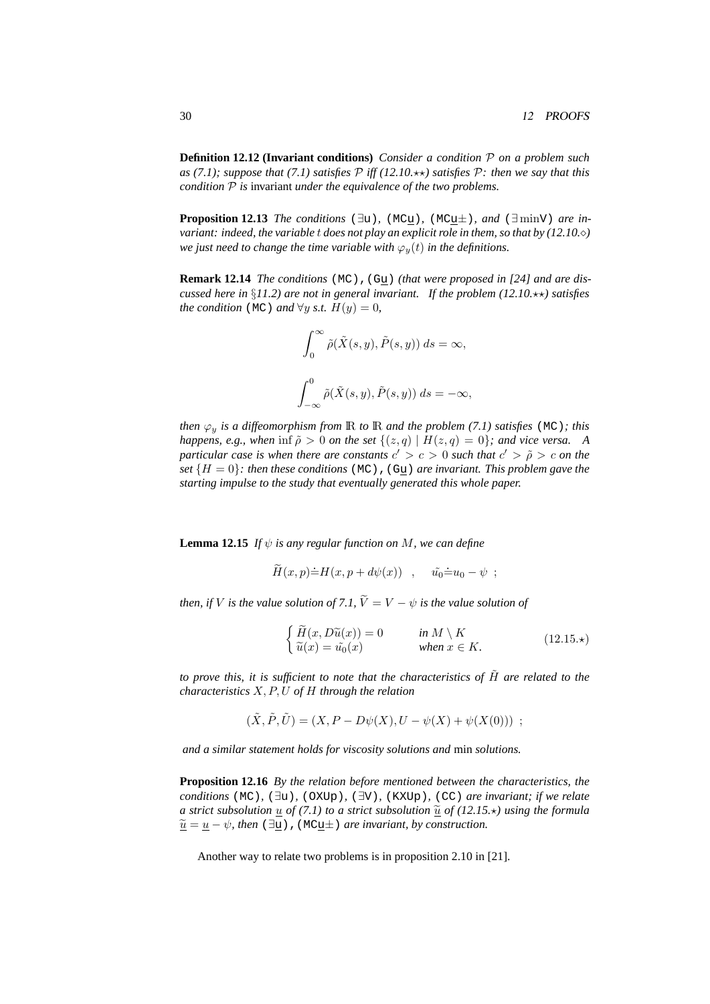**Definition 12.12 (Invariant conditions)** *Consider a condition* P *on a problem such* as (7.1); suppose that (7.1) satisfies  $P$  *iff* (12.10. $\star\star$ ) satisfies  $P$ : then we say that this *condition* P *is* invariant *under the equivalence of the two problems.*

**Proposition 12.13** *The conditions* ( $\exists u$ ), (MCu), (MCu $\pm$ ), and ( $\exists minV$ ) are in*variant: indeed, the variable* t *does not play an explicit role in them, so that by (12.10.) we just need to change the time variable with*  $\varphi_y(t)$  *in the definitions.* 

**Remark 12.14** *The conditions* (MC), (Gu) (that were proposed in [24] and are dis*cussed here in* §11.2) are not in general invariant. If the problem (12.10.\*\*) satisfies *the condition* (MC) *and*  $\forall y$  *s.t.*  $H(y) = 0$ *,* 

$$
\int_0^\infty \tilde{\rho}(\tilde{X}(s, y), \tilde{P}(s, y)) ds = \infty,
$$
  

$$
\int_{-\infty}^0 \tilde{\rho}(\tilde{X}(s, y), \tilde{P}(s, y)) ds = -\infty,
$$

*then*  $\varphi_u$  *is a diffeomorphism from*  $\mathbb R$  *to*  $\mathbb R$  *and the problem (7.1) satisfies* (MC); this *happens, e.g., when*  $\inf \tilde{\rho} > 0$  *on the set*  $\{(z,q) | H(z,q) = 0\}$ *; and vice versa. A particular case is when there are constants*  $c' > c > 0$  *such that*  $c' > \tilde{\rho} > c$  *on the set*  $\{H = 0\}$ *: then these conditions* (MC), (Gu) *are invariant. This problem gave the starting impulse to the study that eventually generated this whole paper.*

**Lemma 12.15** *If*  $\psi$  *is any regular function on M*, we can define

$$
\widetilde{H}(x,p) \dot{=} H(x,p + d\psi(x)) , \quad \widetilde{u_0} \dot{=} u_0 - \psi ;
$$

*then, if V is the value solution of 7.1,*  $\widetilde{V} = V - \psi$  *is the value solution of* 

$$
\begin{cases}\n\widetilde{H}(x, D\widetilde{u}(x)) = 0 & \text{in } M \setminus K \\
\widetilde{u}(x) = \widetilde{u_0}(x) & \text{when } x \in K.\n\end{cases}
$$
\n(12.15.\*)

*to prove this, it is sufficient to note that the characteristics of*  $\tilde{H}$  *are related to the characteristics* X, P, U *of* H *through the relation*

$$
(\tilde{X}, \tilde{P}, \tilde{U}) = (X, P - D\psi(X), U - \psi(X) + \psi(X(0))) ;
$$

*and a similar statement holds for viscosity solutions and* min *solutions.*

**Proposition 12.16** *By the relation before mentioned between the characteristics, the conditions* (MC)*,* (∃u)*,* (OXUp)*,* (∃V)*,* (KXUp)*,* (CC) *are invariant; if we relate a strict subsolution*  $\underline{u}$  *of* (7.1) to a strict subsolution  $\widetilde{\underline{u}}$  *of* (12.15. $\star$ ) using the formula  $\tilde{\underline{u}} = \underline{u} - \psi$ , then  $(\exists \underline{u})$ , (MC $\underline{u} \pm$ ) *are invariant*, *by construction.* 

Another way to relate two problems is in proposition 2.10 in [21].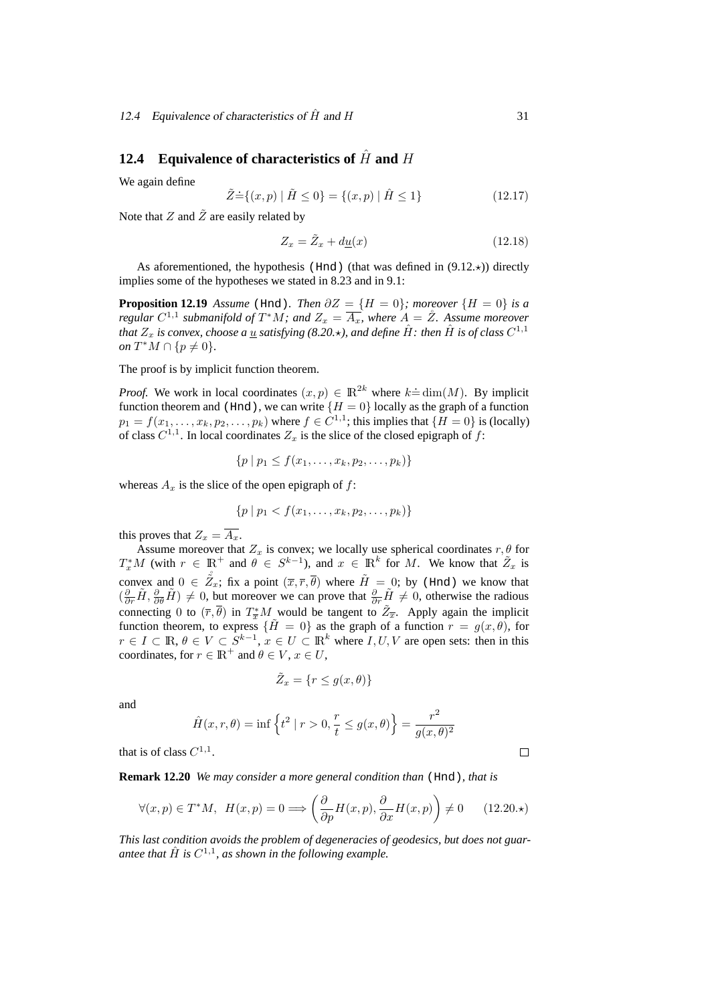## **12.4** Equivalence of characteristics of  $\hat{H}$  and  $H$

We again define

$$
\tilde{Z} \dot{=} \{(x, p) | \tilde{H} \le 0\} = \{(x, p) | \hat{H} \le 1\}
$$
\n(12.17)

Note that Z and  $\tilde{Z}$  are easily related by

$$
Z_x = \tilde{Z}_x + d\underline{u}(x) \tag{12.18}
$$

As aforementioned, the hypothesis (Hnd) (that was defined in  $(9.12.)$ ) directly implies some of the hypotheses we stated in 8.23 and in 9.1:

**Proposition 12.19** *Assume* (Hnd)*. Then*  $\partial Z = \{H = 0\}$ *; moreover*  $\{H = 0\}$  *is a regular*  $C^{1,1}$  submanifold of  $T^*M$ ; and  $Z_x = \overline{A_x}$ , where  $A = \mathring{Z}$ . Assume moreover that  $Z_x$  is convex, choose a  $\underline{u}$  satisfying (8.20. $\star$ ), and define  $\hat{H}$ : then  $\hat{H}$  is of class  $C^{1,1}$ *on*  $T^*M \cap \{p \neq 0\}.$ 

The proof is by implicit function theorem.

*Proof.* We work in local coordinates  $(x, p) \in \mathbb{R}^{2k}$  where  $k \doteq \dim(M)$ . By implicit function theorem and (Hnd), we can write  $\{H = 0\}$  locally as the graph of a function  $p_1 = f(x_1, \ldots, x_k, p_2, \ldots, p_k)$  where  $f \in C^{1,1}$ ; this implies that  $\{H = 0\}$  is (locally) of class  $C^{1,1}$ . In local coordinates  $Z_x$  is the slice of the closed epigraph of f:

$$
\{p \mid p_1 \le f(x_1, \ldots, x_k, p_2, \ldots, p_k)\}\
$$

whereas  $A_x$  is the slice of the open epigraph of f:

$$
\{p \mid p_1 < f(x_1, \ldots, x_k, p_2, \ldots, p_k)\}
$$

this proves that  $Z_x = \overline{A_x}$ .

Assume moreover that  $Z_x$  is convex; we locally use spherical coordinates  $r, \theta$  for  $T_x^*M$  (with  $r \in \mathbb{R}^+$  and  $\theta \in S^{k-1}$ ), and  $x \in \mathbb{R}^k$  for M. We know that  $\tilde{Z}_x$  is convex and  $0 \in \mathring{Z}_x$ ; fix a point  $(\overline{x}, \overline{r}, \overline{\theta})$  where  $\tilde{H} = 0$ ; by (Hnd) we know that  $(\frac{\partial}{\partial r}\tilde{H}, \frac{\partial}{\partial \theta}\tilde{H}) \neq 0$ , but moreover we can prove that  $\frac{\partial}{\partial r}\tilde{H} \neq 0$ , otherwise the radious connecting 0 to  $(\bar{r}, \bar{\theta})$  in  $T^*_{\bar{x}}M$  would be tangent to  $\tilde{Z}_{\bar{x}}$ . Apply again the implicit function theorem, to express  $\{\tilde{H} = 0\}$  as the graph of a function  $r = g(x, \theta)$ , for  $r \in I \subset \mathbb{R}, \theta \in V \subset S^{k-1}, x \in U \subset \mathbb{R}^k$  where  $I, U, V$  are open sets: then in this coordinates, for  $r \in \mathbb{R}^+$  and  $\theta \in V$ ,  $x \in U$ ,

$$
\tilde{Z}_x = \{r \le g(x, \theta)\}
$$

and

$$
\hat{H}(x, r, \theta) = \inf \{ t^2 \mid r > 0, \frac{r}{t} \le g(x, \theta) \} = \frac{r^2}{g(x, \theta)^2}
$$

that is of class  $C^{1,1}$ .

**Remark 12.20** *We may consider a more general condition than* (Hnd)*, that is*

$$
\forall (x, p) \in T^*M, \ H(x, p) = 0 \Longrightarrow \left(\frac{\partial}{\partial p}H(x, p), \frac{\partial}{\partial x}H(x, p)\right) \neq 0 \qquad (12.20. \star)
$$

*This last condition avoids the problem of degeneracies of geodesics, but does not guar*antee that  $\hat{H}$  is  $C^{1,1}$ , as shown in the following example.

 $\Box$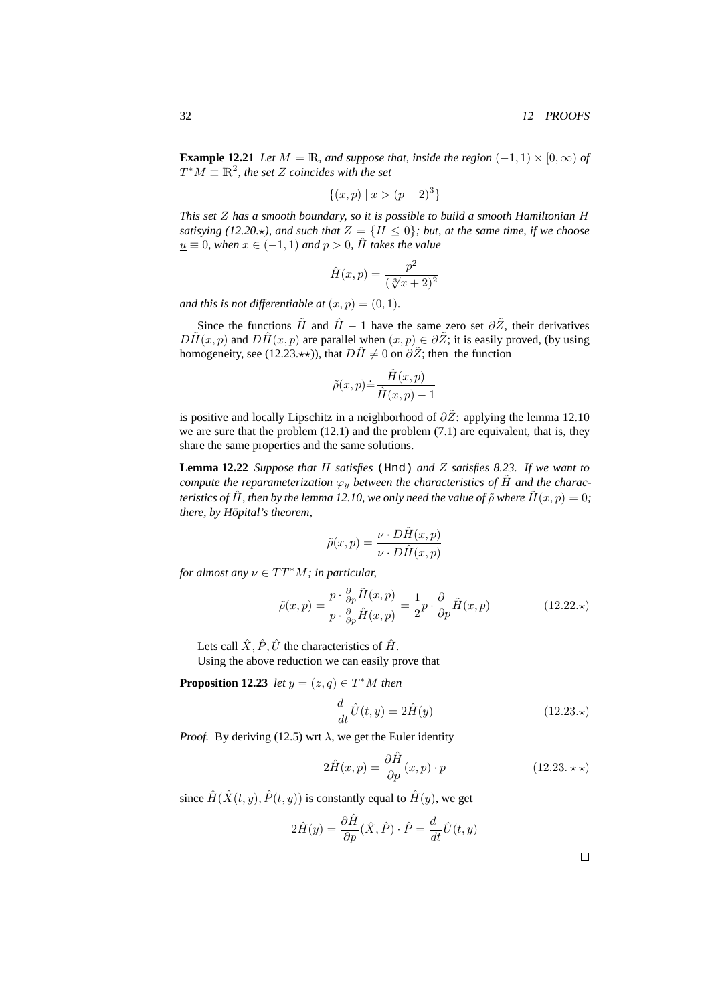**Example 12.21** *Let*  $M = \mathbb{R}$ *, and suppose that, inside the region*  $(-1, 1) \times [0, \infty)$  *of*  $T^*M \equiv \mathbb{R}^2$ , the set Z coincides with the set

$$
\{(x, p) \mid x > (p - 2)^3\}
$$

*This set* Z *has a smooth boundary, so it is possible to build a smooth Hamiltonian* H *satisying (12.20.* $\star$ *), and such that*  $Z = \{H \leq 0\}$ *; but, at the same time, if we choose*  $u \equiv 0$ *, when*  $x \in (-1, 1)$  *and*  $p > 0$ *, H takes the value* 

$$
\hat{H}(x,p) = \frac{p^2}{(\sqrt[3]{x} + 2)^2}
$$

*and this is not differentiable at*  $(x, p) = (0, 1)$ *.* 

Since the functions  $\tilde{H}$  and  $\hat{H}$  − 1 have the same zero set  $\partial \tilde{Z}$ , their derivatives  $D\tilde{H}(x, p)$  and  $D\hat{H}(x, p)$  are parallel when  $(x, p) \in \partial \tilde{Z}$ ; it is easily proved, (by using homogeneity, see (12.23. $\star\star$ )), that  $D\hat{H} \neq 0$  on  $\partial \tilde{Z}$ ; then the function

$$
\tilde{\rho}(x,p) \doteq \frac{\tilde{H}(x,p)}{\hat{H}(x,p) - 1}
$$

is positive and locally Lipschitz in a neighborhood of  $\partial \tilde{Z}$ : applying the lemma 12.10 we are sure that the problem  $(12.1)$  and the problem  $(7.1)$  are equivalent, that is, they share the same properties and the same solutions.

**Lemma 12.22** *Suppose that* H *satisfies* (Hnd) *and* Z *satisfies 8.23. If we want to compute the reparameterization*  $\varphi_y$  *between the characteristics of* H *and the characteristics of*  $\hat{H}$ , then by the lemma 12.10, we only need the value of  $\tilde{\rho}$  where  $\tilde{H}(x, p) = 0$ ; *there, by Höpital's theorem,* 

$$
\tilde{\rho}(x,p) = \frac{\nu \cdot D\tilde{H}(x,p)}{\nu \cdot D\hat{H}(x,p)}
$$

*for almost any*  $\nu \in TT^*M$ *; in particular,* 

$$
\tilde{\rho}(x,p) = \frac{p \cdot \frac{\partial}{\partial p} \tilde{H}(x,p)}{p \cdot \frac{\partial}{\partial p} \tilde{H}(x,p)} = \frac{1}{2}p \cdot \frac{\partial}{\partial p} \tilde{H}(x,p) \tag{12.22.}\star
$$

Lets call  $\hat{X}, \hat{P}, \hat{U}$  the characteristics of  $\hat{H}$ .

Using the above reduction we can easily prove that

**Proposition 12.23** *let*  $y = (z, q) \in T^*M$  *then* 

$$
\frac{d}{dt}\hat{U}(t,y) = 2\hat{H}(y)
$$
\n(12.23.\*)

*Proof.* By deriving (12.5) wrt  $\lambda$ , we get the Euler identity

$$
2\hat{H}(x,p) = \frac{\partial \hat{H}}{\partial p}(x,p) \cdot p \qquad (12.23. \ \star \ \star)
$$

since  $\hat{H}(\hat{X}(t, y), \hat{P}(t, y))$  is constantly equal to  $\hat{H}(y)$ , we get

$$
2\hat{H}(y) = \frac{\partial \hat{H}}{\partial p}(\hat{X}, \hat{P}) \cdot \hat{P} = \frac{d}{dt}\hat{U}(t, y)
$$

 $\Box$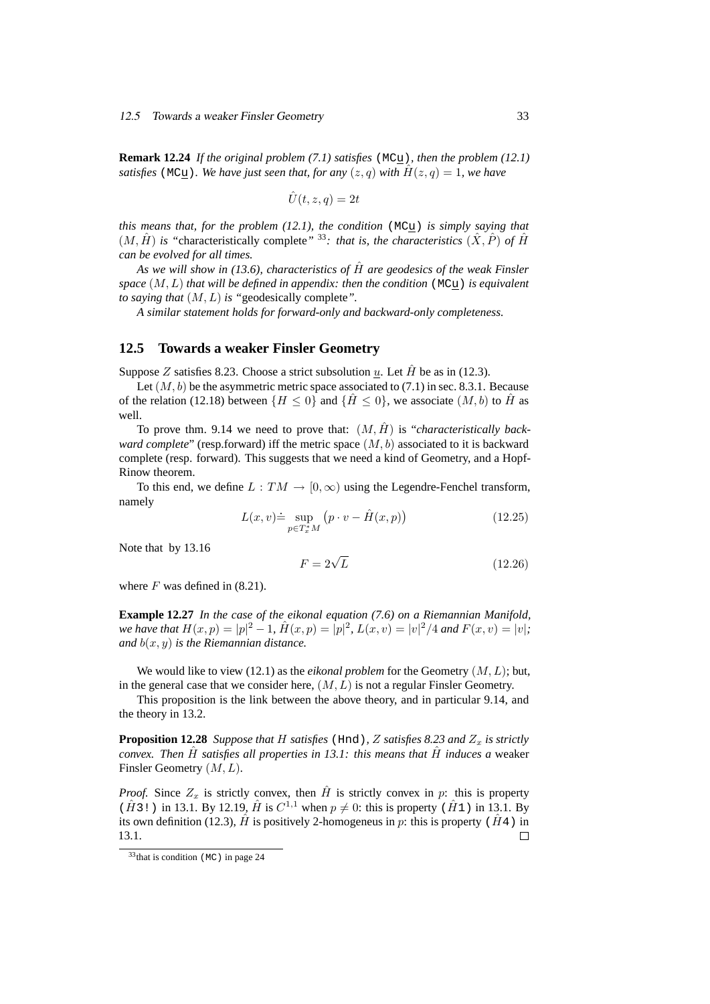**Remark 12.24** *If the original problem (7.1) satisfies* (MCu)*, then the problem (12.1) satisfies* (MCu). We have just seen that, for any  $(z, q)$  with  $H(z, q) = 1$ , we have

$$
\hat{U}(t,z,q) = 2t
$$

*this means that, for the problem (12.1), the condition* (MCu) *is simply saying that*  $(M, \hat{H})$  is "characteristically complete" <sup>33</sup>: that is, the characteristics  $(\hat{X}, \hat{P})$  of  $\hat{H}$ *can be evolved for all times.*

*As we will show in (13.6), characteristics of*  $\hat{H}$  *are geodesics of the weak Finsler space* (M, L) *that will be defined in appendix: then the condition* (MCu) *is equivalent to saying that* (M, L) *is "*geodesically complete*".*

*A similar statement holds for forward-only and backward-only completeness.*

## **12.5 Towards a weaker Finsler Geometry**

Suppose Z satisfies 8.23. Choose a strict subsolution u. Let  $\hat{H}$  be as in (12.3).

Let  $(M, b)$  be the asymmetric metric space associated to  $(7.1)$  in sec. 8.3.1. Because of the relation (12.18) between  $\{H \le 0\}$  and  $\{H \le 0\}$ , we associate  $(M, b)$  to H as well.

To prove thm. 9.14 we need to prove that:  $(M, \hat{H})$  is "*characteristically backward complete*" (resp.forward) iff the metric space  $(M, b)$  associated to it is backward complete (resp. forward). This suggests that we need a kind of Geometry, and a Hopf-Rinow theorem.

To this end, we define  $L: TM \rightarrow [0, \infty)$  using the Legendre-Fenchel transform, namely

$$
L(x,v) \doteq \sup_{p \in T_x^* M} \left( p \cdot v - \hat{H}(x,p) \right) \tag{12.25}
$$

Note that by 13.16

$$
F = 2\sqrt{L} \tag{12.26}
$$

where  $F$  was defined in  $(8.21)$ .

**Example 12.27** *In the case of the eikonal equation (7.6) on a Riemannian Manifold, we have that*  $H(x, p) = |p|^2 - 1$ ,  $\hat{H}(x, p) = |p|^2$ ,  $L(x, v) = |v|^2/4$  and  $F(x, v) = |v|$ ; *and*  $b(x, y)$  *is the Riemannian distance.* 

We would like to view (12.1) as the *eikonal problem* for the Geometry  $(M, L)$ ; but, in the general case that we consider here,  $(M, L)$  is not a regular Finsler Geometry.

This proposition is the link between the above theory, and in particular 9.14, and the theory in 13.2.

**Proposition 12.28** *Suppose that* H *satisfies* (Hnd), Z *satisfies* 8.23 *and*  $Z_x$  *is strictly convex. Then*  $\hat{H}$  *satisfies all properties in 13.1: this means that*  $\hat{H}$  *induces a* weaker Finsler Geometry (M, L)*.*

*Proof.* Since  $Z_x$  is strictly convex, then  $\hat{H}$  is strictly convex in p: this is property ( $\hat{H}$ 3!) in 13.1. By 12.19,  $\hat{H}$  is  $C^{1,1}$  when  $p \neq 0$ : this is property ( $\hat{H}$ 1) in 13.1. By its own definition (12.3),  $\hat{H}$  is positively 2-homogeneus in p: this is property ( $\hat{H}$ 4) in 13.1.  $\Box$ 

 $33$ that is condition (MC) in page 24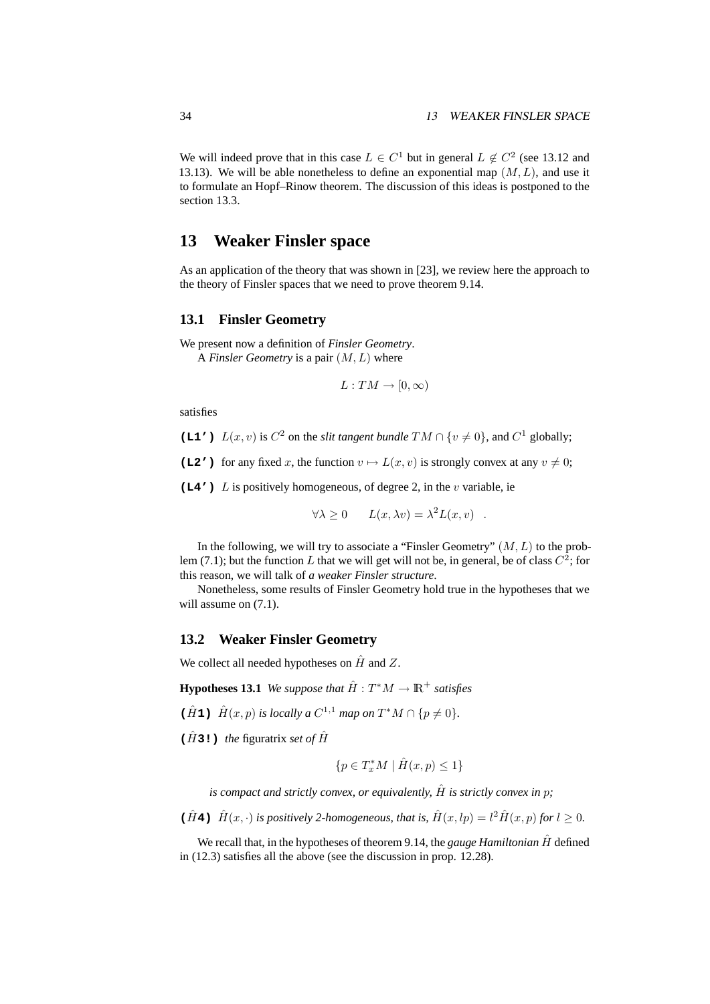We will indeed prove that in this case  $L \in C^1$  but in general  $L \notin C^2$  (see 13.12 and 13.13). We will be able nonetheless to define an exponential map  $(M, L)$ , and use it to formulate an Hopf–Rinow theorem. The discussion of this ideas is postponed to the section 13.3.

## **13 Weaker Finsler space**

As an application of the theory that was shown in [23], we review here the approach to the theory of Finsler spaces that we need to prove theorem 9.14.

#### **13.1 Finsler Geometry**

$$
L:TM\to[0,\infty)
$$

satisfies

**(L1')**  $L(x, v)$  is  $C^2$  on the *slit tangent bundle*  $TM \cap \{v \neq 0\}$ , and  $C^1$  globally;

**(L2')** for any fixed x, the function  $v \mapsto L(x, v)$  is strongly convex at any  $v \neq 0$ ;

**(L4')** L is positively homogeneous, of degree 2, in the v variable, ie

 $\forall \lambda \geq 0$   $L(x, \lambda v) = \lambda^2 L(x, v)$ .

In the following, we will try to associate a "Finsler Geometry"  $(M, L)$  to the problem (7.1); but the function L that we will get will not be, in general, be of class  $C^2$ ; for this reason, we will talk of *a weaker Finsler structure*.

Nonetheless, some results of Finsler Geometry hold true in the hypotheses that we will assume on  $(7.1)$ .

#### **13.2 Weaker Finsler Geometry**

We collect all needed hypotheses on  $\hat{H}$  and Z.

**Hypotheses 13.1** *We suppose that*  $\hat{H}: T^*M \to \mathbb{R}^+$  *satisfies* 

( $\hat{H}$ **1)**  $\hat{H}(x, p)$  *is locally a*  $C^{1,1}$  *map on*  $T^*M \cap \{p \neq 0\}.$ 

**(** $\hat{H}$ **3!**) *the* figuratrix *set of*  $\hat{H}$ 

$$
\{p \in T_x^*M \mid \hat{H}(x,p) \le 1\}
$$

*is compact and strictly convex, or equivalently,*  $\hat{H}$  *is strictly convex in p:* 

( $\hat{H}$ **4**)  $\hat{H}(x, \cdot)$  *is positively 2-homogeneous, that is,*  $\hat{H}(x, lp) = l^2 \hat{H}(x, p)$  *for*  $l \ge 0$ *.* 

We recall that, in the hypotheses of theorem 9.14, the *gauge Hamiltonian*  $\hat{H}$  defined in (12.3) satisfies all the above (see the discussion in prop. 12.28).

We present now a definition of *Finsler Geometry*. A *Finsler Geometry* is a pair (M, L) where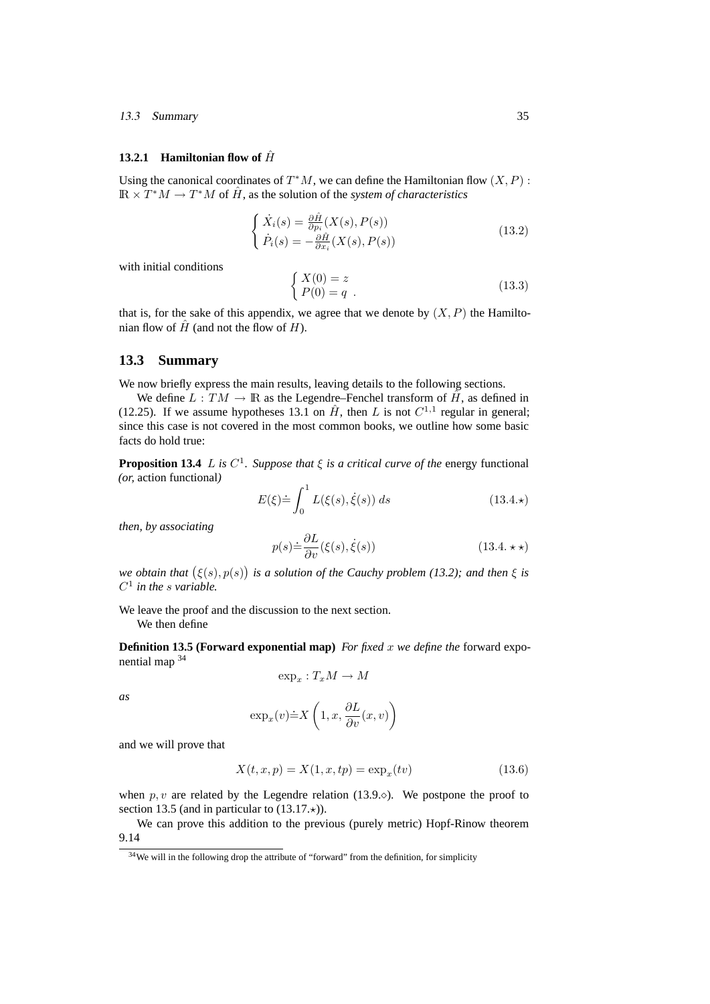#### 13.3 Summary 35

#### **13.2.1 Hamiltonian flow of**  $\hat{H}$

Using the canonical coordinates of  $T^*M$ , we can define the Hamiltonian flow  $(X, P)$ :  $\mathbb{R} \times T^*M \to T^*M$  of  $\hat{H}$ , as the solution of the *system of characteristics* 

$$
\begin{cases}\n\dot{X}_i(s) = \frac{\partial \hat{H}}{\partial p_i}(X(s), P(s)) \\
\dot{P}_i(s) = -\frac{\partial \hat{H}}{\partial x_i}(X(s), P(s))\n\end{cases}
$$
\n(13.2)

with initial conditions

$$
\begin{cases}\nX(0) = z \\
P(0) = q\n\end{cases} \tag{13.3}
$$

that is, for the sake of this appendix, we agree that we denote by  $(X, P)$  the Hamiltonian flow of  $\hat{H}$  (and not the flow of  $H$ ).

#### **13.3 Summary**

We now briefly express the main results, leaving details to the following sections.

We define  $L: TM \to \mathbb{R}$  as the Legendre–Fenchel transform of  $\hat{H}$ , as defined in (12.25). If we assume hypotheses 13.1 on  $\hat{H}$ , then L is not  $C^{1,1}$  regular in general; since this case is not covered in the most common books, we outline how some basic facts do hold true:

**Proposition 13.4** L is  $C^1$ . Suppose that  $\xi$  is a critical curve of the energy functional *(or,* action functional*)*

$$
E(\xi) \doteq \int_0^1 L(\xi(s), \dot{\xi}(s)) ds \qquad (13.4. \star)
$$

*then, by associating*

$$
p(s) \doteq \frac{\partial L}{\partial v}(\xi(s), \dot{\xi}(s))\tag{13.4.}\star\star\text{)}
$$

*we obtain that*  $(\xi(s), p(s))$  *is a solution of the Cauchy problem (13.2); and then*  $\xi$  *is* C 1 *in the* s *variable.*

We leave the proof and the discussion to the next section. We then define

**Definition 13.5 (Forward exponential map)** *For fixed* x *we define the* forward exponential map <sup>34</sup>

$$
\exp_x:T_xM\to M
$$

*as*

$$
\exp_x(v) \dot = X\left(1,x,\frac{\partial L}{\partial v}(x,v)\right)
$$

and we will prove that

$$
X(t, x, p) = X(1, x, tp) = \exp_x(tv)
$$
\n(13.6)

when  $p, v$  are related by the Legendre relation (13.9. $\diamond$ ). We postpone the proof to section 13.5 (and in particular to  $(13.17.*)$ ).

We can prove this addition to the previous (purely metric) Hopf-Rinow theorem 9.14

 $34$ We will in the following drop the attribute of "forward" from the definition, for simplicity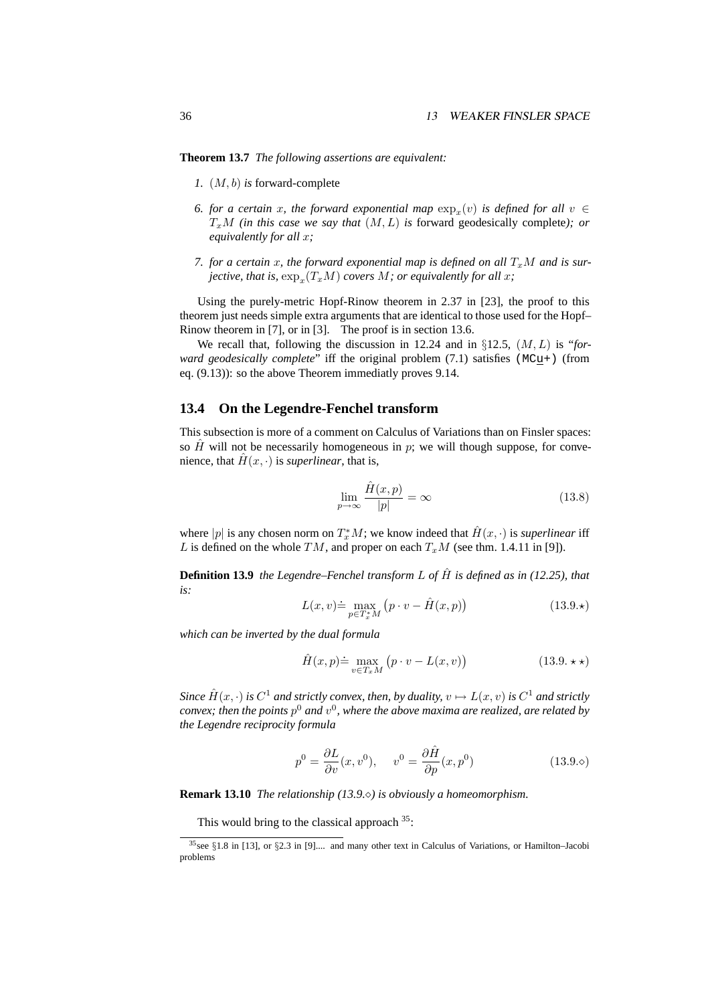**Theorem 13.7** *The following assertions are equivalent:*

- *1.* (M, b) *is* forward-complete
- *6. for a certain x, the forward exponential map*  $\exp_x(v)$  *is defined for all*  $v \in$  $T<sub>x</sub>M$  *(in this case we say that*  $(M, L)$  *is forward geodesically complete); or equivalently for all* x*;*
- *7. for a certain x, the forward exponential map is defined on all*  $T_xM$  *and is surjective, that is,*  $\exp_x(T_x M)$  *covers*  $M$ *; or equivalently for all*  $x$ *;*

Using the purely-metric Hopf-Rinow theorem in 2.37 in [23], the proof to this theorem just needs simple extra arguments that are identical to those used for the Hopf– Rinow theorem in [7], or in [3]. The proof is in section 13.6.

We recall that, following the discussion in 12.24 and in §12.5, (M, L) is "*forward geodesically complete*" iff the original problem (7.1) satisfies (MCu+) (from eq. (9.13)): so the above Theorem immediatly proves 9.14.

#### **13.4 On the Legendre-Fenchel transform**

This subsection is more of a comment on Calculus of Variations than on Finsler spaces: so  $\hat{H}$  will not be necessarily homogeneous in p; we will though suppose, for convenience, that  $H(x, \cdot)$  is *superlinear*, that is,

$$
\lim_{p \to \infty} \frac{\hat{H}(x, p)}{|p|} = \infty
$$
\n(13.8)

where  $|p|$  is any chosen norm on  $T_x^*M$ ; we know indeed that  $\hat{H}(x, \cdot)$  is *superlinear* iff L is defined on the whole TM, and proper on each  $T_xM$  (see thm. 1.4.11 in [9]).

**Definition 13.9** *the Legendre–Fenchel transform L of*  $\hat{H}$  *is defined as in (12.25), that is:*

$$
L(x,v) \doteq \max_{p \in T_x^*M} (p \cdot v - \hat{H}(x,p)) \tag{13.9.}\star
$$

*which can be inverted by the dual formula*

$$
\hat{H}(x,p) \doteq \max_{v \in T_x M} (p \cdot v - L(x,v)) \tag{13.9. \star \star}
$$

*Since*  $\hat{H}(x, \cdot)$  *is*  $C^1$  *and strictly convex, then, by duality,*  $v \mapsto L(x, v)$  *is*  $C^1$  *and strictly convex; then the points*  $p^0$  and  $v^0$ , where the above maxima are realized, are related by *the Legendre reciprocity formula*

$$
p^{0} = \frac{\partial L}{\partial v}(x, v^{0}), \quad v^{0} = \frac{\partial \hat{H}}{\partial p}(x, p^{0})
$$
\n(13.9.0)

**Remark 13.10** *The relationship (13.9.) is obviously a homeomorphism.*

This would bring to the classical approach  $35$ :

<sup>&</sup>lt;sup>35</sup>see §1.8 in [13], or §2.3 in [9].... and many other text in Calculus of Variations, or Hamilton–Jacobi problems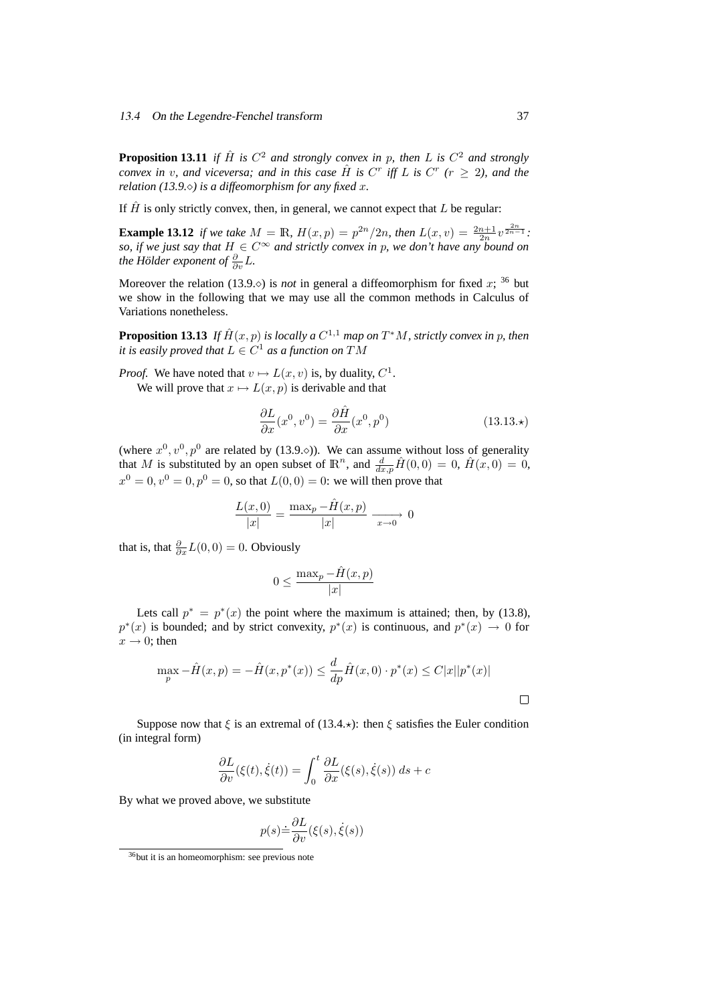**Proposition 13.11** *if*  $\hat{H}$  *is*  $C^2$  *and strongly convex in* p, then L *is*  $C^2$  *and strongly convex in* v, and viceversa; and in this case  $\hat{H}$  is  $C^r$  iff L is  $C^r$  ( $r \geq 2$ ), and the *relation (13.9.) is a diffeomorphism for any fixed* x*.*

If  $\hat{H}$  is only strictly convex, then, in general, we cannot expect that L be regular:

**Example 13.12** *if we take*  $M = \mathbb{R}$ ,  $H(x, p) = p^{2n}/2n$ , *then*  $L(x, v) = \frac{2n+1}{2n}v^{\frac{2n}{2n-1}}$ . **Example 19.12** if we take  $M = \mathbb{R}$ ,  $H(x, p) = p^2/2\pi$ , then  $L(x, v) = \frac{2n}{2n}$   $v = 3$ , so, if we just say that  $H \in C^\infty$  and strictly convex in p, we don't have any bound on the Hölder exponent of  $\frac{\partial}{\partial v} L$ .

Moreover the relation (13.9. $\diamond$ ) is *not* in general a diffeomorphism for fixed x; <sup>36</sup> but we show in the following that we may use all the common methods in Calculus of Variations nonetheless.

**Proposition 13.13** If  $\hat{H}(x, p)$  is locally a  $C^{1,1}$  map on  $T^*M$ , strictly convex in p, then *it is easily proved that*  $L \in C^1$  *as a function on*  $TM$ 

*Proof.* We have noted that  $v \mapsto L(x, v)$  is, by duality,  $C^1$ . We will prove that  $x \mapsto L(x, p)$  is derivable and that

$$
\frac{\partial L}{\partial x}(x^0, v^0) = \frac{\partial \hat{H}}{\partial x}(x^0, p^0)
$$
\n(13.13.\*)

(where  $x^0, v^0, p^0$  are related by (13.9. $\circ$ )). We can assume without loss of generality that M is substituted by an open subset of  $\mathbb{R}^n$ , and  $\frac{d}{dx,p}\hat{H}(0,0) = 0$ ,  $\hat{H}(x,0) = 0$ ,  $x^0 = 0, v^0 = 0, p^0 = 0$ , so that  $L(0, 0) = 0$ : we will then prove that

$$
\frac{L(x,0)}{|x|} = \frac{\max_{p} - \hat{H}(x,p)}{|x|} \xrightarrow[x \to 0]{} 0
$$

that is, that  $\frac{\partial}{\partial x}L(0,0) = 0$ . Obviously

$$
0 \le \frac{\max_p - \hat{H}(x, p)}{|x|}
$$

Lets call  $p^* = p^*(x)$  the point where the maximum is attained; then, by (13.8),  $p^*(x)$  is bounded; and by strict convexity,  $p^*(x)$  is continuous, and  $p^*(x) \to 0$  for  $x \rightarrow 0$ ; then

$$
\max_{p} - \hat{H}(x, p) = -\hat{H}(x, p^*(x)) \le \frac{d}{dp}\hat{H}(x, 0) \cdot p^*(x) \le C|x||p^*(x)|
$$

Suppose now that  $\xi$  is an extremal of (13.4. $\star$ ): then  $\xi$  satisfies the Euler condition (in integral form)

$$
\frac{\partial L}{\partial v}(\xi(t), \dot{\xi}(t)) = \int_0^t \frac{\partial L}{\partial x}(\xi(s), \dot{\xi}(s)) ds + c
$$

By what we proved above, we substitute

$$
p(s) \dot{=} \frac{\partial L}{\partial v}(\xi(s), \dot{\xi}(s))
$$

 $\Box$ 

<sup>36</sup>but it is an homeomorphism: see previous note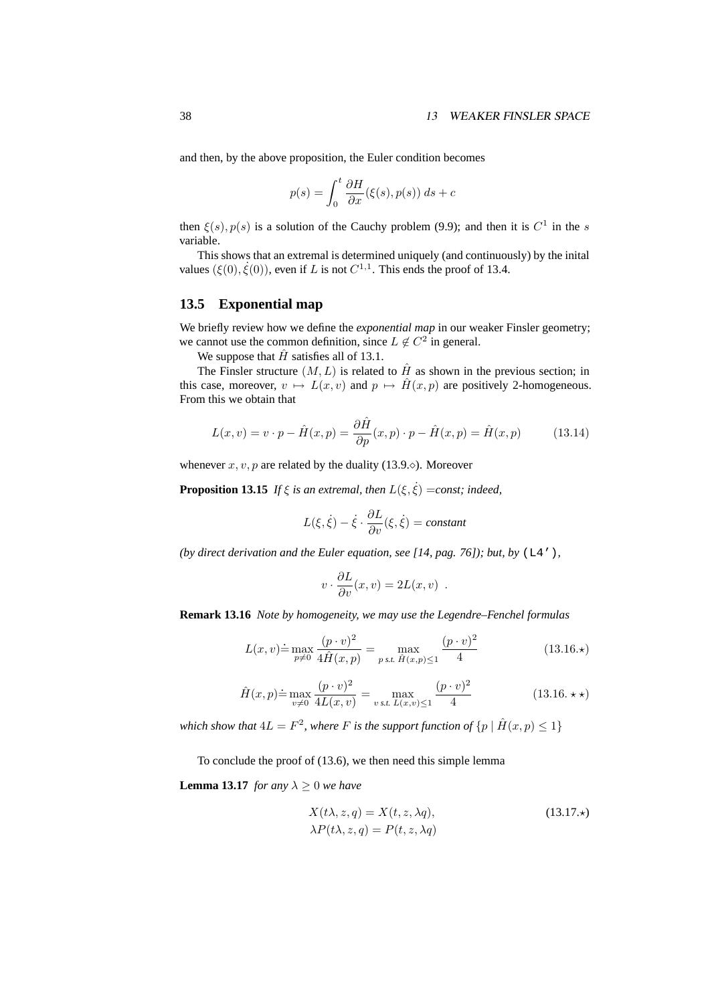and then, by the above proposition, the Euler condition becomes

$$
p(s) = \int_0^t \frac{\partial H}{\partial x}(\xi(s), p(s)) \, ds + c
$$

then  $\xi(s)$ ,  $p(s)$  is a solution of the Cauchy problem (9.9); and then it is  $C^1$  in the s variable.

This shows that an extremal is determined uniquely (and continuously) by the inital values  $(\xi(0), \dot{\xi}(0))$ , even if L is not  $C^{1,1}$ . This ends the proof of 13.4.

#### **13.5 Exponential map**

We briefly review how we define the *exponential map* in our weaker Finsler geometry; we cannot use the common definition, since  $L \notin C^2$  in general.

We suppose that  $\hat{H}$  satisfies all of 13.1.

The Finsler structure  $(M, L)$  is related to  $\hat{H}$  as shown in the previous section; in this case, moreover,  $v \mapsto L(x, v)$  and  $p \mapsto \hat{H}(x, p)$  are positively 2-homogeneous. From this we obtain that

$$
L(x,v) = v \cdot p - \hat{H}(x,p) = \frac{\partial \hat{H}}{\partial p}(x,p) \cdot p - \hat{H}(x,p) = \hat{H}(x,p) \quad (13.14)
$$

whenever x, v, p are related by the duality (13.9. $\diamond$ ). Moreover

**Proposition 13.15** *If*  $\xi$  *is an extremal, then*  $L(\xi, \dot{\xi}) = const$ ; *indeed,* 

$$
L(\xi, \dot{\xi}) - \dot{\xi} \cdot \frac{\partial L}{\partial v}(\xi, \dot{\xi}) = constant
$$

*(by direct derivation and the Euler equation, see [14, pag. 76]); but, by* (L4')*,*

$$
v \cdot \frac{\partial L}{\partial v}(x,v) = 2L(x,v) .
$$

**Remark 13.16** *Note by homogeneity, we may use the Legendre–Fenchel formulas*

$$
L(x,v) \doteq \max_{p \neq 0} \frac{(p \cdot v)^2}{4\hat{H}(x,p)} = \max_{p \text{ s.t. } \hat{H}(x,p) \leq 1} \frac{(p \cdot v)^2}{4}
$$
 (13.16.\*)

$$
\hat{H}(x,p) \doteq \max_{v \neq 0} \frac{(p \cdot v)^2}{4L(x,v)} = \max_{v \text{ s.t. } L(x,v) \le 1} \frac{(p \cdot v)^2}{4}
$$
\n(13.16.  $\star \star$ )

*which show that*  $4L = F^2$ , *where* F *is the support function of*  $\{p \mid \hat{H}(x, p) \leq 1\}$ 

To conclude the proof of (13.6), we then need this simple lemma

**Lemma 13.17** *for any*  $\lambda \geq 0$  *we have* 

$$
X(t\lambda, z, q) = X(t, z, \lambda q),
$$
  
\n
$$
\lambda P(t\lambda, z, q) = P(t, z, \lambda q)
$$
  
\n(13.17.\*)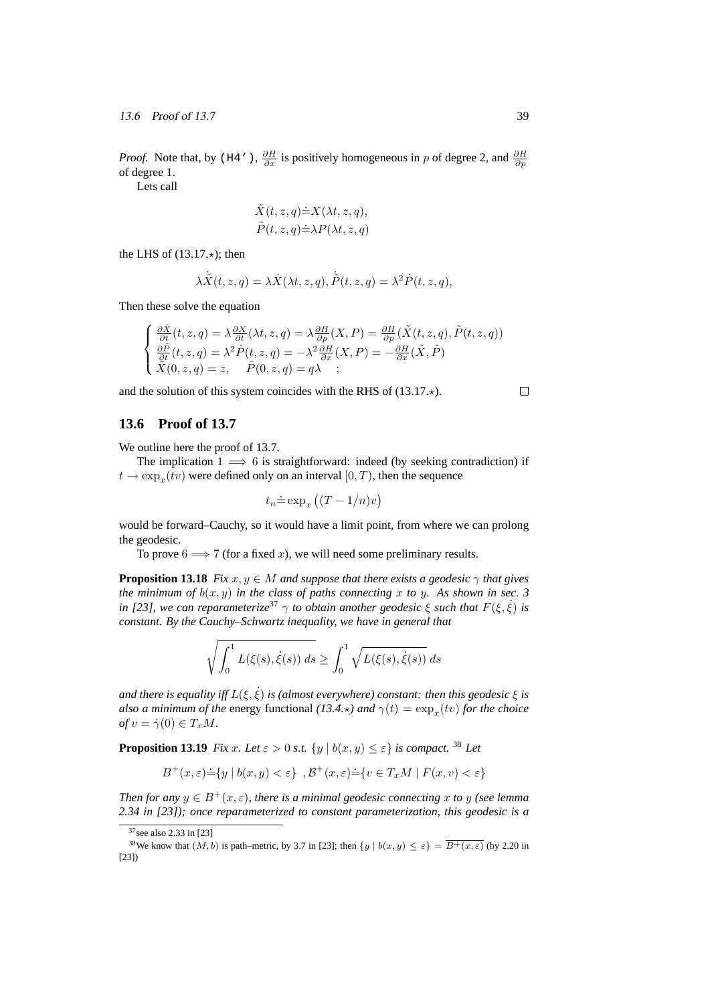*Proof.* Note that, by (H4'),  $\frac{\partial H}{\partial x}$  is positively homogeneous in p of degree 2, and  $\frac{\partial H}{\partial p}$ of degree 1.

Lets call

$$
\tilde{X}(t, z, q) \dot{=} X(\lambda t, z, q), \n\tilde{P}(t, z, q) \dot{=} \lambda P(\lambda t, z, q)
$$

the LHS of  $(13.17.*)$ ; then

$$
\lambda \dot{\tilde{X}}(t,z,q) = \lambda \dot{X}(\lambda t,z,q), \dot{\tilde{P}}(t,z,q) = \lambda^2 \dot{P}(t,z,q),
$$

Then these solve the equation

$$
\begin{cases}\n\frac{\partial \tilde{X}}{\partial t}(t, z, q) = \lambda \frac{\partial X}{\partial t}(\lambda t, z, q) = \lambda \frac{\partial H}{\partial p}(X, P) = \frac{\partial H}{\partial p}(\tilde{X}(t, z, q), \tilde{P}(t, z, q)) \\
\frac{\partial \tilde{P}}{\partial t}(t, z, q) = \lambda^2 \dot{P}(t, z, q) = -\lambda^2 \frac{\partial H}{\partial x}(X, P) = -\frac{\partial H}{\partial x}(\tilde{X}, \tilde{P}) \\
\tilde{X}(0, z, q) = z, \quad \tilde{P}(0, z, q) = q\lambda\n\end{cases}
$$

and the solution of this system coincides with the RHS of  $(13.17.*)$ .

#### **13.6 Proof of 13.7**

We outline here the proof of 13.7.

The implication  $1 \implies 6$  is straightforward: indeed (by seeking contradiction) if  $t \to \exp_x(tv)$  were defined only on an interval  $[0, T)$ , then the sequence

$$
t_n \dot{=} \exp_x \left( (T - 1/n)v \right)
$$

would be forward–Cauchy, so it would have a limit point, from where we can prolong the geodesic.

To prove  $6 \Longrightarrow 7$  (for a fixed x), we will need some preliminary results.

**Proposition 13.18** *Fix*  $x, y \in M$  *and suppose that there exists a geodesic*  $\gamma$  *that gives the minimum of*  $b(x, y)$  *in the class of paths connecting* x *to* y. As shown in sec. 3 *in [23], we can reparameterize*<sup>37</sup>  $\gamma$  *to obtain another geodesic*  $\xi$  *such that*  $F(\xi, \dot{\xi})$  *is constant. By the Cauchy–Schwartz inequality, we have in general that*

$$
\sqrt{\int_0^1 L(\xi(s), \dot{\xi}(s)) ds} \ge \int_0^1 \sqrt{L(\xi(s), \dot{\xi}(s))} ds
$$

*and there is equality iff*  $L(\xi, \xi)$  *is (almost everywhere) constant: then this geodesic*  $\xi$  *is also a minimum of the energy functional (13.4.* $\star$ *) and*  $\gamma(t) = \exp_x(tv)$  *for the choice*  $of v = \dot{\gamma}(0) \in T_xM$ .

**Proposition 13.19** *Fix x. Let*  $\varepsilon > 0$  *s.t.*  $\{y \mid b(x, y) \leq \varepsilon\}$  *is compact.* <sup>38</sup> *Let* 

$$
B^+(x,\varepsilon) \dot{=} \{ y \mid b(x,y) < \varepsilon \} \quad B^+(x,\varepsilon) \dot{=} \{ v \in T_x M \mid F(x,v) < \varepsilon \}
$$

*Then for any*  $y \in B^+(x, \varepsilon)$ *, there is a minimal geodesic connecting* x to y *(see lemma*) *2.34 in [23]); once reparameterized to constant parameterization, this geodesic is a*

 $\Box$ 

<sup>37</sup>see also 2.33 in [23]

<sup>&</sup>lt;sup>38</sup>We know that  $(M, b)$  is path–metric, by 3.7 in [23]; then  $\{y \mid b(x, y) \leq \varepsilon\} = \overline{B^+(x, \varepsilon)}$  (by 2.20 in  $[23]$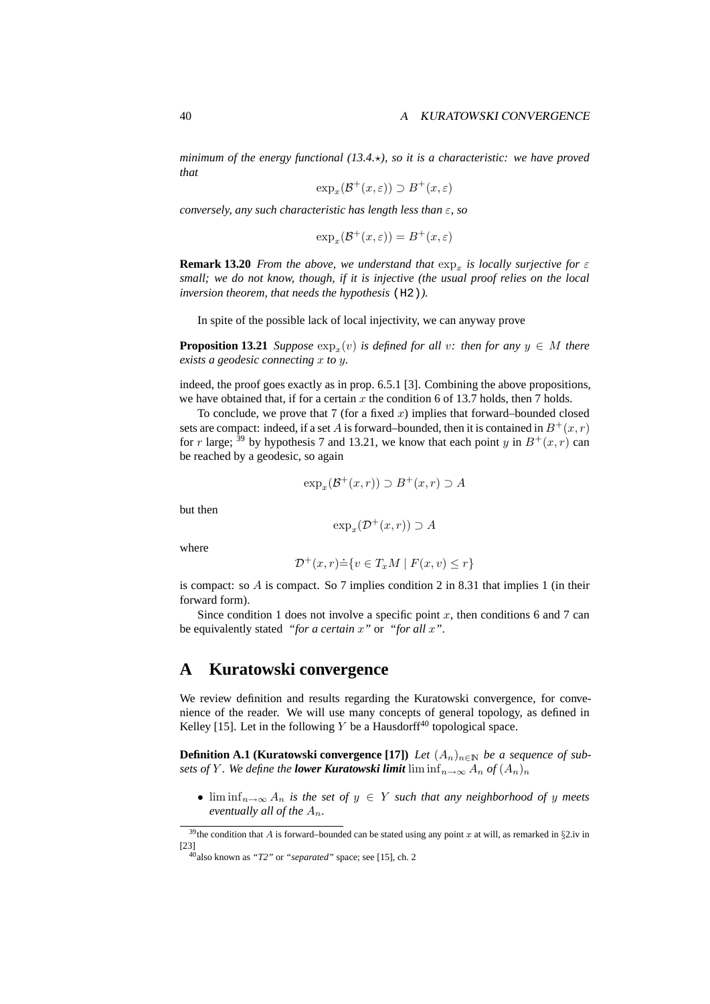*minimum of the energy functional (13.4.*?*), so it is a characteristic: we have proved that*

$$
\exp_x(\mathcal{B}^+(x,\varepsilon)) \supset B^+(x,\varepsilon)
$$

*conversely, any such characteristic has length less than* ε*, so*

$$
\exp_x(\mathcal{B}^+(x,\varepsilon)) = B^+(x,\varepsilon)
$$

**Remark 13.20** *From the above, we understand that*  $\exp_x$  *is locally surjective for*  $\varepsilon$ *small; we do not know, though, if it is injective (the usual proof relies on the local inversion theorem, that needs the hypothesis* (H2)*).*

In spite of the possible lack of local injectivity, we can anyway prove

**Proposition 13.21** *Suppose*  $\exp_x(v)$  *is defined for all v: then for any*  $y \in M$  *there exists a geodesic connecting* x *to* y*.*

indeed, the proof goes exactly as in prop. 6.5.1 [3]. Combining the above propositions, we have obtained that, if for a certain  $x$  the condition 6 of 13.7 holds, then 7 holds.

To conclude, we prove that 7 (for a fixed x) implies that forward–bounded closed sets are compact: indeed, if a set A is forward–bounded, then it is contained in  $B^+(x, r)$ for r large; <sup>39</sup> by hypothesis 7 and 13.21, we know that each point y in  $B^+(x, r)$  can be reached by a geodesic, so again

$$
\exp_x(\mathcal{B}^+(x,r)) \supset B^+(x,r) \supset A
$$

but then

$$
\exp_x(\mathcal{D}^+(x,r)) \supset A
$$

where

$$
\mathcal{D}^+(x,r) \dot{=} \{ v \in T_x M \mid F(x,v) \le r \}
$$

is compact: so A is compact. So 7 implies condition 2 in 8.31 that implies 1 (in their forward form).

Since condition 1 does not involve a specific point  $x$ , then conditions 6 and 7 can be equivalently stated *"for a certain* x*"* or *"for all* x*"*.

## **A Kuratowski convergence**

We review definition and results regarding the Kuratowski convergence, for convenience of the reader. We will use many concepts of general topology, as defined in Kelley [15]. Let in the following Y be a Hausdorff<sup>40</sup> topological space.

**Definition A.1 (Kuratowski convergence [17])** *Let*  $(A_n)_{n\in\mathbb{N}}$  *be a sequence of subsets of* Y. We define the *lower Kuratowski limit* lim $\inf_{n\to\infty} A_n$  of  $(A_n)_n$ 

•  $\liminf_{n\to\infty} A_n$  *is the set of*  $y \in Y$  *such that any neighborhood of y meets eventually all of the*  $A_n$ *.* 

<sup>&</sup>lt;sup>39</sup>the condition that A is forward–bounded can be stated using any point x at will, as remarked in §2.iv in [23]

<sup>40</sup>also known as *"T2"* or *"separated"* space; see [15], ch. 2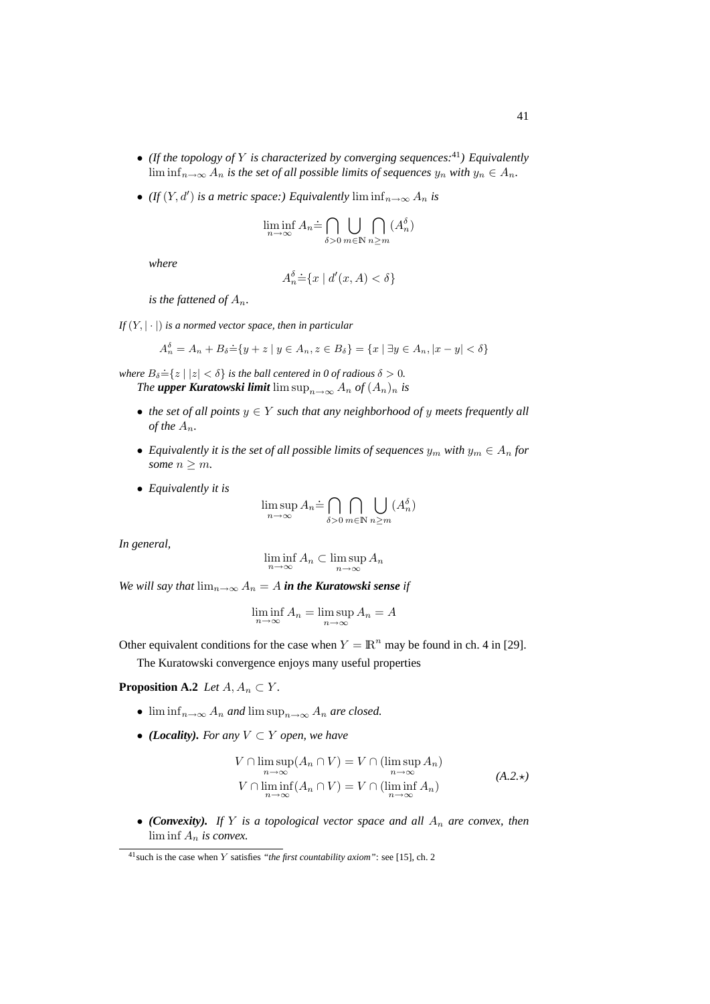- *(If the topology of* Y *is characterized by converging sequences:*<sup>41</sup>*) Equivalently* lim inf $n \rightarrow \infty$  A<sub>n</sub> is the set of all possible limits of sequences  $y_n$  with  $y_n \in A_n$ .
- *(If*  $(Y, d')$  *is a metric space:) Equivalently* lim  $\inf_{n\to\infty} A_n$  *is*

$$
\liminf_{n \to \infty} A_n = \bigcap_{\delta > 0} \bigcup_{m \in \mathbb{N}} \bigcap_{n \ge m} (A_n^{\delta})
$$

*where*

$$
A_n^{\delta} \dot{=} \{ x \mid d'(x, A) < \delta \}
$$

*is the fattened of*  $A_n$ *.* 

*If*  $(Y, |\cdot|)$  *is a normed vector space, then in particular* 

$$
A_n^{\delta} = A_n + B_{\delta} \dot{=} \{ y + z \mid y \in A_n, z \in B_{\delta} \} = \{ x \mid \exists y \in A_n, |x - y| < \delta \}
$$

*where*  $B_{\delta} \dot{=} \{z \mid |z| < \delta\}$  *is the ball centered in 0 of radious*  $\delta > 0$ *. The upper Kuratowski limit* lim sup $_{n\rightarrow\infty}$   $A_n$  of  $(A_n)_n$  *is* 

- *the set of all points* y ∈ Y *such that any neighborhood of* y *meets frequently all of the*  $A_n$ *.*
- *Equivalently it is the set of all possible limits of sequences*  $y_m$  *with*  $y_m \in A_n$  *for some*  $n > m$ *.*
- *Equivalently it is*

$$
\limsup_{n \to \infty} A_n \doteq \bigcap_{\delta > 0} \bigcap_{m \in \mathbb{N}} \bigcup_{n \ge m} (A_n^{\delta})
$$

*In general,*

$$
\liminf_{n \to \infty} A_n \subset \limsup_{n \to \infty} A_n
$$

*We will say that*  $\lim_{n\to\infty} A_n = A$  *in the Kuratowski sense if* 

$$
\liminf_{n \to \infty} A_n = \limsup_{n \to \infty} A_n = A
$$

Other equivalent conditions for the case when  $Y = \mathbb{R}^n$  may be found in ch. 4 in [29].

The Kuratowski convergence enjoys many useful properties

**Proposition A.2** *Let*  $A, A_n \subset Y$ *.* 

- $\liminf_{n\to\infty}A_n$  *and*  $\limsup_{n\to\infty}A_n$  *are closed.*
- *(Locality). For any*  $V \subset Y$  *open, we have*

$$
V \cap \limsup_{n \to \infty} (A_n \cap V) = V \cap (\limsup_{n \to \infty} A_n)
$$
  
\n
$$
V \cap \liminf_{n \to \infty} (A_n \cap V) = V \cap (\liminf_{n \to \infty} A_n)
$$
 (A.2.\*)

• *(Convexity).* If Y is a topological vector space and all  $A_n$  are convex, then lim inf A<sup>n</sup> *is convex.*

 $\frac{41}{1}$  such is the case when Y satisfies *"the first countability axiom"*: see [15], ch. 2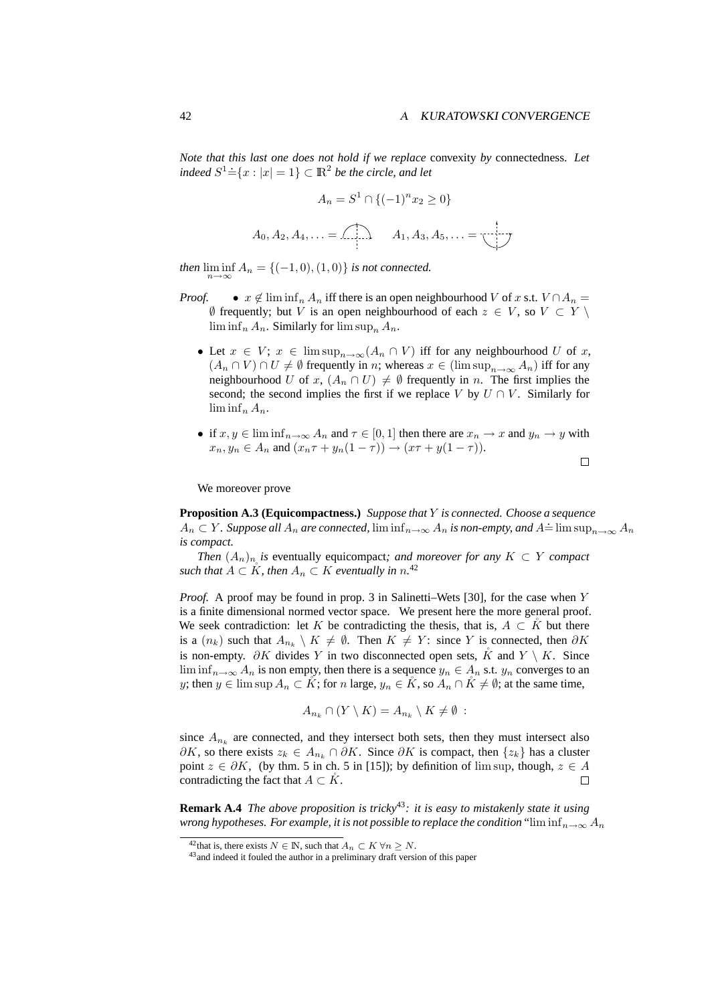#### 42 A KURATOWSKI CONVERGENCE

*Note that this last one does not hold if we replace* convexity *by* connectedness. *Let indeed*  $S^1 \stackrel{\sim}{=} \{x : |x| = 1\} \subset \mathbb{R}^2$  *be the circle, and let* 

$$
A_n = S^1 \cap \{ (-1)^n x_2 \ge 0 \}
$$

$$
A_0, A_2, A_4, \ldots = \mathbb{C} \longrightarrow A_1, A_3, A_5, \ldots = \underbrace{\downarrow}_{}
$$

*then*  $\liminf_{n \to \infty} A_n = \{(-1, 0), (1, 0)\}$  *is not connected.* 

- *Proof.*  $x \notin \liminf_{n} A_n$  iff there is an open neighbourhood V of x s.t.  $V \cap A_n =$  $\emptyset$  frequently; but V is an open neighbourhood of each  $z \in V$ , so  $V \subset Y \setminus V$  $\liminf_n A_n$ . Similarly for  $\limsup_n A_n$ .
	- Let  $x \in V$ ;  $x \in \limsup_{n \to \infty} (A_n \cap V)$  iff for any neighbourhood U of x,  $(A_n \cap V) \cap U \neq \emptyset$  frequently in n; whereas  $x \in (\limsup_{n \to \infty} A_n)$  iff for any neighbourhood U of x,  $(A_n \cap U) \neq \emptyset$  frequently in n. The first implies the second; the second implies the first if we replace V by  $U \cap V$ . Similarly for  $\liminf_n A_n$ .
	- if  $x, y \in \liminf_{n \to \infty} A_n$  and  $\tau \in [0, 1]$  then there are  $x_n \to x$  and  $y_n \to y$  with  $x_n, y_n \in A_n$  and  $(x_n \tau + y_n(1 - \tau)) \to (x\tau + y(1 - \tau)).$

$$
\qquad \qquad \Box
$$

We moreover prove

**Proposition A.3 (Equicompactness.)** *Suppose that* Y *is connected. Choose a sequence* An  $\subset Y$ . Suppose all  $A_n$  are connected,  $\liminf_{n\to\infty} A_n$  is non-empty, and  $A \doteq \limsup_{n\to\infty} A_n$ *is compact.*

*Then*  $(A_n)_n$  *is* eventually equicompact*; and moreover for any*  $K \subset Y$  *compact such that*  $A \subset K$ *, then*  $A_n \subset K$  *eventually in*  $n^{42}$ 

*Proof.* A proof may be found in prop. 3 in Salinetti–Wets [30], for the case when Y is a finite dimensional normed vector space. We present here the more general proof. We seek contradiction: let K be contradicting the thesis, that is,  $A \subset K$  but there is a  $(n_k)$  such that  $A_{n_k} \setminus K \neq \emptyset$ . Then  $K \neq Y$ : since Y is connected, then  $\partial K$ is non-empty. ∂K divides Y in two disconnected open sets,  $\tilde{K}$  and  $Y \setminus K$ . Since lim inf $_{n\to\infty}$  A<sub>n</sub> is non empty, then there is a sequence  $y_n \in A_n$  s.t.  $y_n$  converges to an y; then  $y \in \limsup A_n \subset K$ ; for n large,  $y_n \in K$ , so  $A_n \cap K \neq \emptyset$ ; at the same time,

$$
A_{n_k} \cap (Y \setminus K) = A_{n_k} \setminus K \neq \emptyset :
$$

since  $A_{n_k}$  are connected, and they intersect both sets, then they must intersect also  $\partial K$ , so there exists  $z_k \in A_{n_k} \cap \partial K$ . Since  $\partial K$  is compact, then  $\{z_k\}$  has a cluster point  $z \in \partial K$ , (by thm. 5 in ch. 5 in [15]); by definition of lim sup, though,  $z \in A$ contradicting the fact that  $A \subset K$ .  $\Box$ 

**Remark A.4** *The above proposition is tricky*<sup>43</sup>*: it is easy to mistakenly state it using wrong hypotheses. For example, it is not possible to replace the condition* "lim inf $_{n\to\infty}$   $A_n$ 

<sup>&</sup>lt;sup>42</sup>that is, there exists  $N \in \mathbb{N}$ , such that  $A_n \subset K \,\forall n \geq N$ .

 $43$  and indeed it fouled the author in a preliminary draft version of this paper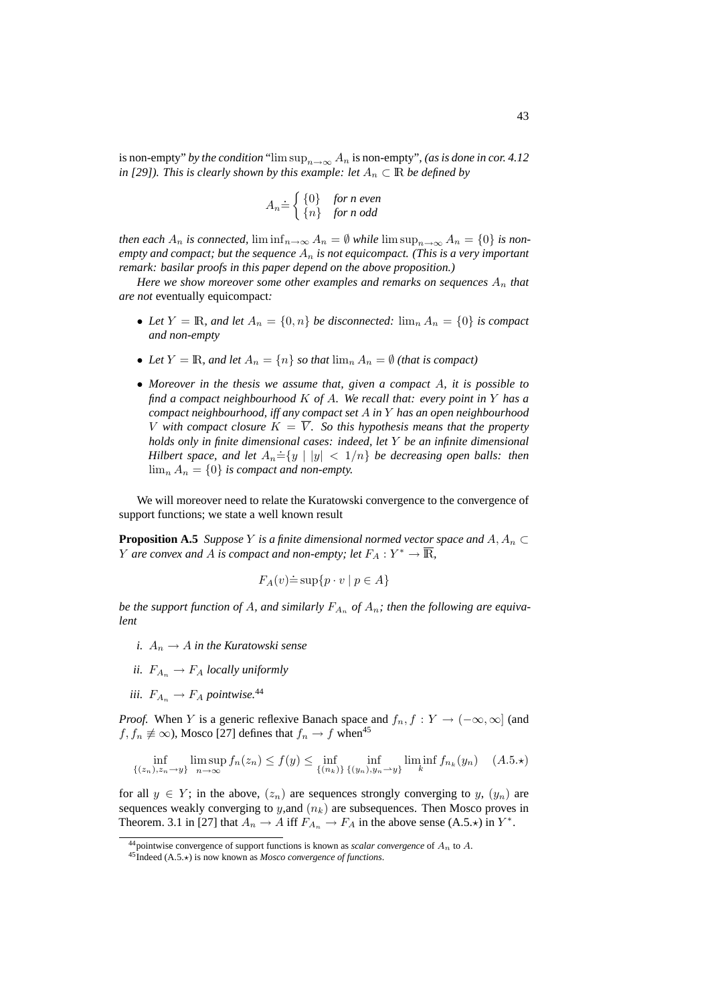is non-empty" *by the condition* "lim  $\sup_{n\to\infty} A_n$  is non-empty", (as is done in cor. 4.12 *in [29]). This is clearly shown by this example: let*  $A_n \subset \mathbb{R}$  *be defined by* 

$$
A_n \doteq \begin{cases} \{0\} & \text{for } n \text{ even} \\ \{n\} & \text{for } n \text{ odd} \end{cases}
$$

*then each*  $A_n$  *is connected,*  $\liminf_{n\to\infty} A_n = \emptyset$  *while*  $\limsup_{n\to\infty} A_n = \{0\}$  *is nonempty and compact; but the sequence*  $A_n$  *is not equicompact. (This is a very important remark: basilar proofs in this paper depend on the above proposition.)*

*Here we show moreover some other examples and remarks on sequences*  $A_n$  *that are not* eventually equicompact*:*

- Let  $Y = \mathbb{R}$ *, and let*  $A_n = \{0, n\}$  *be disconnected:*  $\lim_n A_n = \{0\}$  *is compact and non-empty*
- Let  $Y = \mathbb{R}$ *, and let*  $A_n = \{n\}$  so that  $\lim_n A_n = \emptyset$  *(that is compact)*
- *Moreover in the thesis we assume that, given a compact* A*, it is possible to find a compact neighbourhood* K *of* A*. We recall that: every point in* Y *has a compact neighbourhood, iff any compact set* A *in* Y *has an open neighbourhood* V with compact closure  $K = \overline{V}$ . So this hypothesis means that the property *holds only in finite dimensional cases: indeed, let* Y *be an infinite dimensional Hilbert space, and let*  $A_n = \{y \mid |y| < 1/n\}$  *be decreasing open balls: then*  $\lim_{n} A_n = \{0\}$  *is compact and non-empty.*

We will moreover need to relate the Kuratowski convergence to the convergence of support functions; we state a well known result

**Proposition A.5** *Suppose* Y *is a finite dimensional normed vector space and*  $A, A_n \subset$ *Y* are convex and A is compact and non-empty; let  $F_A: Y^* \to \overline{\mathbb{R}},$ 

$$
F_A(v) \doteq \sup\{p \cdot v \mid p \in A\}
$$

*be the support function of A, and similarly*  $F_{A_n}$  *of*  $A_n$ *; then the following are equivalent*

- *i.*  $A_n \to A$  *in the Kuratowski sense*
- *ii.*  $F_{A_n} \to F_A$  *locally uniformly*
- *iii.*  $F_{A_n} \to F_A$  *pointwise.*<sup>44</sup>

*Proof.* When Y is a generic reflexive Banach space and  $f_n, f : Y \to (-\infty, \infty]$  (and  $f, f_n \neq \infty$ ), Mosco [27] defines that  $f_n \to f$  when<sup>45</sup>

$$
\inf_{\{(z_n), z_n \to y\}} \limsup_{n \to \infty} f_n(z_n) \le f(y) \le \inf_{\{(n_k)\}} \inf_{\{(y_n), y_n \to y\}} \liminf_{k} f_{n_k}(y_n) \quad (A.5.*)
$$

for all  $y \in Y$ ; in the above,  $(z_n)$  are sequences strongly converging to y,  $(y_n)$  are sequences weakly converging to y,and  $(n_k)$  are subsequences. Then Mosco proves in Theorem. 3.1 in [27] that  $A_n \to A$  iff  $F_{A_n} \to F_A$  in the above sense (A.5. $\star$ ) in  $Y^*$ .

 $44$ pointwise convergence of support functions is known as *scalar convergence* of  $A_n$  to  $A$ .

<sup>45</sup>Indeed (A.5.?) is now known as *Mosco convergence of functions*.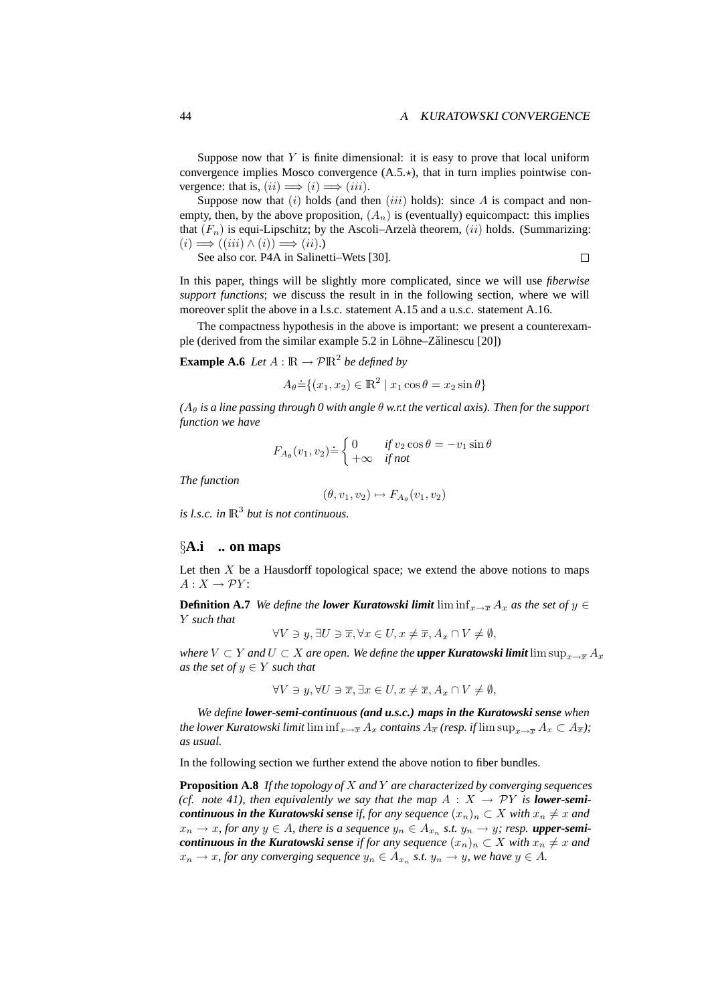#### 44 A KURATOWSKI CONVERGENCE

Suppose now that  $Y$  is finite dimensional: it is easy to prove that local uniform convergence implies Mosco convergence  $(A.5.*)$ , that in turn implies pointwise convergence: that is,  $(ii) \Longrightarrow (i) \Longrightarrow (iii)$ .

Suppose now that  $(i)$  holds (and then  $(iii)$  holds): since A is compact and nonempty, then, by the above proposition,  $(A_n)$  is (eventually) equicompact: this implies that  $(F_n)$  is equi-Lipschitz; by the Ascoli–Arzelà theorem,  $(ii)$  holds. (Summarizing:  $(i) \Longrightarrow ((iii) \land (i)) \Longrightarrow (ii).$ 

See also cor. P4A in Salinetti–Wets [30].

 $\Box$ 

In this paper, things will be slightly more complicated, since we will use *fiberwise support functions*; we discuss the result in in the following section, where we will moreover split the above in a l.s.c. statement A.15 and a u.s.c. statement A.16.

The compactness hypothesis in the above is important: we present a counterexample (derived from the similar example  $5.2$  in Löhne–Zălinescu  $[20]$ )

**Example A.6** *Let*  $A : \mathbb{R} \to \mathcal{P} \mathbb{R}^2$  *be defined by* 

$$
A_{\theta} \dot{=} \{(x_1, x_2) \in \mathbb{R}^2 \mid x_1 \cos \theta = x_2 \sin \theta\}
$$

 $(A_\theta$  *is a line passing through 0 with angle*  $\theta$  *w.r.t the vertical axis). Then for the support function we have*

$$
F_{A_{\theta}}(v_1, v_2) \doteq \begin{cases} 0 & \text{if } v_2 \cos \theta = -v_1 \sin \theta \\ +\infty & \text{if } \text{not} \end{cases}
$$

*The function*

$$
(\theta, v_1, v_2) \mapsto F_{A_{\theta}}(v_1, v_2)
$$

*is l.s.c. in*  $\mathbb{R}^3$  *but is not continuous.* 

## §**A.i .. on maps**

Let then  $X$  be a Hausdorff topological space; we extend the above notions to maps  $A: X \rightarrow \mathcal{P}Y$ :

**Definition A.7** *We define the lower Kuratowski limit* lim inf $x \rightarrow x A_x$  *as the set of*  $y \in$ Y *such that*

$$
\forall V \ni y, \exists U \ni \overline{x}, \forall x \in U, x \neq \overline{x}, A_x \cap V \neq \emptyset,
$$

*where*  $V \subset Y$  *and*  $U \subset X$  *are open. We define the upper Kuratowski limit lim*  $\sup_{x\to \overline{x}} A_x$ *as the set of*  $y \in Y$  *such that* 

$$
\forall V \ni y, \forall U \ni \overline{x}, \exists x \in U, x \neq \overline{x}, A_x \cap V \neq \emptyset,
$$

*We define lower-semi-continuous (and u.s.c.) maps in the Kuratowski sense when the lower Kuratowski limit* lim inf $_{x\to \overline{x}} A_x$  *contains*  $A_{\overline{x}}$  *(resp. if* lim sup $_{x\to \overline{x}} A_x \subset A_{\overline{x}}$ *)*; *as usual.*

In the following section we further extend the above notion to fiber bundles.

**Proposition A.8** *If the topology of* X *and* Y *are characterized by converging sequences (cf. note 41), then equivalently we say that the map*  $A: X \rightarrow PY$  *is lower-semicontinuous in the Kuratowski sense if, for any sequence*  $(x_n)_n \subset X$  *with*  $x_n \neq x$  *and*  $x_n \to x$ , for any  $y \in A$ , there is a sequence  $y_n \in A_{x_n}$  s.t.  $y_n \to y$ ; resp. **upper-semi***continuous in the Kuratowski sense if for any sequence*  $(x_n)_n \subset X$  *with*  $x_n \neq x$  *and*  $x_n \to x$ , for any converging sequence  $y_n \in A_{x_n}$  s.t.  $y_n \to y$ , we have  $y \in A$ .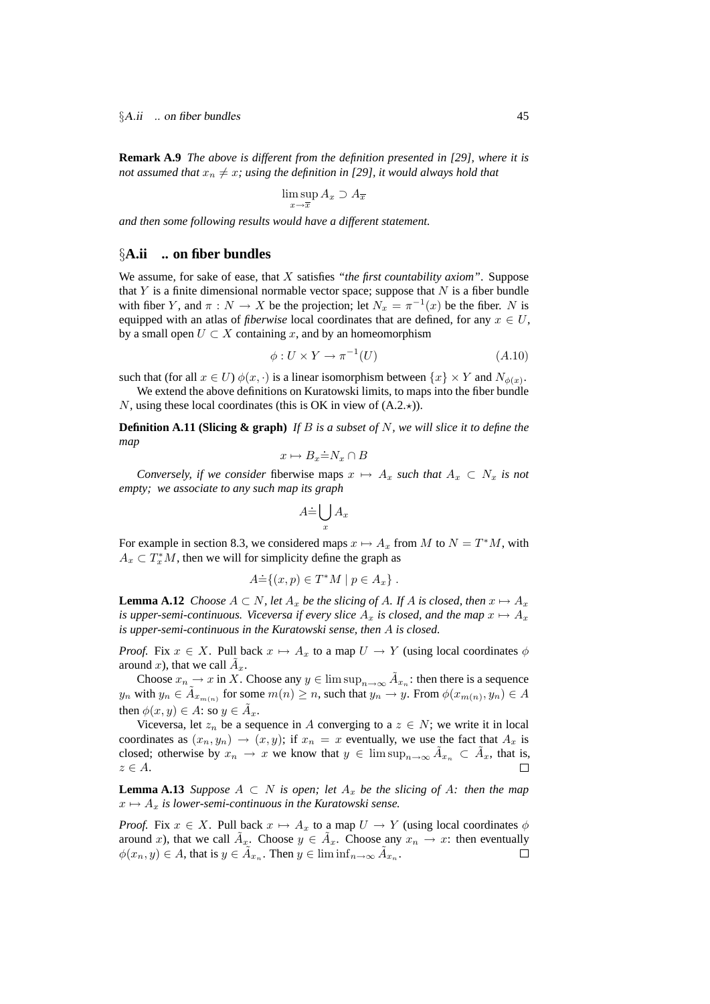**Remark A.9** *The above is different from the definition presented in [29], where it is not assumed that*  $x_n \neq x$ *; using the definition in [29], it would always hold that* 

$$
\limsup_{x \to \overline{x}} A_x \supset A_{\overline{x}}
$$

*and then some following results would have a different statement.*

#### §**A.ii .. on fiber bundles**

We assume, for sake of ease, that X satisfies *"the first countability axiom"*. Suppose that  $Y$  is a finite dimensional normable vector space; suppose that  $N$  is a fiber bundle with fiber Y, and  $\pi : N \to X$  be the projection; let  $N_x = \pi^{-1}(x)$  be the fiber. N is equipped with an atlas of *fiberwise* local coordinates that are defined, for any  $x \in U$ , by a small open  $U \subset X$  containing x, and by an homeomorphism

$$
\phi: U \times Y \to \pi^{-1}(U) \tag{A.10}
$$

such that (for all  $x \in U$ )  $\phi(x, \cdot)$  is a linear isomorphism between  $\{x\} \times Y$  and  $N_{\phi(x)}$ .

We extend the above definitions on Kuratowski limits, to maps into the fiber bundle N, using these local coordinates (this is OK in view of  $(A.2.*)$ ).

**Definition A.11 (Slicing & graph)** *If* B *is a subset of* N*, we will slice it to define the map*

$$
x \mapsto B_x \dot{=} N_x \cap B
$$

*Conversely, if we consider fiberwise maps*  $x \mapsto A_x$  *such that*  $A_x \subset N_x$  *is not empty; we associate to any such map its graph*

$$
A \dot{=} \bigcup_{x} A_x
$$

For example in section 8.3, we considered maps  $x \mapsto A_x$  from M to  $N = T^*M$ , with  $A_x \,\subset T_x^*M$ , then we will for simplicity define the graph as

$$
A \dot{=} \{(x, p) \in T^*M \mid p \in A_x \}.
$$

**Lemma A.12** *Choose*  $A \subset N$ *, let*  $A_x$  *be the slicing of* A*. If* A *is closed, then*  $x \mapsto A_x$ *is upper-semi-continuous. Viceversa if every slice*  $A_x$  *is closed, and the map*  $x \mapsto A_x$ *is upper-semi-continuous in the Kuratowski sense, then* A *is closed.*

*Proof.* Fix  $x \in X$ . Pull back  $x \mapsto A_x$  to a map  $U \to Y$  (using local coordinates  $\phi$ around x), that we call  $\tilde{A}_x$ .

Choose  $x_n \to x$  in X. Choose any  $y \in \limsup_{n \to \infty} \tilde{A}_{x_n}$ : then there is a sequence  $y_n$  with  $y_n \in \tilde{A}_{x_{m(n)}}$  for some  $m(n) \geq n$ , such that  $y_n \to y$ . From  $\phi(x_{m(n)}, y_n) \in A$ then  $\phi(x, y) \in A$ : so  $y \in \tilde{A}_x$ .

Viceversa, let  $z_n$  be a sequence in A converging to a  $z \in N$ ; we write it in local coordinates as  $(x_n, y_n) \rightarrow (x, y)$ ; if  $x_n = x$  eventually, we use the fact that  $A_x$  is closed; otherwise by  $x_n \to x$  we know that  $y \in \limsup_{n \to \infty} \tilde{A}_{x_n} \subset \tilde{A}_x$ , that is,  $z \in A$ .  $\Box$ 

**Lemma A.13** *Suppose*  $A \subseteq N$  *is open; let*  $A_x$  *be the slicing of*  $A$ *: then the map*  $x \mapsto A_x$  *is lower-semi-continuous in the Kuratowski sense.* 

*Proof.* Fix  $x \in X$ . Pull back  $x \mapsto A_x$  to a map  $U \to Y$  (using local coordinates  $\phi$ around x), that we call  $\tilde{A}_x$ . Choose  $y \in \tilde{A}_x$ . Choose any  $x_n \to x$ : then eventually  $\phi(x_n, y) \in A$ , that is  $y \in \tilde{A}_{x_n}$ . Then  $y \in \liminf_{n \to \infty} \tilde{A}_{x_n}$ .  $\Box$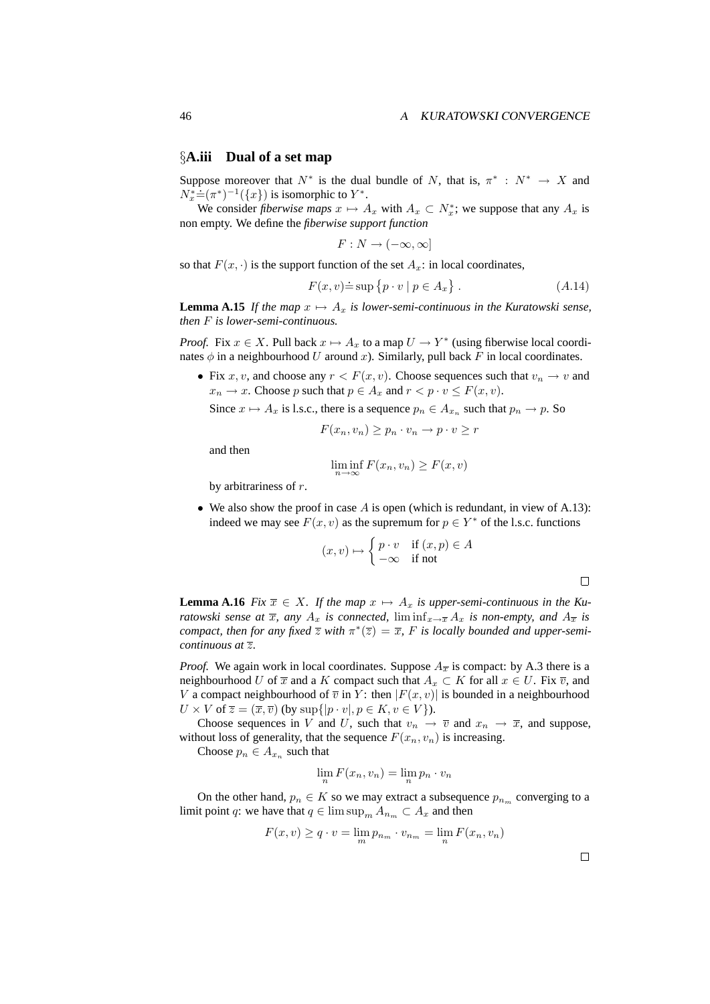#### §**A.iii Dual of a set map**

Suppose moreover that  $N^*$  is the dual bundle of N, that is,  $\pi^* : N^* \to X$  and  $N_x^* = (\pi^*)^{-1}(\lbrace x \rbrace)$  is isomorphic to  $Y^*$ .

We consider *fiberwise maps*  $x \mapsto A_x$  with  $A_x \subset N_x^*$ ; we suppose that any  $A_x$  is non empty. We define the *fiberwise support function*

$$
F: N \to (-\infty, \infty]
$$

so that  $F(x, \cdot)$  is the support function of the set  $A_x$ : in local coordinates,

$$
F(x, v) \doteq \sup \{ p \cdot v \mid p \in A_x \} .
$$
 (A.14)

**Lemma A.15** *If the map*  $x \mapsto A_x$  *is lower-semi-continuous in the Kuratowski sense, then* F *is lower-semi-continuous.*

*Proof.* Fix  $x \in X$ . Pull back  $x \mapsto A_x$  to a map  $U \to Y^*$  (using fiberwise local coordinates  $\phi$  in a neighbourhood U around x). Similarly, pull back F in local coordinates.

• Fix x, v, and choose any  $r < F(x, v)$ . Choose sequences such that  $v_n \to v$  and  $x_n \to x$ . Choose p such that  $p \in A_x$  and  $r < p \cdot v \leq F(x, v)$ .

Since  $x \mapsto A_x$  is l.s.c., there is a sequence  $p_n \in A_{x_n}$  such that  $p_n \to p$ . So

$$
F(x_n, v_n) \ge p_n \cdot v_n \to p \cdot v \ge r
$$

and then

$$
\liminf_{n \to \infty} F(x_n, v_n) \ge F(x, v)
$$

by arbitrariness of r.

• We also show the proof in case  $A$  is open (which is redundant, in view of A.13): indeed we may see  $F(x, v)$  as the supremum for  $p \in Y^*$  of the l.s.c. functions

$$
(x, v) \mapsto \begin{cases} p \cdot v & \text{if } (x, p) \in A \\ -\infty & \text{if not} \end{cases}
$$

**Lemma A.16** *Fix*  $\overline{x} \in X$ *. If the map*  $x \mapsto A_x$  *is upper-semi-continuous in the Kuratowski sense at*  $\overline{x}$ *, any*  $A_x$  *is connected,*  $\liminf_{x\to\overline{x}} A_x$  *is non-empty, and*  $A_{\overline{x}}$  *is compact, then for any fixed*  $\overline{z}$  *with*  $\pi^*(\overline{z}) = \overline{x}$ *, F is locally bounded and upper-semicontinuous at* z*.*

*Proof.* We again work in local coordinates. Suppose  $A_{\overline{x}}$  is compact: by A.3 there is a neighbourhood U of  $\overline{x}$  and a K compact such that  $A_x \subset K$  for all  $x \in U$ . Fix  $\overline{v}$ , and V a compact neighbourhood of  $\overline{v}$  in Y: then  $|F(x, v)|$  is bounded in a neighbourhood  $U \times V$  of  $\overline{z} = (\overline{x}, \overline{v})$  (by  $\sup\{|p \cdot v|, p \in K, v \in V\}$ ).

Choose sequences in V and U, such that  $v_n \to \overline{v}$  and  $x_n \to \overline{x}$ , and suppose, without loss of generality, that the sequence  $F(x_n, v_n)$  is increasing.

Choose  $p_n \in A_{x_n}$  such that

$$
\lim_n F(x_n, v_n) = \lim_n p_n \cdot v_n
$$

On the other hand,  $p_n \in K$  so we may extract a subsequence  $p_{n_m}$  converging to a limit point q: we have that  $q \in \limsup_m A_{n_m} \subset A_x$  and then

$$
F(x, v) \ge q \cdot v = \lim_{m} p_{n_m} \cdot v_{n_m} = \lim_{n} F(x_n, v_n)
$$

 $\Box$ 

 $\Box$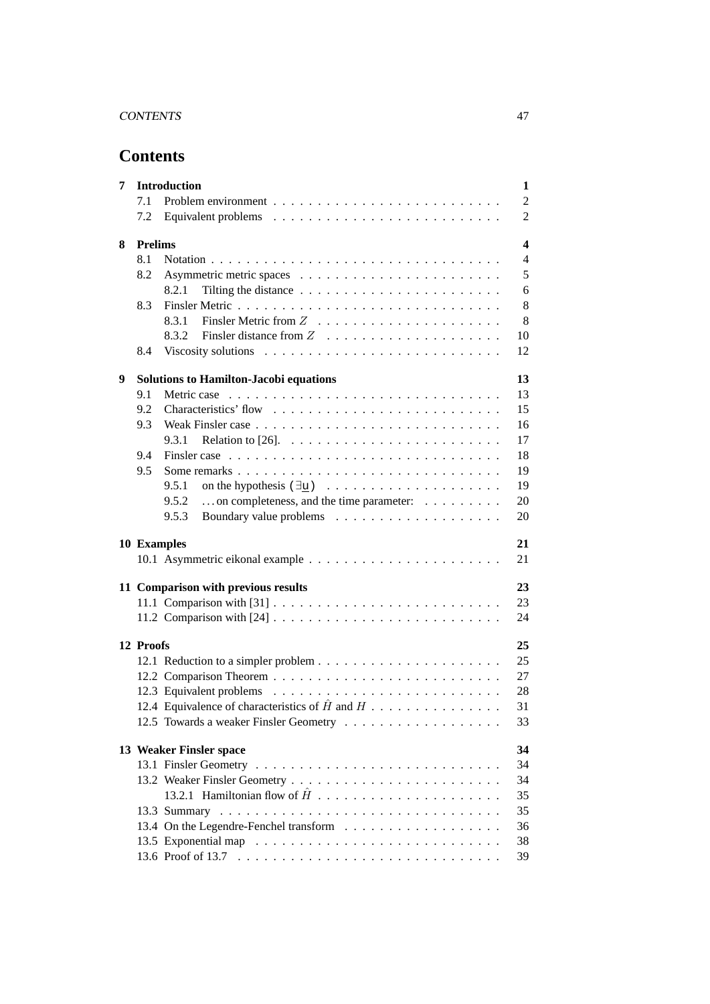# **Contents**

| 7 |                     | <b>Introduction</b>                                                                     | 1              |  |
|---|---------------------|-----------------------------------------------------------------------------------------|----------------|--|
|   | 7.1                 |                                                                                         | $\overline{2}$ |  |
|   | 7.2                 |                                                                                         | 2              |  |
| 8 | <b>Prelims</b><br>4 |                                                                                         |                |  |
|   | 8.1                 |                                                                                         | 4              |  |
|   | 8.2                 |                                                                                         | 5              |  |
|   |                     | 8.2.1<br>Tilting the distance $\ldots \ldots \ldots \ldots \ldots \ldots \ldots \ldots$ | 6              |  |
|   | 8.3                 |                                                                                         | 8              |  |
|   |                     | 8.3.1                                                                                   | 8              |  |
|   |                     | 8.3.2                                                                                   | 10             |  |
|   | 8.4                 |                                                                                         | 12             |  |
| 9 |                     | <b>Solutions to Hamilton-Jacobi equations</b>                                           | 13             |  |
|   | 9.1                 |                                                                                         | 13             |  |
|   | 9.2                 |                                                                                         | 15             |  |
|   | 9.3                 |                                                                                         | 16             |  |
|   |                     | 9.3.1                                                                                   | 17             |  |
|   | 9.4                 |                                                                                         | 18             |  |
|   | 9.5                 |                                                                                         | 19             |  |
|   |                     | 9.5.1                                                                                   | 19             |  |
|   |                     | 9.5.2<br>on completeness, and the time parameter:                                       | 20             |  |
|   |                     | 9.5.3                                                                                   | 20             |  |
|   |                     |                                                                                         |                |  |
|   |                     | <b>10 Examples</b>                                                                      | 21             |  |
|   |                     |                                                                                         | 21             |  |
|   |                     | 11 Comparison with previous results                                                     | 23             |  |
|   |                     |                                                                                         | 23             |  |
|   |                     |                                                                                         | 24             |  |
|   | 12 Proofs           |                                                                                         | 25             |  |
|   |                     |                                                                                         | 25             |  |
|   |                     |                                                                                         | 27             |  |
|   |                     |                                                                                         | 28             |  |
|   |                     | 12.4 Equivalence of characteristics of $\hat{H}$ and $H$                                | 31             |  |
|   |                     |                                                                                         | 33             |  |
|   |                     | 13 Weaker Finsler space                                                                 | 34             |  |
|   |                     |                                                                                         | 34             |  |
|   |                     |                                                                                         | 34             |  |
|   |                     |                                                                                         | 35             |  |
|   |                     |                                                                                         | 35             |  |
|   |                     |                                                                                         | 36             |  |
|   |                     |                                                                                         | 38             |  |
|   |                     |                                                                                         | 39             |  |
|   |                     |                                                                                         |                |  |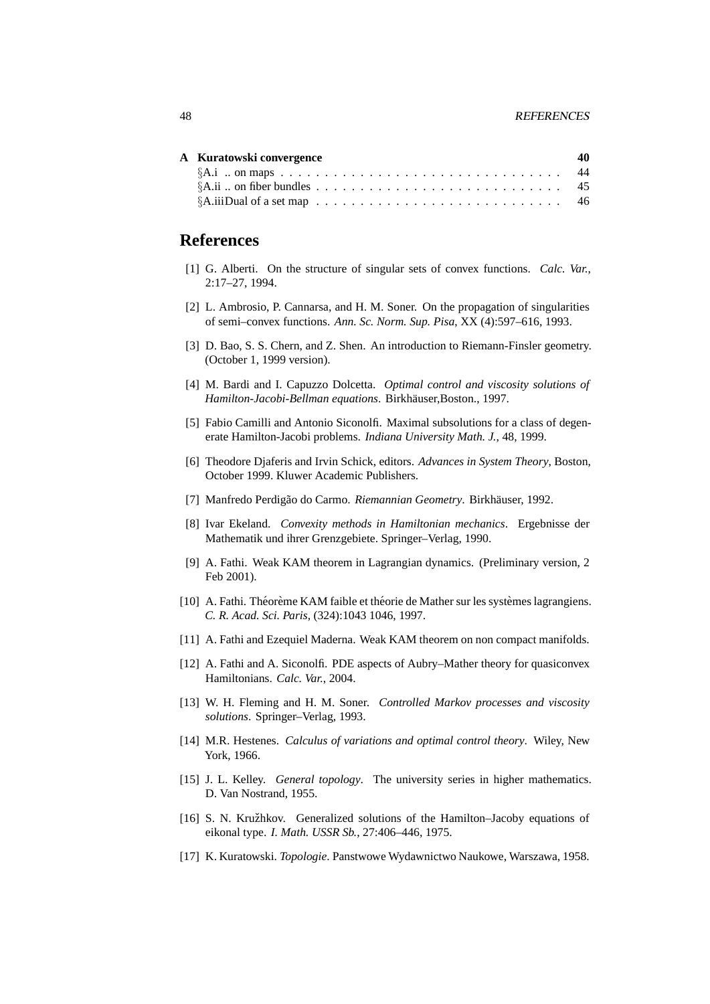#### 48 REFERENCES

| A Kuratowski convergence | 40 |
|--------------------------|----|
|                          |    |
|                          |    |
|                          |    |

## **References**

- [1] G. Alberti. On the structure of singular sets of convex functions. *Calc. Var.*, 2:17–27, 1994.
- [2] L. Ambrosio, P. Cannarsa, and H. M. Soner. On the propagation of singularities of semi–convex functions. *Ann. Sc. Norm. Sup. Pisa*, XX (4):597–616, 1993.
- [3] D. Bao, S. S. Chern, and Z. Shen. An introduction to Riemann-Finsler geometry. (October 1, 1999 version).
- [4] M. Bardi and I. Capuzzo Dolcetta. *Optimal control and viscosity solutions of Hamilton-Jacobi-Bellman equations*. Birkhäuser, Boston., 1997.
- [5] Fabio Camilli and Antonio Siconolfi. Maximal subsolutions for a class of degenerate Hamilton-Jacobi problems. *Indiana University Math. J.*, 48, 1999.
- [6] Theodore Djaferis and Irvin Schick, editors. *Advances in System Theory*, Boston, October 1999. Kluwer Academic Publishers.
- [7] Manfredo Perdigão do Carmo. Riemannian Geometry. Birkhäuser, 1992.
- [8] Ivar Ekeland. *Convexity methods in Hamiltonian mechanics*. Ergebnisse der Mathematik und ihrer Grenzgebiete. Springer–Verlag, 1990.
- [9] A. Fathi. Weak KAM theorem in Lagrangian dynamics. (Preliminary version, 2 Feb 2001).
- [10] A. Fathi. Théorème KAM faible et théorie de Mather sur les systèmes lagrangiens. *C. R. Acad. Sci. Paris*, (324):1043 1046, 1997.
- [11] A. Fathi and Ezequiel Maderna. Weak KAM theorem on non compact manifolds.
- [12] A. Fathi and A. Siconolfi. PDE aspects of Aubry–Mather theory for quasiconvex Hamiltonians. *Calc. Var.*, 2004.
- [13] W. H. Fleming and H. M. Soner. *Controlled Markov processes and viscosity solutions*. Springer–Verlag, 1993.
- [14] M.R. Hestenes. *Calculus of variations and optimal control theory*. Wiley, New York, 1966.
- [15] J. L. Kelley. *General topology*. The university series in higher mathematics. D. Van Nostrand, 1955.
- [16] S. N. Kružhkov. Generalized solutions of the Hamilton–Jacoby equations of eikonal type. *I. Math. USSR Sb.*, 27:406–446, 1975.
- [17] K. Kuratowski. *Topologie*. Panstwowe Wydawnictwo Naukowe, Warszawa, 1958.